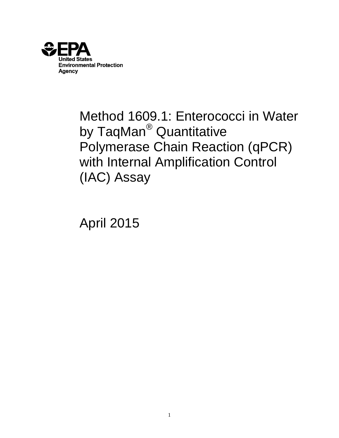

Method 1609.1: Enterococci in Water by TaqMan<sup>®</sup> Quantitative Polymerase Chain Reaction (qPCR) with Internal Amplification Control (IAC) Assay

April 2015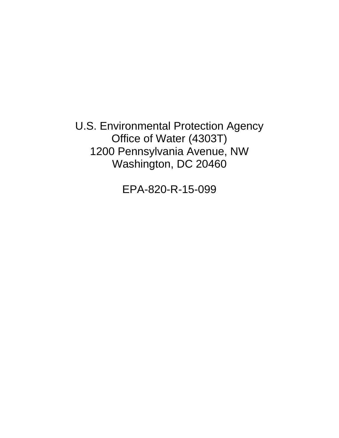U.S. Environmental Protection Agency Office of Water (4303T) 1200 Pennsylvania Avenue, NW Washington, DC 20460

EPA-820-R-15-099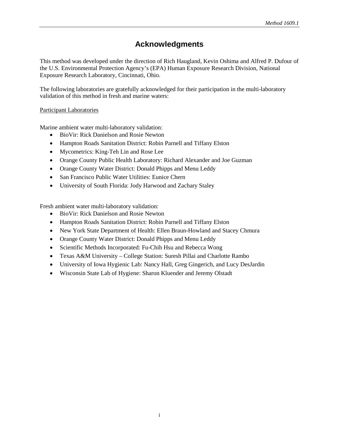# **Acknowledgments**

This method was developed under the direction of Rich Haugland, Kevin Oshima and Alfred P. Dufour of the U.S. Environmental Protection Agency's (EPA) Human Exposure Research Division, National Exposure Research Laboratory, Cincinnati, Ohio.

The following laboratories are gratefully acknowledged for their participation in the multi-laboratory validation of this method in fresh and marine waters:

### Participant Laboratories

Marine ambient water multi-laboratory validation:

- BioVir: Rick Danielson and Rosie Newton
- Hampton Roads Sanitation District: Robin Parnell and Tiffany Elston
- Mycometrics: King-Teh Lin and Rose Lee
- Orange County Public Health Laboratory: Richard Alexander and Joe Guzman
- Orange County Water District: Donald Phipps and Menu Leddy
- San Francisco Public Water Utilities: Eunice Chern
- University of South Florida: Jody Harwood and Zachary Staley

Fresh ambient water multi-laboratory validation:

- BioVir: Rick Danielson and Rosie Newton
- Hampton Roads Sanitation District: Robin Parnell and Tiffany Elston
- New York State Department of Health: Ellen Braun-Howland and Stacey Chmura
- Orange County Water District: Donald Phipps and Menu Leddy
- Scientific Methods Incorporated: Fu-Chih Hsu and Rebecca Wong
- Texas A&M University College Station: Suresh Pillai and Charlotte Rambo
- University of Iowa Hygienic Lab: Nancy Hall, Greg Gingerich, and Lucy DesJardin
- Wisconsin State Lab of Hygiene: Sharon Kluender and Jeremy Olstadt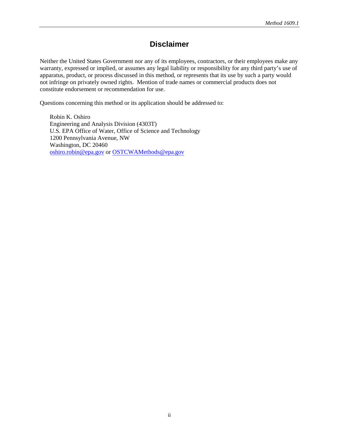## **Disclaimer**

Neither the United States Government nor any of its employees, contractors, or their employees make any warranty, expressed or implied, or assumes any legal liability or responsibility for any third party's use of apparatus, product, or process discussed in this method, or represents that its use by such a party would not infringe on privately owned rights. Mention of trade names or commercial products does not constitute endorsement or recommendation for use.

Questions concerning this method or its application should be addressed to:

Robin K. Oshiro Engineering and Analysis Division (4303T) U.S. EPA Office of Water, Office of Science and Technology 1200 Pennsylvania Avenue, NW Washington, DC 20460 [oshiro.robin@epa.gov](mailto:oshiro.robin@epa.gov) or OSTCWAMethods@epa.gov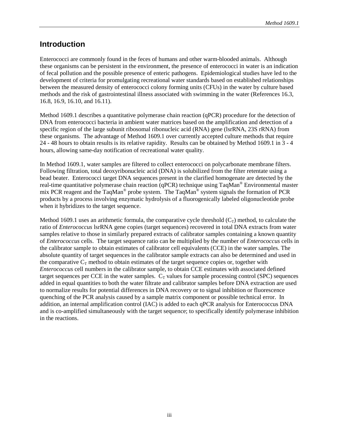### **Introduction**

Enterococci are commonly found in the feces of humans and other warm-blooded animals. Although these organisms can be persistent in the environment, the presence of enterococci in water is an indication of fecal pollution and the possible presence of enteric pathogens. Epidemiological studies have led to the development of criteria for promulgating recreational water standards based on established relationships between the measured density of enterococci colony forming units (CFUs) in the water by culture based methods and the risk of gastrointestinal illness associated with swimming in the water (References 16.3, 16.8, 16.9, 16.10, and 16.11).

Method 1609.1 describes a quantitative polymerase chain reaction (qPCR) procedure for the detection of DNA from enterococci bacteria in ambient water matrices based on the amplification and detection of a specific region of the large subunit ribosomal ribonucleic acid (RNA) gene (lsrRNA, 23S rRNA) from these organisms. The advantage of Method 1609.1 over currently accepted culture methods that require 24 - 48 hours to obtain results is its relative rapidity. Results can be obtained by Method 1609.1 in 3 - 4 hours, allowing same-day notification of recreational water quality.

In Method 1609.1, water samples are filtered to collect enterococci on polycarbonate membrane filters. Following filtration, total deoxyribonucleic acid (DNA) is solubilized from the filter retentate using a bead beater. Enterococci target DNA sequences present in the clarified homogenate are detected by the real-time quantitative polymerase chain reaction (qPCR) technique using TaqMan® Environmental master mix PCR reagent and the TaqMan® probe system. The TaqMan® system signals the formation of PCR products by a process involving enzymatic hydrolysis of a fluorogenically labeled oligonucleotide probe when it hybridizes to the target sequence.

Method 1609.1 uses an arithmetic formula, the comparative cycle threshold  $(C_T)$  method, to calculate the ratio of *Enterococcus* lsrRNA gene copies (target sequences) recovered in total DNA extracts from water samples relative to those in similarly prepared extracts of calibrator samples containing a known quantity of *Enterococcus* cells. The target sequence ratio can be multiplied by the number of *Enterococcus* cells in the calibrator sample to obtain estimates of calibrator cell equivalents (CCE) in the water samples. The absolute quantity of target sequences in the calibrator sample extracts can also be determined and used in the comparative  $C_T$  method to obtain estimates of the target sequence copies or, together with *Enterococcus* cell numbers in the calibrator sample, to obtain CCE estimates with associated defined target sequences per CCE in the water samples.  $C_T$  values for sample processing control (SPC) sequences added in equal quantities to both the water filtrate and calibrator samples before DNA extraction are used to normalize results for potential differences in DNA recovery or to signal inhibition or fluorescence quenching of the PCR analysis caused by a sample matrix component or possible technical error. In addition, an internal amplification control (IAC) is added to each qPCR analysis for Enterococcus DNA and is co-amplified simultaneously with the target sequence; to specifically identify polymerase inhibition in the reactions.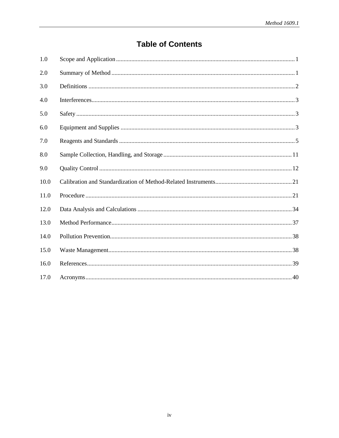# **Table of Contents**

| 1.0  |  |
|------|--|
| 2.0  |  |
| 3.0  |  |
| 4.0  |  |
| 5.0  |  |
| 6.0  |  |
| 7.0  |  |
| 8.0  |  |
| 9.0  |  |
| 10.0 |  |
| 11.0 |  |
| 12.0 |  |
| 13.0 |  |
| 14.0 |  |
| 15.0 |  |
| 16.0 |  |
| 17.0 |  |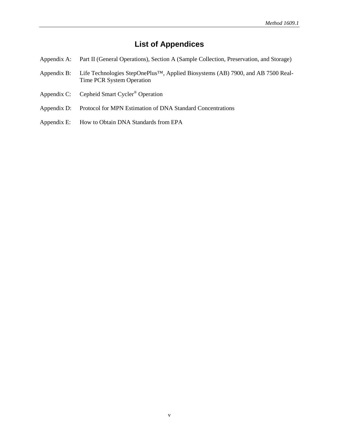# **List of Appendices**

- [Appendix A: Part II \(General Operations\), Section A \(Sample Collection, Preservation, and Storage\)](#page-47-0)
- [Appendix B: Life Technologies StepOnePlus™, Applied Biosystems \(AB\) 7900, and AB](#page-53-0) 7500 Real-[Time PCR System Operation](#page-53-0)
- [Appendix C: Cepheid Smart Cycler](#page-61-0)® Operation
- [Appendix D: Protocol for MPN Estimation of DNA Standard Concentrations](#page-65-0)
- [Appendix E: How to Obtain DNA Standards from EPA](#page-69-0)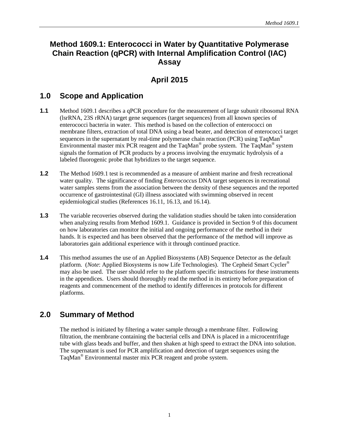## **Method 1609.1: Enterococci in Water by Quantitative Polymerase Chain Reaction (qPCR) with Internal Amplification Control (IAC) Assay**

# **April 2015**

## <span id="page-7-0"></span>**1.0 Scope and Application**

- **1.1** Method 1609.1 describes a qPCR procedure for the measurement of large subunit ribosomal RNA (lsrRNA, 23S rRNA) target gene sequences (target sequences) from all known species of enterococci bacteria in water. This method is based on the collection of enterococci on membrane filters, extraction of total DNA using a bead beater, and detection of enterococci target sequences in the supernatant by real-time polymerase chain reaction (PCR) using TaqMan<sup>®</sup> Environmental master mix PCR reagent and the TaqMan® probe system. The TaqMan® system signals the formation of PCR products by a process involving the enzymatic hydrolysis of a labeled fluorogenic probe that hybridizes to the target sequence.
- **1.2** The Method 1609.1 test is recommended as a measure of ambient marine and fresh recreational water quality. The significance of finding *Enterococcus* DNA target sequences in recreational water samples stems from the association between the density of these sequences and the reported occurrence of gastrointestinal (GI) illness associated with swimming observed in recent epidemiological studies (References 16.11, 16.13, and 16.14).
- **1.3** The variable recoveries observed during the validation studies should be taken into consideration when analyzing results from Method 1609.1. Guidance is provided in Section 9 of this document on how laboratories can monitor the initial and ongoing performance of the method in their hands. It is expected and has been observed that the performance of the method will improve as laboratories gain additional experience with it through continued practice.
- **1.4** This method assumes the use of an Applied Biosystems (AB) Sequence Detector as the default platform. (*Note*: Applied Biosystems is now Life Technologies). The Cepheid Smart Cycler® may also be used. The user should refer to the platform specific instructions for these instruments in the appendices. Users should thoroughly read the method in its entirety before preparation of reagents and commencement of the method to identify differences in protocols for different platforms.

## <span id="page-7-1"></span>**2.0 Summary of Method**

The method is initiated by filtering a water sample through a membrane filter. Following filtration, the membrane containing the bacterial cells and DNA is placed in a microcentrifuge tube with glass beads and buffer, and then shaken at high speed to extract the DNA into solution. The supernatant is used for PCR amplification and detection of target sequences using the TaqMan® Environmental master mix PCR reagent and probe system.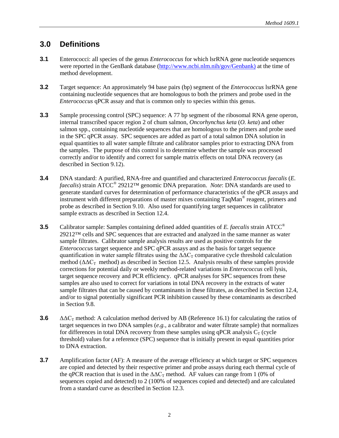## <span id="page-8-0"></span>**3.0 Definitions**

- **3.1** Enterococci: all species of the genus *Enterococcus* for which lsrRNA gene nucleotide sequences were reported in the GenBank database [\(http://www.ncbi.nlm.nih/gov/Genbank\)](http://www.ncbi.nlm.nih/gov/Genbank)) at the time of method development.
- **3.2** Target sequence: An approximately 94 base pairs (bp) segment of the *Enterococcus* lsrRNA gene containing nucleotide sequences that are homologous to both the primers and probe used in the *Enterococcus* qPCR assay and that is common only to species within this genus.
- **3.3** Sample processing control (SPC) sequence: A 77 bp segment of the ribosomal RNA gene operon, internal transcribed spacer region 2 of chum salmon, *Oncorhynchus keta* (*O. keta*) and other salmon spp.*,* containing nucleotide sequences that are homologous to the primers and probe used in the SPC qPCR assay. SPC sequences are added as part of a total salmon DNA solution in equal quantities to all water sample filtrate and calibrator samples prior to extracting DNA from the samples. The purpose of this control is to determine whether the sample was processed correctly and/or to identify and correct for sample matrix effects on total DNA recovery (as described in Section 9.12).
- **3.4** DNA standard: A purified, RNA-free and quantified and characterized *Enterococcus faecalis* (*E. faecalis*) strain ATCC® 29212™ genomic DNA preparation. *Note*: DNA standards are used to generate standard curves for determination of performance characteristics of the qPCR assays and instrument with different preparations of master mixes containing TaqMan® reagent, primers and probe as described in Section 9.10. Also used for quantifying target sequences in calibrator sample extracts as described in Section 12.4.
- **3.5** Calibrator sample: Samples containing defined added quantities of *E. faecalis* strain ATCC<sup>®</sup> 29212™ cells and SPC sequences that are extracted and analyzed in the same manner as water sample filtrates. Calibrator sample analysis results are used as positive controls for the *Enterococcus* target sequence and SPC qPCR assays and as the basis for target sequence quantification in water sample filtrates using the  $\Delta\Delta C_T$  comparative cycle threshold calculation method ( $\Delta \Delta C_{\text{T}}$  method) as described in Section 12.5. Analysis results of these samples provide corrections for potential daily or weekly method-related variations in *Enterococcus* cell lysis, target sequence recovery and PCR efficiency. qPCR analyses for SPC sequences from these samples are also used to correct for variations in total DNA recovery in the extracts of water sample filtrates that can be caused by contaminants in these filtrates, as described in Section 12.4, and/or to signal potentially significant PCR inhibition caused by these contaminants as described in Section 9.8.
- **3.6**  $\Delta\Delta C_{\text{T}}$  method: A calculation method derived by AB (Reference 16.1) for calculating the ratios of target sequences in two DNA samples (*e.g.,* a calibrator and water filtrate sample) that normalizes for differences in total DNA recovery from these samples using qPCR analysis  $C_T$  (cycle threshold) values for a reference (SPC) sequence that is initially present in equal quantities prior to DNA extraction.
- **3.7** Amplification factor (AF): A measure of the average efficiency at which target or SPC sequences are copied and detected by their respective primer and probe assays during each thermal cycle of the qPCR reaction that is used in the  $\Delta \Delta C_T$  method. AF values can range from 1 (0% of sequences copied and detected) to 2 (100% of sequences copied and detected) and are calculated from a standard curve as described in Section 12.3.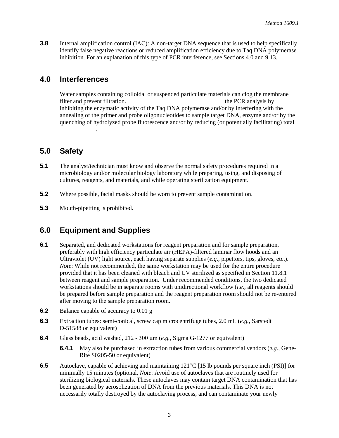**3.8** Internal amplification control (IAC): A non-target DNA sequence that is used to help specifically identify false negative reactions or reduced amplification efficiency due to Taq DNA polymerase inhibition. For an explanation of this type of PCR interference, see Sections 4.0 and 9.13.

## <span id="page-9-0"></span>**4.0 Interferences**

DNA recovery.

Water samples containing colloidal or suspended particulate materials can clog the membrane filter and prevent filtration. These materials can also interference with the PCR analysis by inhibiting the enzymatic activity of the Taq DNA polymerase and/or by interfering with the annealing of the primer and probe oligonucleotides to sample target DNA, enzyme and/or by the quenching of hydrolyzed probe fluorescence and/or by reducing (or potentially facilitating) total

## <span id="page-9-1"></span>**5.0 Safety**

- **5.1** The analyst/technician must know and observe the normal safety procedures required in a microbiology and/or molecular biology laboratory while preparing, using, and disposing of cultures, reagents, and materials, and while operating sterilization equipment.
- **5.2** Where possible, facial masks should be worn to prevent sample contamination.
- **5.3** Mouth-pipetting is prohibited.

## <span id="page-9-2"></span>**6.0 Equipment and Supplies**

- **6.1** Separated, and dedicated workstations for reagent preparation and for sample preparation, preferably with high efficiency particulate air (HEPA)-filtered laminar flow hoods and an Ultraviolet (UV) light source, each having separate supplies (*e.g.*, pipettors, tips, gloves, etc.). *Note*: While not recommended, the same workstation may be used for the entire procedure provided that it has been cleaned with bleach and UV sterilized as specified in Section 11.8.1 between reagent and sample preparation. Under recommended conditions, the two dedicated workstations should be in separate rooms with unidirectional workflow (*i.e.,* all reagents should be prepared before sample preparation and the reagent preparation room should not be re-entered after moving to the sample preparation room.
- **6.2** Balance capable of accuracy to 0.01 g
- **6.3** Extraction tubes: semi-conical, screw cap microcentrifuge tubes, 2.0 mL (*e.g.*, Sarstedt D-51588 or equivalent)
- **6.4** Glass beads, acid washed, 212 300 μm (*e.g.*, Sigma G-1277 or equivalent)
	- **6.4.1** May also be purchased in extraction tubes from various commercial vendors (*e.g.,* Gene-Rite S0205-50 or equivalent)
- **6.5** Autoclave, capable of achieving and maintaining 121<sup>o</sup>C [15 lb pounds per square inch (PSI)] for minimally 15 minutes (optional, *Note*: Avoid use of autoclaves that are routinely used for sterilizing biological materials. These autoclaves may contain target DNA contamination that has been generated by aerosolization of DNA from the previous materials. This DNA is not necessarily totally destroyed by the autoclaving process, and can contaminate your newly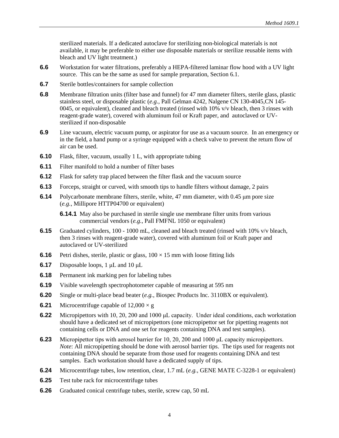sterilized materials. If a dedicated autoclave for sterilizing non-biological materials is not available, it may be preferable to either use disposable materials or sterilize reusable items with bleach and UV light treatment.)

- **6.6** Workstation for water filtrations, preferably a HEPA-filtered laminar flow hood with a UV light source. This can be the same as used for sample preparation, Section 6.1.
- **6.7** Sterile bottles/containers for sample collection
- **6.8** Membrane filtration units (filter base and funnel) for 47 mm diameter filters, sterile glass, plastic stainless steel, or disposable plastic (*e.g.*, Pall Gelman 4242, Nalgene CN 130-4045,CN 145- 0045, or equivalent), cleaned and bleach treated (rinsed with 10% v/v bleach, then 3 rinses with reagent-grade water), covered with aluminum foil or Kraft paper, and autoclaved or UVsterilized if non-disposable
- **6.9** Line vacuum, electric vacuum pump, or aspirator for use as a vacuum source. In an emergency or in the field, a hand pump or a syringe equipped with a check valve to prevent the return flow of air can be used.
- **6.10** Flask, filter, vacuum, usually 1 L, with appropriate tubing
- **6.11** Filter manifold to hold a number of filter bases
- **6.12** Flask for safety trap placed between the filter flask and the vacuum source
- **6.13** Forceps, straight or curved, with smooth tips to handle filters without damage, 2 pairs
- **6.14** Polycarbonate membrane filters, sterile, white, 47 mm diameter, with 0.45 μm pore size (*e.g.*, Millipore HTTP04700 or equivalent)

**6.14.1** May also be purchased in sterile single use membrane filter units from various commercial vendors (*e.g.,* Pall FMFNL 1050 or equivalent)

- **6.15** Graduated cylinders, 100 1000 mL, cleaned and bleach treated (rinsed with 10% v/v bleach, then 3 rinses with reagent-grade water), covered with aluminum foil or Kraft paper and autoclaved or UV-sterilized
- **6.16** Petri dishes, sterile, plastic or glass,  $100 \times 15$  mm with loose fitting lids
- **6.17** Disposable loops, 1 μL and 10 μL
- **6.18** Permanent ink marking pen for labeling tubes
- **6.19** Visible wavelength spectrophotometer capable of measuring at 595 nm
- **6.20** Single or multi-place bead beater (*e.g.*, Biospec Products Inc. 3110BX or equivalent).
- **6.21** Microcentrifuge capable of  $12,000 \times g$
- **6.22** Micropipettors with 10, 20, 200 and 1000 μL capacity. Under ideal conditions, each workstation should have a dedicated set of micropipettors (one micropipettor set for pipetting reagents not containing cells or DNA and one set for reagents containing DNA and test samples).
- **6.23** Micropipettor tips with aerosol barrier for 10, 20, 200 and 1000 μL capacity micropipettors. *Note*: All micropipetting should be done with aerosol barrier tips. The tips used for reagents not containing DNA should be separate from those used for reagents containing DNA and test samples. Each workstation should have a dedicated supply of tips.
- **6.24** Microcentrifuge tubes, low retention, clear, 1.7 mL (*e.g.*, GENE MATE C-3228-1 or equivalent)
- **6.25** Test tube rack for microcentrifuge tubes
- **6.26** Graduated conical centrifuge tubes, sterile, screw cap, 50 mL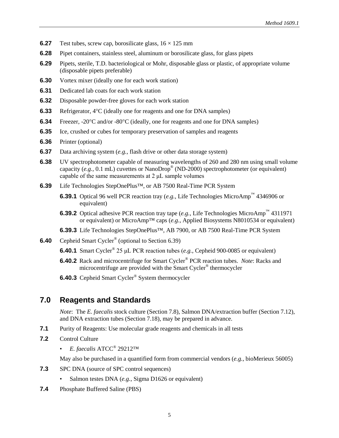- **6.27** Test tubes, screw cap, borosilicate glass,  $16 \times 125$  mm
- **6.28** Pipet containers, stainless steel, aluminum or borosilicate glass, for glass pipets
- **6.29** Pipets, sterile, T.D. bacteriological or Mohr, disposable glass or plastic, of appropriate volume (disposable pipets preferable)
- **6.30** Vortex mixer (ideally one for each work station)
- **6.31** Dedicated lab coats for each work station
- **6.32** Disposable powder-free gloves for each work station
- **6.33** Refrigerator, 4°C (ideally one for reagents and one for DNA samples)
- **6.34** Freezer, -20°C and/or -80°C (ideally, one for reagents and one for DNA samples)
- **6.35** Ice, crushed or cubes for temporary preservation of samples and reagents
- **6.36** Printer (optional)
- **6.37** Data archiving system (*e.g.*, flash drive or other data storage system)
- **6.38** UV spectrophotometer capable of measuring wavelengths of 260 and 280 nm using small volume capacity (*e.g.,* 0.1 mL) cuvettes or NanoDrop® (ND-2000) spectrophotometer (or equivalent) capable of the same measurements at 2 μL sample volumes
- **6.39** Life Technologies StepOnePlus™, or AB 7500 Real-Time PCR System
	- **6.39.1** Optical 96 well PCR reaction tray (*e.g.*, Life Technologies MicroAmp™ 4346906 or equivalent)
	- **6.39.2** Optical adhesive PCR reaction tray tape (*e.g.*, Life Technologies MicroAmp™ 4311971 or equivalent) or MicroAmp™ caps (*e.g.*, Applied Biosystems N8010534 or equivalent)
	- **6.39.3** Life Technologies StepOnePlus™, AB 7900, or AB 7500 Real-Time PCR System
- **6.40** Cepheid Smart Cycler® (optional to Section 6.39)
	- **6.40.1** Smart Cycler® 25 μL PCR reaction tubes (*e.g.*, Cepheid 900-0085 or equivalent)
	- **6.40.2** Rack and microcentrifuge for Smart Cycler® PCR reaction tubes. *Note*: Racks and microcentrifuge are provided with the Smart Cycler® thermocycler
	- **6.40.3** Cepheid Smart Cycler<sup>®</sup> System thermocycler

### <span id="page-11-0"></span>**7.0 Reagents and Standards**

*Note*: The *E. faecalis* stock culture (Section 7.8), Salmon DNA/extraction buffer (Section 7.12), and DNA extraction tubes (Section 7.18), may be prepared in advance.

- **7.1** Purity of Reagents: Use molecular grade reagents and chemicals in all tests
- **7.2** Control Culture
	- *E. faecalis* ATCC® 29212™

May also be purchased in a quantified form from commercial vendors (*e.g.*, bioMerieux 56005)

- **7.3** SPC DNA (source of SPC control sequences)
	- Salmon testes DNA (*e.g.*, Sigma D1626 or equivalent)
- **7.4** Phosphate Buffered Saline (PBS)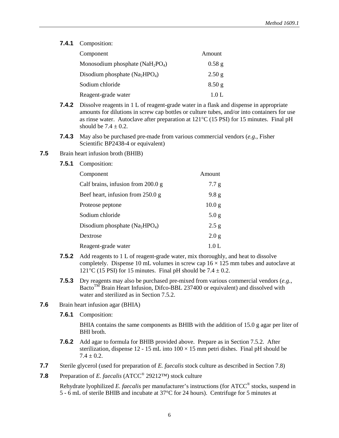**7.4.1** Composition:

| Component                          | Amount   |
|------------------------------------|----------|
| Monosodium phosphate $(NaH_2PO_4)$ | $0.58$ g |
| Disodium phosphate $(Na_2HPO_4)$   | 2.50 g   |
| Sodium chloride                    | $8.50$ g |
| Reagent-grade water                | 1.0 L    |

- **7.4.2** Dissolve reagents in 1 L of reagent-grade water in a flask and dispense in appropriate amounts for dilutions in screw cap bottles or culture tubes, and/or into containers for use as rinse water. Autoclave after preparation at 121°C (15 PSI) for 15 minutes. Final pH should be  $7.4 \pm 0.2$ .
- **7.4.3** May also be purchased pre-made from various commercial vendors (*e.g*., Fisher Scientific BP2438-4 or equivalent)
- **7.5** Brain heart infusion broth (BHIB)
	- **7.5.1** Composition:

| Component                            | Amount            |
|--------------------------------------|-------------------|
| Calf brains, infusion from $200.0 g$ | 7.7 g             |
| Beef heart, infusion from 250.0 g    | 9.8 <sub>g</sub>  |
| Proteose peptone                     | 10.0 <sub>g</sub> |
| Sodium chloride                      | 5.0 <sub>g</sub>  |
| Disodium phosphate $(Na_2HPO_4)$     | 2.5 g             |
| Dextrose                             | 2.0 <sub>g</sub>  |
| Reagent-grade water                  | 1.0 L             |

- **7.5.2** Add reagents to 1 L of reagent-grade water, mix thoroughly, and heat to dissolve completely. Dispense 10 mL volumes in screw cap  $16 \times 125$  mm tubes and autoclave at 121 $\degree$ C (15 PSI) for 15 minutes. Final pH should be 7.4  $\pm$  0.2.
- **7.5.3** Dry reagents may also be purchased pre-mixed from various commercial vendors (*e.g.*, Bacto<sup>TM</sup> Brain Heart Infusion, Difco-BBL 237400 or equivalent) and dissolved with water and sterilized as in Section 7.5.2.
- **7.6** Brain heart infusion agar (BHIA)
	- **7.6.1** Composition:

BHIA contains the same components as BHIB with the addition of 15.0 g agar per liter of BHI broth.

- **7.6.2** Add agar to formula for BHIB provided above. Prepare as in Section 7.5.2. After sterilization, dispense 12 - 15 mL into  $100 \times 15$  mm petri dishes. Final pH should be  $7.4 \pm 0.2$ .
- **7.7** Sterile glycerol (used for preparation of *E. faecalis* stock culture as described in Section 7.8)
- **7.8** Preparation of *E. faecalis* (ATCC® 29212™) stock culture

Rehydrate lyophilized *E. faecalis* per manufacturer's instructions (for ATCC® stocks, suspend in 5 - 6 mL of sterile BHIB and incubate at 37°C for 24 hours). Centrifuge for 5 minutes at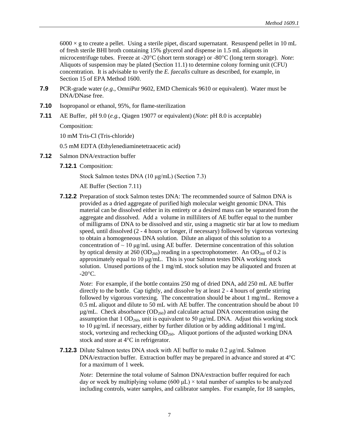$6000 \times g$  to create a pellet. Using a sterile pipet, discard supernatant. Resuspend pellet in 10 mL of fresh sterile BHI broth containing 15% glycerol and dispense in 1.5 mL aliquots in microcentrifuge tubes. Freeze at -20°C (short term storage) or -80°C (long term storage). *Note*: Aliquots of suspension may be plated (Section 11.1) to determine colony forming unit (CFU) concentration. It is advisable to verify the *E. faecalis* culture as described, for example, in Section 15 of EPA Method 1600.

- **7.9** PCR-grade water (*e.g.*, OmniPur 9602, EMD Chemicals 9610 or equivalent). Water must be DNA/DNase free.
- **7.10** Isopropanol or ethanol, 95%, for flame-sterilization
- **7.11** AE Buffer, pH 9.0 (*e.g.*, Qiagen 19077 or equivalent) (*Note*: pH 8.0 is acceptable)

Composition:

10 mM Tris-Cl (Tris-chloride)

0.5 mM EDTA (Ethylenediaminetetraacetic acid)

- **7.12** Salmon DNA/extraction buffer
	- **7.12.1** Composition:

Stock Salmon testes DNA (10 μg/mL) (Section 7.3)

AE Buffer (Section 7.11)

**7.12.2** Preparation of stock Salmon testes DNA: The recommended source of Salmon DNA is provided as a dried aggregate of purified high molecular weight genomic DNA. This material can be dissolved either in its entirety or a desired mass can be separated from the aggregate and dissolved. Add a volume in milliliters of AE buffer equal to the number of milligrams of DNA to be dissolved and stir, using a magnetic stir bar at low to medium speed, until dissolved (2 - 4 hours or longer, if necessary) followed by vigorous vortexing to obtain a homogeneous DNA solution. Dilute an aliquot of this solution to a concentration of  $\sim 10 \mu g/mL$  using AE buffer. Determine concentration of this solution by optical density at 260 (OD<sub>260</sub>) reading in a spectrophotometer. An OD<sub>260</sub> of 0.2 is approximately equal to 10 μg/mL. This is your Salmon testes DNA working stock solution. Unused portions of the 1 mg/mL stock solution may be aliquoted and frozen at  $-20$ °C.

*Note*: For example, if the bottle contains 250 mg of dried DNA, add 250 mL AE buffer directly to the bottle. Cap tightly, and dissolve by at least 2 - 4 hours of gentle stirring followed by vigorous vortexing. The concentration should be about 1 mg/mL. Remove a 0.5 mL aliquot and dilute to 50 mL with AE buffer. The concentration should be about 10  $\mu$ g/mL. Check absorbance (OD<sub>260</sub>) and calculate actual DNA concentration using the assumption that  $1 \text{ OD}_{260}$ , unit is equivalent to 50  $\mu$ g/mL DNA. Adjust this working stock to 10 μg/mL if necessary, either by further dilution or by adding additional 1 mg/mL stock, vortexing and rechecking  $OD<sub>260</sub>$ . Aliquot portions of the adjusted working DNA stock and store at 4°C in refrigerator.

**7.12.3** Dilute Salmon testes DNA stock with AE buffer to make 0.2 μg/mL Salmon DNA/extraction buffer. Extraction buffer may be prepared in advance and stored at 4°C for a maximum of 1 week.

*Note*: Determine the total volume of Salmon DNA/extraction buffer required for each day or week by multiplying volume (600  $\mu$ L)  $\times$  total number of samples to be analyzed including controls, water samples, and calibrator samples. For example, for 18 samples,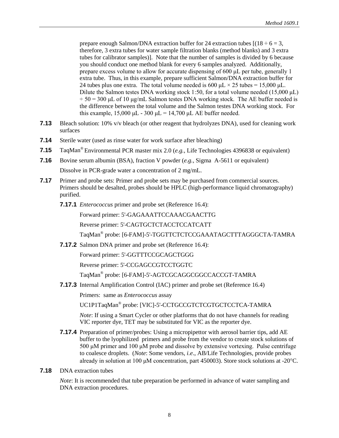prepare enough Salmon/DNA extraction buffer for 24 extraction tubes  $[(18 \div 6 = 3,$ therefore, 3 extra tubes for water sample filtration blanks (method blanks) and 3 extra tubes for calibrator samples)]. Note that the number of samples is divided by 6 because you should conduct one method blank for every 6 samples analyzed. Additionally, prepare excess volume to allow for accurate dispensing of 600 μL per tube, generally 1 extra tube. Thus, in this example, prepare sufficient Salmon/DNA extraction buffer for 24 tubes plus one extra. The total volume needed is 600  $\mu$ L × 25 tubes = 15,000  $\mu$ L. Dilute the Salmon testes DNA working stock 1:50, for a total volume needed (15,000 μL)  $\div$  50 = 300 μL of 10 μg/mL Salmon testes DNA working stock. The AE buffer needed is the difference between the total volume and the Salmon testes DNA working stock. For this example,  $15,000 \mu L - 300 \mu L = 14,700 \mu L$  AE buffer needed.

- **7.13** Bleach solution: 10% v/v bleach (or other reagent that hydrolyzes DNA), used for cleaning work surfaces
- **7.14** Sterile water (used as rinse water for work surface after bleaching)
- **7.15** TaqMan® Environmental PCR master mix 2.0 (*e.g.*, Life Technologies 4396838 or equivalent)
- **7.16** Bovine serum albumin (BSA), fraction V powder (*e.g.*, Sigma A-5611 or equivalent) Dissolve in PCR-grade water a concentration of 2 mg/mL.
- **7.17** Primer and probe sets: Primer and probe sets may be purchased from commercial sources. Primers should be desalted, probes should be HPLC (high-performance liquid chromatography) purified.
	- **7.17.1** *Enterococcus* primer and probe set (Reference 16.4):

Forward primer: 5'-GAGAAATTCCAAACGAACTTG

Reverse primer: 5'-CAGTGCTCTACCTCCATCATT

TaqMan® probe: [6-FAM]-5'-TGGTTCTCTCCGAAATAGCTTTAGGGCTA-TAMRA

**7.17.2** Salmon DNA primer and probe set (Reference 16.4):

Forward primer: 5'-GGTTTCCGCAGCTGGG

Reverse primer: 5'-CCGAGCCGTCCTGGTC

TaqMan® probe: [6-FAM]-5'-AGTCGCAGGCGGCCACCGT-TAMRA

**7.17.3** Internal Amplification Control (IAC) primer and probe set (Reference 16.4)

Primers: same as *Enterococcus* assay

UC1P1TaqMan® probe: [VIC]-5'-CCTGCCGTCTCGTGCTCCTCA-TAMRA

*Note*: If using a Smart Cycler or other platforms that do not have channels for reading VIC reporter dye, TET may be substituted for VIC as the reporter dye.

- **7.17.4** Preparation of primer/probes: Using a micropipettor with aerosol barrier tips, add AE buffer to the lyophilized primers and probe from the vendor to create stock solutions of 500 μM primer and 100 μM probe and dissolve by extensive vortexing. Pulse centrifuge to coalesce droplets. (*Note*: Some vendors, *i.e*., AB/Life Technologies, provide probes already in solution at 100 μM concentration, part 450003). Store stock solutions at -20°C.
- **7.18** DNA extraction tubes

*Note*: It is recommended that tube preparation be performed in advance of water sampling and DNA extraction procedures.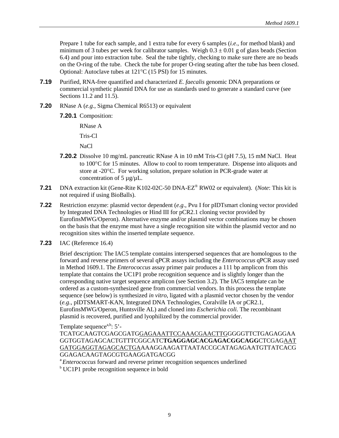Prepare 1 tube for each sample, and 1 extra tube for every 6 samples (*i.e*., for method blank) and minimum of 3 tubes per week for calibrator samples. Weigh  $0.3 \pm 0.01$  g of glass beads (Section 6.4) and pour into extraction tube. Seal the tube tightly, checking to make sure there are no beads on the O-ring of the tube. Check the tube for proper O-ring seating after the tube has been closed. Optional: Autoclave tubes at 121°C (15 PSI) for 15 minutes.

- **7.19** Purified, RNA-free quantified and characterized *E. faecalis* genomic DNA preparations or commercial synthetic plasmid DNA for use as standards used to generate a standard curve (see Sections 11.2 and 11.5).
- **7.20** RNase A (*e.g.*, Sigma Chemical R6513) or equivalent
	- **7.20.1** Composition:

RNase A Tris-Cl

NaCl

- **7.20.2** Dissolve 10 mg/mL pancreatic RNase A in 10 mM Tris-Cl (pH 7.5), 15 mM NaCl. Heat to 100°C for 15 minutes. Allow to cool to room temperature. Dispense into aliquots and store at -20°C. For working solution, prepare solution in PCR-grade water at concentration of  $5 \mu g/\mu L$ .
- **7.21** DNA extraction kit (Gene-Rite K102-02C-50 DNA-EZ® RW02 or equivalent). (*Note*: This kit is not required if using BioBalls).
- **7.22** Restriction enzyme: plasmid vector dependent (*e.g*., Pvu I for pIDTsmart cloning vector provided by Integrated DNA Technologies or Hind III for pCR2.1 cloning vector provided by EurofinsMWG/Operon). Alternative enzyme and/or plasmid vector combinations may be chosen on the basis that the enzyme must have a single recognition site within the plasmid vector and no recognition sites within the inserted template sequence.
- **7.23** IAC (Reference 16.4)

Brief description: The IAC5 template contains interspersed sequences that are homologous to the forward and reverse primers of several qPCR assays including the *Enterococcus* qPCR assay used in Method 1609.1. The *Enterococcus* assay primer pair produces a 111 bp amplicon from this template that contains the UC1P1 probe recognition sequence and is slightly longer than the corresponding native target sequence amplicon (see Section 3.2). The IAC5 template can be ordered as a custom-synthesized gene from commercial vendors. In this process the template sequence (see below) is synthesized *in vitro*, ligated with a plasmid vector chosen by the vendor (*e.g*., pIDTSMART-KAN, Integrated DNA Technologies, Coralville IA or pCR2.1, EurofinsMWG/Operon, Huntsville AL) and cloned into *Escherichia coli.* The recombinant plasmid is recovered, purified and lyophilized by the commercial provider.

Template sequence<sup>a,b</sup>:  $5'$ -

TCATGCAAGTCGAGCGATGGAGAAATTCCAAACGAACTTGGGGGTTCTGAGAGGAA GGTGGTAGAGCACTGTTTCGGCATC**TGAGGAGCACGAGACGGCAGG**CTCGAGAAT GATGGAGGTAGAGCACTGAAAAGGAAGATTAATACCGCATAGAGAATGTTATCACG GGAGACAAGTAGCGTGAAGGATGACGG

<sup>a</sup> Enterococcus forward and reverse primer recognition sequences underlined

<sup>b</sup> UC1P1 probe recognition sequence in bold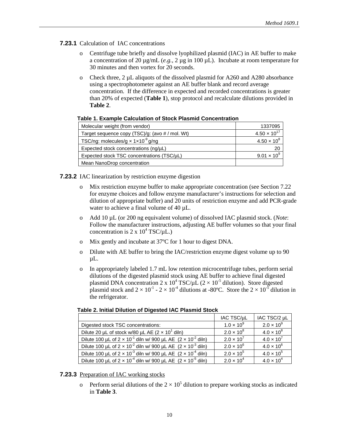- **7.23.1** Calculation of IAC concentrations
	- Centrifuge tube briefly and dissolve lyophilized plasmid (IAC) in AE buffer to make a concentration of 20  $\mu$ g/mL (*e.g.*, 2  $\mu$ g in 100  $\mu$ L). Incubate at room temperature for 30 minutes and then vortex for 20 seconds.
	- o Check three, 2 µL aliquots of the dissolved plasmid for A260 and A280 absorbance using a spectrophotometer against an AE buffer blank and record average concentration. If the difference in expected and recorded concentrations is greater than 20% of expected (**Table 1**), stop protocol and recalculate dilutions provided in **Table 2**.

| Molecular weight (from vendor)                                | 1337095               |
|---------------------------------------------------------------|-----------------------|
| Target sequence copy (TSC)/g: (avo # / mol. Wt)               | $4.50 \times 10^{17}$ |
| TSC/ng: molecules/g $\times$ 1 $\times$ 10 <sup>-9</sup> g/ng | $4.50 \times 10^{8}$  |
| Expected stock concentrations (ng/µL)                         | 20                    |
| Expected stock TSC concentrations (TSC/uL)                    | $9.01 \times 10^{9}$  |
| Mean NanoDrop concentration                                   |                       |

#### **Table 1. Example Calculation of Stock Plasmid Concentration**

**7.23.2** IAC linearization by restriction enzyme digestion

- o Mix restriction enzyme buffer to make appropriate concentration (see Section 7.22 for enzyme choices and follow enzyme manufacturer's instructions for selection and dilution of appropriate buffer) and 20 units of restriction enzyme and add PCR-grade water to achieve a final volume of 40  $\mu$ L.
- o Add 10 µL (or 200 ng equivalent volume) of dissolved IAC plasmid stock. (*Note*: Follow the manufacturer instructions, adjusting AE buffer volumes so that your final concentration is  $2 \times 10^4$  TSC/ $\mu$ L.)
- o Mix gently and incubate at 37ºC for 1 hour to digest DNA.
- o Dilute with AE buffer to bring the IAC/restriction enzyme digest volume up to 90  $\mu$ L.
- o In appropriately labeled 1.7 mL low retention microcentrifuge tubes, perform serial dilutions of the digested plasmid stock using AE buffer to achieve final digested plasmid DNA concentration 2 x  $10^4$  TSC/ $\mu$ L (2 ×  $10^{-5}$  dilution). Store digested plasmid stock and  $2 \times 10^{-1}$  -  $2 \times 10^{-4}$  dilutions at -80°C. Store the  $2 \times 10^{-5}$  dilution in the refrigerator.

|                                                                                 | IAC TSC/µL          | IAC TSC/2 µL        |
|---------------------------------------------------------------------------------|---------------------|---------------------|
| Digested stock TSC concentrations:                                              | $1.0 \times 10^{9}$ | $2.0 \times 10^{9}$ |
| Dilute 20 µL of stock w/80 µL AE $(2 \times 10^1 \text{ dim})$                  | $2.0 \times 10^{8}$ | $4.0 \times 10^{8}$ |
| Dilute 100 µL of $2 \times 10^{-1}$ diln w/ 900 µL AE $(2 \times 10^{-2}$ diln) | $2.0 \times 10^{7}$ | $4.0 \times 10^{7}$ |
| Dilute 100 µL of $2 \times 10^{-2}$ diln w/ 900 µL AE $(2 \times 10^{-3}$ diln) | $2.0 \times 10^{6}$ | $4.0 \times 10^{6}$ |
| Dilute 100 µL of $2 \times 10^{-3}$ diln w/ 900 µL AE $(2 \times 10^{-4}$ diln) | $2.0 \times 10^{5}$ | $4.0 \times 10^{5}$ |
| Dilute 100 µL of $2 \times 10^{-4}$ diln w/ 900 µL AE $(2 \times 10^{-5}$ diln) | $2.0 \times 10^{4}$ | $4.0 \times 10^{4}$ |

#### **7.23.3** Preparation of IAC working stocks

o Perform serial dilutions of the  $2 \times 10^5$  dilution to prepare working stocks as indicated in **Table 3**.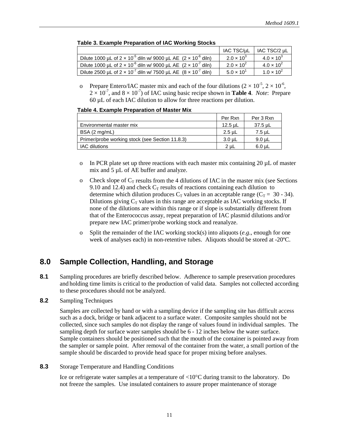|                                                                                   | IAC TSC/µL          | IAC TSC/2 µL        |
|-----------------------------------------------------------------------------------|---------------------|---------------------|
| Dilute 1000 µL of $2 \times 10^{-5}$ diln w/ 9000 µL AE $(2 \times 10^{-6}$ diln) | $2.0 \times 10^{3}$ | $4.0 \times 10^{3}$ |
| Dilute 1000 µL of $2 \times 10^{-6}$ diln w/ 9000 µL AE $(2 \times 10^{-7}$ diln) | $2.0 \times 10^{2}$ | $4.0 \times 10^{2}$ |
| Dilute 2500 µL of $2 \times 10^{-7}$ diln w/ 7500 µL AE $(8 \times 10^{-7}$ diln) | $5.0 \times 10^{1}$ | $1.0 \times 10^{2}$ |

#### **Table 3. Example Preparation of IAC Working Stocks**

o Prepare Entero/IAC master mix and each of the four dilutions  $(2 \times 10^{-5}, 2 \times 10^{-6},$  $2 \times 10^{-7}$ , and  $8 \times 10^{-7}$ ) of IAC using basic recipe shown in **Table 4**. *Note*: Prepare 60 µL of each IAC dilution to allow for three reactions per dilution.

| Table 4. Example Preparation of Master Mix |  |  |
|--------------------------------------------|--|--|
|--------------------------------------------|--|--|

|                                                 | Per Rxn  | Per 3 Rxn |
|-------------------------------------------------|----------|-----------|
| Environmental master mix                        | 12.5 µL  | 37.5 µL   |
| BSA (2 mg/mL)                                   | $2.5$ µL | 7.5 µL    |
| Primer/probe working stock (see Section 11.8.3) | 3.0 µL   | 9.0 µL    |
| <b>IAC</b> dilutions                            | 2 uL     | 6.0 uL    |

- o In PCR plate set up three reactions with each master mix containing 20  $\mu$ L of master mix and 5 µL of AE buffer and analyze.
- o Check slope of  $C_T$  results from the 4 dilutions of IAC in the master mix (see Sections 9.10 and 12.4) and check  $C_T$  results of reactions containing each dilution to determine which dilution produces  $C_T$  values in an acceptable range ( $C_T = 30 - 34$ ). Dilutions giving  $C_T$  values in this range are acceptable as IAC working stocks. If none of the dilutions are within this range or if slope is substantially different from that of the Enterococcus assay, repeat preparation of IAC plasmid dilutions and/or prepare new IAC primer/probe working stock and reanalyze.
- o Split the remainder of the IAC working stock(s) into aliquots (*e.g*., enough for one week of analyses each) in non-retentive tubes. Aliquots should be stored at -20ºC.

## <span id="page-17-0"></span>**8.0 Sample Collection, Handling, and Storage**

- 8.1 Sampling procedures are briefly described below. Adherence to sample preservation procedures and holding time limits is critical to the production of valid data. Samples not collected according to these procedures should not be analyzed.
- **8.2** Sampling Techniques

Samples are collected by hand or with a sampling device if the sampling site has difficult access such as a dock, bridge or bank adjacent to a surface water. Composite samples should not be collected, since such samples do not display the range of values found in individual samples. The sampling depth for surface water samples should be 6 - 12 inches below the water surface. Sample containers should be positioned such that the mouth of the container is pointed away from the sampler or sample point. After removal of the container from the water, a small portion of the sample should be discarded to provide head space for proper mixing before analyses.

**8.3** Storage Temperature and Handling Conditions

Ice or refrigerate water samples at a temperature of <10°C during transit to the laboratory. Do not freeze the samples. Use insulated containers to assure proper maintenance of storage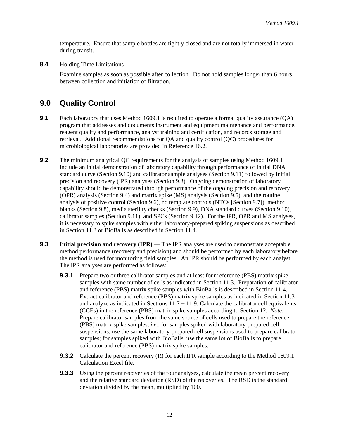temperature. Ensure that sample bottles are tightly closed and are not totally immersed in water during transit.

**8.4** Holding Time Limitations

Examine samples as soon as possible after collection. Do not hold samples longer than 6 hours between collection and initiation of filtration.

### <span id="page-18-0"></span>**9.0 Quality Control**

- **9.1** Each laboratory that uses Method 1609.1 is required to operate a formal quality assurance (QA) program that addresses and documents instrument and equipment maintenance and performance, reagent quality and performance, analyst training and certification, and records storage and retrieval. Additional recommendations for QA and quality control (QC) procedures for microbiological laboratories are provided in Reference 16.2.
- **9.2** The minimum analytical QC requirements for the analysis of samples using Method 1609.1 include an initial demonstration of laboratory capability through performance of initial DNA standard curve (Section 9.10) and calibrator sample analyses (Section 9.11) followed by initial precision and recovery (IPR) analyses (Section 9.3). Ongoing demonstration of laboratory capability should be demonstrated through performance of the ongoing precision and recovery (OPR) analysis (Section 9.4) and matrix spike (MS) analysis (Section 9.5), and the routine analysis of positive control (Section 9.6), no template controls (NTCs [Section 9.7]), method blanks (Section 9.8), media sterility checks (Section 9.9), DNA standard curves (Section 9.10), calibrator samples (Section 9.11), and SPCs (Section 9.12). For the IPR, OPR and MS analyses, it is necessary to spike samples with either laboratory-prepared spiking suspensions as described in Section 11.3 or BioBalls as described in Section 11.4.
- **9.3 Initial precision and recovery (IPR)** The IPR analyses are used to demonstrate acceptable method performance (recovery and precision) and should be performed by each laboratory before the method is used for monitoring field samples. An IPR should be performed by each analyst. The IPR analyses are performed as follows:
	- **9.3.1** Prepare two or three calibrator samples and at least four reference (PBS) matrix spike samples with same number of cells as indicated in Section 11.3. Preparation of calibrator and reference (PBS) matrix spike samples with BioBalls is described in Section 11.4. Extract calibrator and reference (PBS) matrix spike samples as indicated in Section 11.3 and analyze as indicated in Sections  $11.7 - 11.9$ . Calculate the calibrator cell equivalents (CCEs) in the reference (PBS) matrix spike samples according to Section 12. *Note*: Prepare calibrator samples from the same source of cells used to prepare the reference (PBS) matrix spike samples, *i.e.,* for samples spiked with laboratory-prepared cell suspensions, use the same laboratory-prepared cell suspensions used to prepare calibrator samples; for samples spiked with BioBalls, use the same lot of BioBalls to prepare calibrator and reference (PBS) matrix spike samples.
	- **9.3.2** Calculate the percent recovery (R) for each IPR sample according to the Method 1609.1 Calculation Excel file.
	- **9.3.3** Using the percent recoveries of the four analyses, calculate the mean percent recovery and the relative standard deviation (RSD) of the recoveries. The RSD is the standard deviation divided by the mean, multiplied by 100.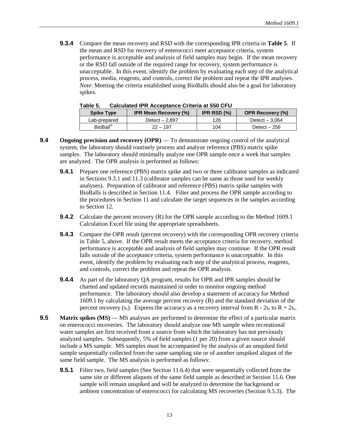**9.3.4** Compare the mean recovery and RSD with the corresponding IPR criteria in **Table 5**. If the mean and RSD for recovery of enterococci meet acceptance criteria, system performance is acceptable and analysis of field samples may begin. If the mean recovery or the RSD fall outside of the required range for recovery, system performance is unacceptable. In this event, identify the problem by evaluating each step of the analytical process, media, reagents, and controls, correct the problem and repeat the IPR analyses. *Note*: Meeting the criteria established using BioBalls should also be a goal for laboratory spikes.

| rapie o.<br><u>Calculated IFR Acceptatice Criteria at 330 CFO</u> |                              |                |                         |  |
|-------------------------------------------------------------------|------------------------------|----------------|-------------------------|--|
| <b>Spike Type</b>                                                 | <b>IPR Mean Recovery (%)</b> | IPR RSD $(\%)$ | <b>OPR Recovery (%)</b> |  |
| Lab-prepared                                                      | Detect $-2.897$              | 126            | Detect $-3.064$         |  |
| BioBall <sup>®</sup>                                              | $22 - 197$                   | 104            | Detect $-256$           |  |

**Table 5. Calculated IPR Acceptance Criteria at 550 CFU**

- **9.4** Ongoing precision and recovery (OPR) To demonstrate ongoing control of the analytical system, the laboratory should routinely process and analyze reference (PBS) matrix spike samples. The laboratory should minimally analyze one OPR sample once a week that samples are analyzed. The OPR analysis is performed as follows:
	- **9.4.1** Prepare one reference (PBS) matrix spike and two or three calibrator samples as indicated in Sections 9.3.1 and 11.3 (calibrator samples can be same as those used for weekly analyses). Preparation of calibrator and reference (PBS) matrix spike samples with BioBalls is described in Section 11.4. Filter and process the OPR sample according to the procedures in Section 11 and calculate the target sequences in the samples according to Section 12.
	- **9.4.2** Calculate the percent recovery (R) for the OPR sample according to the Method 1609.1 Calculation Excel file using the appropriate spreadsheets.
	- **9.4.3** Compare the OPR result (percent recovery) with the corresponding OPR recovery criteria in Table 5, above. If the OPR result meets the acceptance criteria for recovery, method performance is acceptable and analysis of field samples may continue. If the OPR result falls outside of the acceptance criteria, system performance is unacceptable. In this event, identify the problem by evaluating each step of the analytical process, reagents, and controls, correct the problem and repeat the OPR analysis.
	- **9.4.4** As part of the laboratory QA program, results for OPR and IPR samples should be charted and updated records maintained in order to monitor ongoing method performance. The laboratory should also develop a statement of accuracy for Method 1609.1 by calculating the average percent recovery (R) and the standard deviation of the percent recovery  $(s_r)$ . Express the accuracy as a recovery interval from R -  $2s_r$  to R +  $2s_r$ .
- **9.5 Matrix spikes (MS)** MS analyses are performed to determine the effect of a particular matrix on enterococci recoveries. The laboratory should analyze one MS sample when recreational water samples are first received from a source from which the laboratory has not previously analyzed samples. Subsequently, 5% of field samples (1 per 20) from a given source should include a MS sample. MS samples must be accompanied by the analysis of an unspiked field sample sequentially collected from the same sampling site or of another unspiked aliquot of the same field sample. The MS analysis is performed as follows:
	- **9.5.1** Filter two, field samples (See Section 11.6.4) that were sequentially collected from the same site or different aliquots of the same field sample as described in Section 11.6. One sample will remain unspiked and will be analyzed to determine the background or ambient concentration of enterococci for calculating MS recoveries (Section 9.5.3). The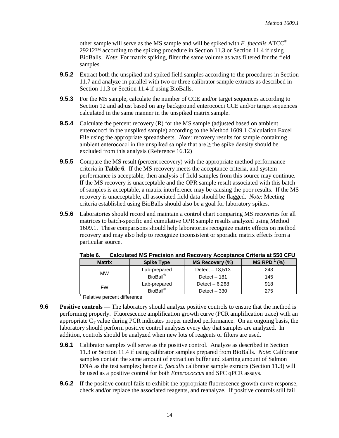other sample will serve as the MS sample and will be spiked with *E. faecalis* ATCC® 29212™ according to the spiking procedure in Section 11.3 or Section 11.4 if using BioBalls. *Note*: For matrix spiking, filter the same volume as was filtered for the field samples.

- **9.5.2** Extract both the unspiked and spiked field samples according to the procedures in Section 11.7 and analyze in parallel with two or three calibrator sample extracts as described in Section 11.3 or Section 11.4 if using BioBalls.
- **9.5.3** For the MS sample, calculate the number of CCE and/or target sequences according to Section 12 and adjust based on any background enterococci CCE and/or target sequences calculated in the same manner in the unspiked matrix sample.
- **9.5.4** Calculate the percent recovery (R) for the MS sample (adjusted based on ambient enterococci in the unspiked sample) according to the Method 1609.1 Calculation Excel File using the appropriate spreadsheets. *Note*: recovery results for sample containing ambient enterococci in the unspiked sample that are  $\geq$  the spike density should be excluded from this analysis (Reference 16.12)
- **9.5.5** Compare the MS result (percent recovery) with the appropriate method performance criteria in **Table 6**. If the MS recovery meets the acceptance criteria, and system performance is acceptable, then analysis of field samples from this source may continue. If the MS recovery is unacceptable and the OPR sample result associated with this batch of samples is acceptable, a matrix interference may be causing the poor results. If the MS recovery is unacceptable, all associated field data should be flagged. *Note*: Meeting criteria established using BioBalls should also be a goal for laboratory spikes.
- **9.5.6** Laboratories should record and maintain a control chart comparing MS recoveries for all matrices to batch-specific and cumulative OPR sample results analyzed using Method 1609.1. These comparisons should help laboratories recognize matrix effects on method recovery and may also help to recognize inconsistent or sporadic matrix effects from a particular source.

| <b>Matrix</b> | <b>Spike Type</b>           | MS Recovery (%)  | $MS$ RPD $^1$ (%) |
|---------------|-----------------------------|------------------|-------------------|
|               | Lab-prepared                | Detect $-13.513$ | 243               |
| <b>MW</b>     | <b>BioBall</b> <sup>®</sup> | Detect $-181$    | 145               |
|               | Lab-prepared                | Detect $-6,268$  | 918               |
| <b>FW</b>     | <b>BioBall</b> <sup>®</sup> | Detect $-330$    | 275               |

**Table 6. Calculated MS Precision and Recovery Acceptance Criteria at 550 CFU**

**Relative percent difference** 

- **9.6 Positive controls** The laboratory should analyze positive controls to ensure that the method is performing properly. Fluorescence amplification growth curve (PCR amplification trace) with an appropriate  $C_T$  value during PCR indicates proper method performance. On an ongoing basis, the laboratory should perform positive control analyses every day that samples are analyzed. In addition, controls should be analyzed when new lots of reagents or filters are used.
	- **9.6.1** Calibrator samples will serve as the positive control. Analyze as described in Section 11.3 or Section 11.4 if using calibrator samples prepared from BioBalls. *Note*: Calibrator samples contain the same amount of extraction buffer and starting amount of Salmon DNA as the test samples; hence *E. faecalis* calibrator sample extracts (Section 11.3) will be used as a positive control for both *Enterococcus* and SPC qPCR assays.
	- **9.6.2** If the positive control fails to exhibit the appropriate fluorescence growth curve response, check and/or replace the associated reagents, and reanalyze. If positive controls still fail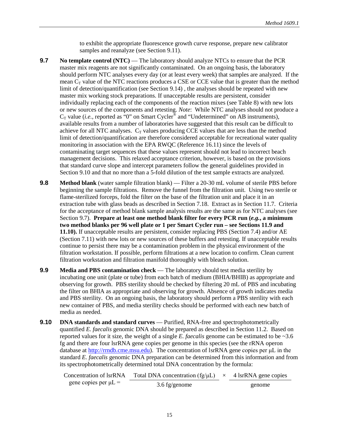to exhibit the appropriate fluorescence growth curve response, prepare new calibrator samples and reanalyze (see Section 9.11).

- **9.7 No template control (NTC)** The laboratory should analyze NTCs to ensure that the PCR master mix reagents are not significantly contaminated. On an ongoing basis, the laboratory should perform NTC analyses every day (or at least every week) that samples are analyzed. If the mean  $C_T$  value of the NTC reactions produces a CSE or CCE value that is greater than the method limit of detection/quantification (see Section 9.14) , the analyses should be repeated with new master mix working stock preparations. If unacceptable results are persistent, consider individually replacing each of the components of the reaction mixes (see Table 8) with new lots or new sources of the components and retesting. *Note*: While NTC analyses should not produce a  $C_T$  value (*i.e.*, reported as "0" on Smart Cycler<sup>®</sup> and "Undetermined" on AB instruments), available results from a number of laboratories have suggested that this result can be difficult to achieve for all NTC analyses.  $C_T$  values producing CCE values that are less than the method limit of detection/quantification are therefore considered acceptable for recreational water quality monitoring in association with the EPA RWQC (Reference 16.11) since the levels of contaminating target sequences that these values represent should not lead to incorrect beach management decisions. This relaxed acceptance criterion, however, is based on the provisions that standard curve slope and intercept parameters follow the general guidelines provided in Section 9.10 and that no more than a 5-fold dilution of the test sample extracts are analyzed.
- **9.8 Method blank** (water sample filtration blank) Filter a 20-30 mL volume of sterile PBS before beginning the sample filtrations. Remove the funnel from the filtration unit. Using two sterile or flame-sterilized forceps, fold the filter on the base of the filtration unit and place it in an extraction tube with glass beads as described in Section 7.18. Extract as in Section 11.7. Criteria for the acceptance of method blank sample analysis results are the same as for NTC analyses (see Section 9.7). **Prepare at least one method blank filter for every PCR run (***e.g.***, a minimum two method blanks per 96 well plate or 1 per Smart Cycler run – see Sections 11.9 and 11.10).** If unacceptable results are persistent, consider replacing PBS (Section 7.4) and/or AE (Section 7.11) with new lots or new sources of these buffers and retesting. If unacceptable results continue to persist there may be a contamination problem in the physical environment of the filtration workstation. If possible, perform filtrations at a new location to confirm. Clean current filtration workstation and filtration manifold thoroughly with bleach solution.
- **9.9 Media and PBS contamination check** The laboratory should test media sterility by incubating one unit (plate or tube) from each batch of medium (BHIA/BHIB) as appropriate and observing for growth. PBS sterility should be checked by filtering 20 mL of PBS and incubating the filter on BHIA as appropriate and observing for growth. Absence of growth indicates media and PBS sterility. On an ongoing basis, the laboratory should perform a PBS sterility with each new container of PBS, and media sterility checks should be performed with each new batch of media as needed.
- **9.10 DNA standards and standard curves** Purified, RNA-free and spectrophotometrically quantified *E. faecalis* genomic DNA should be prepared as described in Section 11.2. Based on reported values for it size, the weight of a single *E. faecalis* genome can be estimated to be ~3.6 fg and there are four lsrRNA gene copies per genome in this species (see the rRNA operon database at [http://rrndb.cme.msu.edu\).](http://rrndb.cme.msu.edu) The concentration of lsrRNA gene copies per μL in the standard *E. faecalis* genomic DNA preparation can be determined from this information and from its spectrophotometrically determined total DNA concentration by the formula:

| Concentration of IsrRNA   | Total DNA concentration (fg/ $\mu$ L) $\times$ 4 lsrRNA gene copies |  |        |
|---------------------------|---------------------------------------------------------------------|--|--------|
| gene copies per $\mu L =$ | $3.6 \text{ fg/genome}$                                             |  | genome |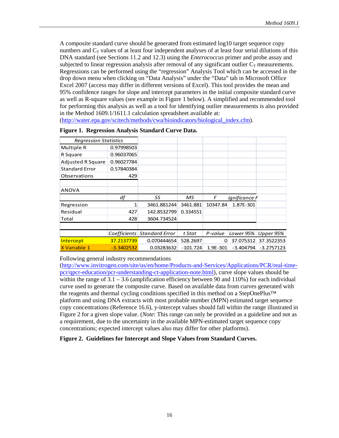A composite standard curve should be generated from estimated log10 target sequence copy numbers and  $C_T$  values of at least four independent analyses of at least four serial dilutions of this DNA standard (see Sections 11.2 and 12.3) using the *Enterococcus* primer and probe assay and subjected to linear regression analysis after removal of any significant outlier  $C_T$  measurements. Regressions can be performed using the "regression" Analysis Tool which can be accessed in the drop down menu when clicking on "Data Analysis" under the "Data" tab in Microsoft Office Excel 2007 (access may differ in different versions of Excel). This tool provides the mean and 95% confidence ranges for slope and intercept parameters in the initial composite standard curve as well as R-square values (see example in Figure 1 below). A simplified and recommended tool for performing this analysis as well as a tool for identifying outlier measurements is also provided in the Method 1609.1/1611.1 calculation spreadsheet available at:

[\(http://water.epa.gov/scitech/methods/cwa/bioindicators/biological\\_index.cfm\)](http://water.epa.gov/scitech/methods/cwa/bioindicators/biological_index.cfm).

| <b>Regression Statistics</b> |              |                             |            |          |               |              |
|------------------------------|--------------|-----------------------------|------------|----------|---------------|--------------|
| Multiple R                   | 0.97998503   |                             |            |          |               |              |
| R Square                     | 0.96037065   |                             |            |          |               |              |
| <b>Adjusted R Square</b>     | 0.96027784   |                             |            |          |               |              |
| <b>Standard Error</b>        | 0.57840384   |                             |            |          |               |              |
| Observations                 | 429          |                             |            |          |               |              |
|                              |              |                             |            |          |               |              |
| <b>ANOVA</b>                 |              |                             |            |          |               |              |
|                              | df           | SS                          | мs         | F        | ianificance F |              |
| Regression                   | 1            | 3461.881244                 | 3461.881   | 10347.84 | 1.87E-301     |              |
| Residual                     | 427          | 142.8532799                 | 0.334551   |          |               |              |
| Total                        | 428          | 3604.734524                 |            |          |               |              |
|                              |              |                             |            |          |               |              |
|                              |              | Coefficients Standard Error | t Stat     | P-value  | Lower 95%     | Upper 95%    |
| Intercept                    | 37.2137739   | 0.070444654                 | 528.2697   | $\Omega$ | 37.075312     | 37.3522353   |
| X Variable 1                 | $-3.3402532$ | 0.03283632                  | $-101.724$ | 1.9E-301 | $-3.404794$   | $-3.2757123$ |

|  | Figure 1. Regression Analysis Standard Curve Data. |
|--|----------------------------------------------------|
|--|----------------------------------------------------|

Following general industry recommendations

[\(http://www.invitrogen.com/site/us/en/home/Products-and-Services/Applications/PCR/real-time](http://www.invitrogen.com/site/us/en/home/Products-and-Services/Applications/PCR/real-time-pcr/qpcr-education/pcr-understanding-ct-application-note.html)pcr/qpcr-education/pcr-understanding-ct-application-note.html), curve slope values should be within the range of  $3.1 - 3.6$  (amplification efficiency between 90 and 110%) for each individual curve used to generate the composite curve. Based on available data from curves generated with the reagents and thermal cycling conditions specified in this method on a StepOnePlus™ platform and using DNA extracts with most probable number (MPN) estimated target sequence copy concentrations (Reference 16.6), y-intercept values should fall within the range illustrated in Figure 2 for a given slope value. (*Note*: This range can only be provided as a guideline and not as a requirement, due to the uncertainty in the available MPN-estimated target sequence copy concentrations; expected intercept values also may differ for other platforms).

**Figure 2. Guidelines for Intercept and Slope Values from Standard Curves.**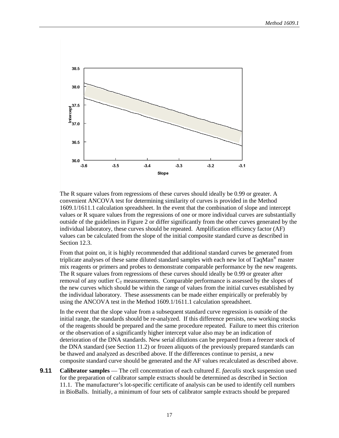

The R square values from regressions of these curves should ideally be 0.99 or greater. A convenient ANCOVA test for determining similarity of curves is provided in the Method 1609.1/1611.1 calculation spreadsheet. In the event that the combination of slope and intercept values or R square values from the regressions of one or more individual curves are substantially outside of the guidelines in Figure 2 or differ significantly from the other curves generated by the individual laboratory, these curves should be repeated. Amplification efficiency factor (AF) values can be calculated from the slope of the initial composite standard curve as described in Section 12.3.

From that point on, it is highly recommended that additional standard curves be generated from triplicate analyses of these same diluted standard samples with each new lot of TaqMan® master mix reagents or primers and probes to demonstrate comparable performance by the new reagents. The R square values from regressions of these curves should ideally be 0.99 or greater after removal of any outlier  $C_T$  measurements. Comparable performance is assessed by the slopes of the new curves which should be within the range of values from the initial curves established by the individual laboratory. These assessments can be made either empirically or preferably by using the ANCOVA test in the Method 1609.1/1611.1 calculation spreadsheet.

In the event that the slope value from a subsequent standard curve regression is outside of the initial range, the standards should be re-analyzed. If this difference persists, new working stocks of the reagents should be prepared and the same procedure repeated. Failure to meet this criterion or the observation of a significantly higher intercept value also may be an indication of deterioration of the DNA standards. New serial dilutions can be prepared from a freezer stock of the DNA standard (see Section 11.2) or frozen aliquots of the previously prepared standards can be thawed and analyzed as described above. If the differences continue to persist, a new composite standard curve should be generated and the AF values recalculated as described above.

**9.11 Calibrator samples** — The cell concentration of each cultured *E. faecalis* stock suspension used for the preparation of calibrator sample extracts should be determined as described in Section 11.1. The manufacturer's lot-specific certificate of analysis can be used to identify cell numbers in BioBalls. Initially, a minimum of four sets of calibrator sample extracts should be prepared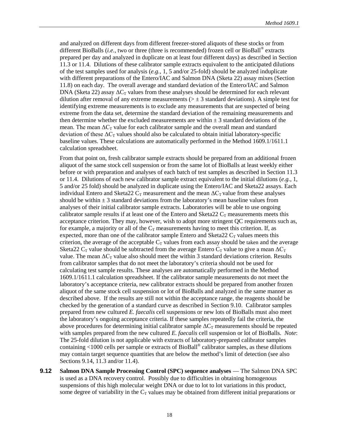and analyzed on different days from different freezer-stored aliquots of these stocks or from different BioBalls (*i.e.,* two or three (three is recommended) frozen cell or BioBall ® extracts prepared per day and analyzed in duplicate on at least four different days) as described in Section 11.3 or 11.4. Dilutions of these calibrator sample extracts equivalent to the anticipated dilutions of the test samples used for analysis (*e.g.,* 1, 5 and/or 25-fold) should be analyzed induplicate with different preparations of the Entero/IAC and Salmon DNA (Sketa 22) assay mixes (Section 11.8) on each day. The overall average and standard deviation of the Entero/IAC and Salmon DNA (Sketa 22) assay  $\Delta C_T$  values from these analyses should be determined for each relevant dilution after removal of any extreme measurements ( $> \pm 3$  standard deviations). A simple test for identifying extreme measurements is to exclude any measurements that are suspected of being extreme from the data set, determine the standard deviation of the remaining measurements and then determine whether the excluded measurements are within  $\pm$  3 standard deviations of the mean. The mean  $\Delta C_T$  value for each calibrator sample and the overall mean and standard deviation of these  $\Delta C_T$  values should also be calculated to obtain initial laboratory-specific baseline values. These calculations are automatically performed in the Method 1609.1/1611.1 calculation spreadsheet.

From that point on, fresh calibrator sample extracts should be prepared from an additional frozen aliquot of the same stock cell suspension or from the same lot of BioBalls at least weekly either before or with preparation and analyses of each batch of test samples as described in Section 11.3 or 11.4. Dilutions of each new calibrator sample extract equivalent to the initial dilutions (*e.g.*, 1, 5 and/or 25 fold) should be analyzed in duplicate using the Entero/IAC and Sketa22 assays. Each individual Entero and Sketa22  $C_T$  measurement and the mean  $\Delta C_T$  value from these analyses should be within  $\pm 3$  standard deviations from the laboratory's mean baseline values from analyses of their initial calibrator sample extracts. Laboratories will be able to use ongoing calibrator sample results if at least one of the Entero and Sketa22  $C_T$  measurements meets this acceptance criterion. They may, however, wish to adopt more stringent QC requirements such as, for example, a majority or all of the  $C_T$  measurements having to meet this criterion. If, as expected, more than one of the calibrator sample Entero and Sketa22  $C<sub>T</sub>$  values meets this criterion, the average of the acceptable  $C_T$  values from each assay should be taken and the average Sketa22  $C_T$  value should be subtracted from the average Entero  $C_T$  value to give a mean  $\Delta C_T$ value. The mean  $\Delta C_T$  value also should meet the within 3 standard deviations criterion. Results from calibrator samples that do not meet the laboratory's criteria should not be used for calculating test sample results. These analyses are automatically performed in the Method 1609.1/1611.1 calculation spreadsheet. If the calibrator sample measurements do not meet the laboratory's acceptance criteria, new calibrator extracts should be prepared from another frozen aliquot of the same stock cell suspension or lot of BioBalls and analyzed in the same manner as described above. If the results are still not within the acceptance range, the reagents should be checked by the generation of a standard curve as described in Section 9.10. Calibrator samples prepared from new cultured *E. faecalis* cell suspensions or new lots of BioBalls must also meet the laboratory's ongoing acceptance criteria. If these samples repeatedly fail the criteria, the above procedures for determining initial calibrator sample  $\Delta C_T$  measurements should be repeated with samples prepared from the new cultured *E. faecalis* cell suspension or lot of BioBalls. *Note*: The 25-fold dilution is not applicable with extracts of laboratory-prepared calibrator samples containing <1000 cells per sample or extracts of BioBall® calibrator samples, as these dilutions may contain target sequence quantities that are below the method's limit of detection (see also Sections 9.14, 11.3 and/or 11.4).

**9.12 Salmon DNA Sample Processing Control (SPC) sequence analyses** — The Salmon DNA SPC is used as a DNA recovery control. Possibly due to difficulties in obtaining homogenous suspensions of this high molecular weight DNA or due to lot to lot variations in this product, some degree of variability in the  $C_T$  values may be obtained from different initial preparations or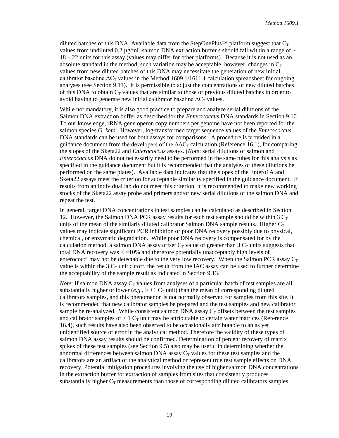diluted batches of this DNA. Available data from the StepOnePlus<sup>™</sup> platform suggest that  $C_T$ values from undiluted 0.2  $\mu$ g/mL salmon DNA extraction buffer s should fall within a range of  $\sim$ 18 – 22 units for this assay (values may differ for other platforms). Because it is not used as an absolute standard in the method, such variation may be acceptable, however, changes in  $C_T$ values from new diluted batches of this DNA may necessitate the generation of new initial calibrator baseline  $\Delta C_T$  values in the Method 1609.1/1611.1 calculation spreadsheet for ongoing analyses (see Section 9.11). It is permissible to adjust the concentrations of new diluted batches of this DNA to obtain  $C_T$  values that are similar to those of previous diluted batches in order to avoid having to generate new initial calibrator baseline  $\Delta C_T$  values.

While not mandatory, it is also good practice to prepare and analyze serial dilutions of the Salmon DNA extraction buffer as described for the *Enterococcus* DNA standards in Section 9.10. To our knowledge, rRNA gene operon copy numbers per genome have not been reported for the salmon species *O. keta*. However, log-transformed target sequence values of the *Enterococcus* DNA standards can be used for both assays for comparisons. A procedure is provided in a guidance document from the developers of the  $\Delta\Delta C_{\text{T}}$  calculation (Reference 16.1), for comparing the slopes of the Sketa22 and *Enterococcus* assays. (*Note*: serial dilutions of salmon and *Enterococcus* DNA do not necessarily need to be performed in the same tubes for this analysis as specified in the guidance document but it is recommended that the analyses of these dilutions be performed on the same plates). Available data indicates that the slopes of the Entero1A and Sketa22 assays meet the criterion for acceptable similarity specified in the guidance document. If results from an individual lab do not meet this criterion, it is recommended to make new working stocks of the Sketa22 assay probe and primers and/or new serial dilutions of the salmon DNA and repeat the test.

In general, target DNA concentrations in test samples can be calculated as described in Section 12. However, the Salmon DNA PCR assay results for each test sample should be within 3  $C_T$ units of the mean of the similarly diluted calibrator Salmon DNA sample results. Higher  $C_T$ values may indicate significant PCR inhibition or poor DNA recovery possibly due to physical, chemical, or enzymatic degradation. While poor DNA recovery is compensated for by the calculation method, a salmon DNA assay offset  $C_T$  value of greater than 3  $C_T$  units suggests that total DNA recovery was  $\lt$  ~10% and therefore potentially unacceptably high levels of enterococci may not be detectable due to the very low recovery. When the Salmon PCR assay  $C_T$ value is within the 3  $C_T$  unit cutoff, the result from the IAC assay can be used to further determine the acceptability of the sample result as indicated in Section 9.13.

*Note*: If salmon DNA assay  $C_T$  values from analyses of a particular batch of test samples are all substantially higher or lower  $(e.g., z \pm 1 \, C_T \, \text{unit})$  than the mean of corresponding diluted calibrators samples, and this phenomenon is not normally observed for samples from this site, it is recommended that new calibrator samples be prepared and the test samples and new calibrator sample be re-analyzed. While consistent salmon DNA assay  $C_T$  offsets between the test samples and calibrator samples of  $> 1$  C<sub>T</sub> unit may be attributable to certain water matrices (Reference 16.4), such results have also been observed to be occasionally attributable to an as yet unidentified source of error in the analytical method. Therefore the validity of these types of salmon DNA assay results should be confirmed. Determination of percent recovery of matrix spikes of these test samples (see Section 9.5) also may be useful in determining whether the abnormal differences between salmon DNA assay  $C_T$  values for these test samples and the calibrators are an artifact of the analytical method or represent true test sample effects on DNA recovery. Potential mitigation procedures involving the use of higher salmon DNA concentrations in the extraction buffer for extraction of samples from sites that consistently produces substantially higher  $C_T$  measurements than those of corresponding diluted calibrators samples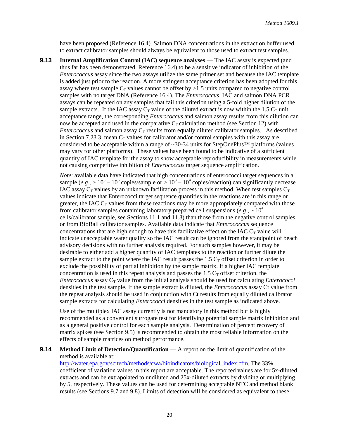have been proposed (Reference 16.4). Salmon DNA concentrations in the extraction buffer used to extract calibrator samples should always be equivalent to those used to extract test samples.

**9.13 Internal Amplification Control (IAC) sequence analyses** — The IAC assay is expected (and thus far has been demonstrated, Reference 16.4) to be a sensitive indicator of inhibition of the *Enterococcus* assay since the two assays utilize the same primer set and because the IAC template is added just prior to the reaction. A more stringent acceptance criterion has been adopted for this assay where test sample  $C_T$  values cannot be offset by >1.5 units compared to negative control samples with no target DNA (Reference 16.4). The *Enterococcus*, IAC and salmon DNA PCR assays can be repeated on any samples that fail this criterion using a 5-fold higher dilution of the sample extracts. If the IAC assay  $C_T$  value of the diluted extract is now within the 1.5  $C_T$  unit acceptance range, the corresponding *Enterococcus* and salmon assay results from this dilution can now be accepted and used in the comparative  $C<sub>T</sub>$  calculation method (see Section 12) with *Enterococcus* and salmon assay  $C_T$  results from equally diluted calibrator samples. As described in Section 7.23.3, mean  $C_T$  values for calibrator and/or control samples with this assay are considered to be acceptable within a range of ~30-34 units for StepOnePlus™ platforms (values may vary for other platforms). These values have been found to be indicative of a sufficient quantity of IAC template for the assay to show acceptable reproducibility in measurements while not causing competitive inhibition of *Enterococcus* target sequence amplification.

*Note*: available data have indicated that high concentrations of enterococci target sequences in a sample (*e.g.*,  $> 10^5 - 10^6$  copies/sample or  $> 10^3 - 10^4$  copies/reaction) can significantly decrease IAC assay  $C_T$  values by an unknown facilitation process in this method. When test samples  $C_T$ values indicate that Enterococci target sequence quantities in the reactions are in this range or greater, the IAC  $C_T$  values from these reactions may be more appropriately compared with those from calibrator samples containing laboratory prepared cell suspensions (*e.g.*,  $\sim 10^4$ ) cells/calibrator sample, see Sections 11.1 and 11.3) than those from the negative control samples or from BioBall calibrator samples. Available data indicate that *Enterococcus* sequence concentrations that are high enough to have this facilitative effect on the IAC  $C<sub>T</sub>$  value will indicate unacceptable water quality so the IAC result can be ignored from the standpoint of beach advisory decisions with no further analysis required. For such samples however, it may be desirable to either add a higher quantity of IAC templates to the reaction or further dilute the sample extract to the point where the IAC result passes the 1.5  $C<sub>T</sub>$  offset criterion in order to exclude the possibility of partial inhibition by the sample matrix. If a higher IAC template concentration is used in this repeat analysis and passes the  $1.5 C<sub>T</sub>$  offset criterion, the *Enterococcus* assay C<sub>T</sub> value from the initial analysis should be used for calculating *Enterococci* densities in the test sample. If the sample extract is diluted, the *Enterococcus* assay Ct value from the repeat analysis should be used in conjunction with Ct results from equally diluted calibrator sample extracts for calculating *Enterococci* densities in the test sample as indicated above.

Use of the multiplex IAC assay currently is not mandatory in this method but is highly recommended as a convenient surrogate test for identifying potential sample matrix inhibition and as a general positive control for each sample analysis. Determination of percent recovery of matrix spikes (see Section 9.5) is recommended to obtain the most reliable information on the effects of sample matrices on method performance.

#### **9.14 Method Limit of Detection/Quantification** — A report on the limit of quantification of the method is available at:

[http://water.epa.gov/scitech/methods/cwa/bioindicators/biological\\_index.cfm.](http://water.epa.gov/scitech/methods/cwa/bioindicators/biological_index.cfm) The 33% coefficient of variation values in this report are acceptable. The reported values are for 5x-diluted extracts and can be extrapolated to undiluted and 25x-diluted extracts by dividing or multiplying by 5, respectively. These values can be used for determining acceptable NTC and method blank results (see Sections 9.7 and 9.8). Limits of detection will be considered as equivalent to these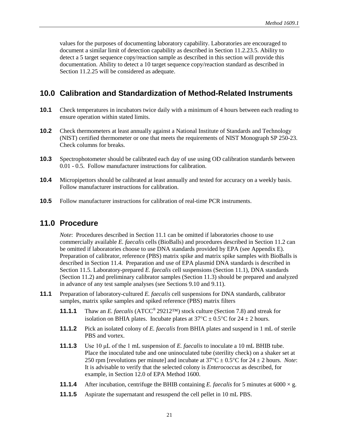values for the purposes of documenting laboratory capability. Laboratories are encouraged to document a similar limit of detection capability as described in Section 11.2.23.5. Ability to detect a 5 target sequence copy/reaction sample as described in this section will provide this documentation. Ability to detect a 10 target sequence copy/reaction standard as described in Section 11.2.25 will be considered as adequate.

## <span id="page-27-0"></span>**10.0 Calibration and Standardization of Method-Related Instruments**

- **10.1** Check temperatures in incubators twice daily with a minimum of 4 hours between each reading to ensure operation within stated limits.
- **10.2** Check thermometers at least annually against a National Institute of Standards and Technology (NIST) certified thermometer or one that meets the requirements of NIST Monograph SP 250-23. Check columns for breaks.
- **10.3** Spectrophotometer should be calibrated each day of use using OD calibration standards between 0.01 - 0.5. Follow manufacturer instructions for calibration.
- **10.4** Micropipettors should be calibrated at least annually and tested for accuracy on a weekly basis. Follow manufacturer instructions for calibration.
- **10.5** Follow manufacturer instructions for calibration of real-time PCR instruments.

### <span id="page-27-1"></span>**11.0 Procedure**

*Note*: Procedures described in Section 11.1 can be omitted if laboratories choose to use commercially available *E. faecalis* cells (BioBalls) and procedures described in Section 11.2 can be omitted if laboratories choose to use DNA standards provided by EPA (see Appendix E). Preparation of calibrator, reference (PBS) matrix spike and matrix spike samples with BioBalls is described in Section 11.4. Preparation and use of EPA plasmid DNA standards is described in Section 11.5. Laboratory-prepared *E. faecalis* cell suspensions (Section 11.1), DNA standards (Section 11.2) and preliminary calibrator samples (Section 11.3) should be prepared and analyzed in advance of any test sample analyses (see Sections 9.10 and 9.11).

- **11.1** Preparation of laboratory-cultured *E. faecalis* cell suspensions for DNA standards, calibrator samples, matrix spike samples and spiked reference (PBS) matrix filters
	- **11.1.1** Thaw an *E. faecalis* (ATCC® 29212™) stock culture (Section 7.8) and streak for isolation on BHIA plates. Incubate plates at  $37^{\circ}$ C  $\pm$  0.5°C for 24  $\pm$  2 hours.
	- **11.1.2** Pick an isolated colony of *E. faecalis* from BHIA plates and suspend in 1 mL of sterile PBS and vortex.
	- **11.1.3** Use 10 μL of the 1 mL suspension of *E. faecalis* to inoculate a 10 mL BHIB tube. Place the inoculated tube and one uninoculated tube (sterility check) on a shaker set at 250 rpm [revolutions per minute] and incubate at 37°C ± 0.5°C for 24 ± 2 hours. *Note*: It is advisable to verify that the selected colony is *Enterococcus* as described, for example, in Section 12.0 of EPA Method 1600.
	- **11.1.4** After incubation, centrifuge the BHIB containing *E. faecalis* for 5 minutes at 6000  $\times$  g.
	- **11.1.5** Aspirate the supernatant and resuspend the cell pellet in 10 mL PBS.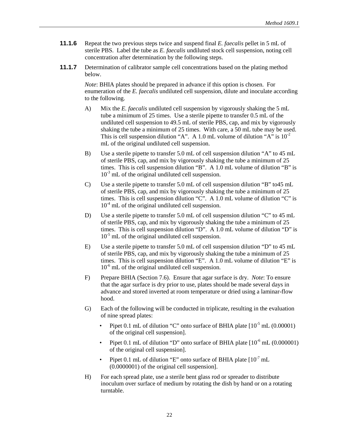- **11.1.6** Repeat the two previous steps twice and suspend final *E. faecalis* pellet in 5 mL of sterile PBS. Label the tube as *E. faecalis* undiluted stock cell suspension, noting cell concentration after determination by the following steps.
- **11.1.7** Determination of calibrator sample cell concentrations based on the plating method below.

*Note*: BHIA plates should be prepared in advance if this option is chosen. For enumeration of the *E. faecalis* undiluted cell suspension, dilute and inoculate according to the following.

- A) Mix the *E. faecalis* undiluted cell suspension by vigorously shaking the 5 mL tube a minimum of 25 times. Use a sterile pipette to transfer 0.5 mL of the undiluted cell suspension to 49.5 mL of sterile PBS, cap, and mix by vigorously shaking the tube a minimum of 25 times. With care, a 50 mL tube may be used. This is cell suspension dilution "A". A 1.0 mL volume of dilution "A" is  $10^{-2}$ mL of the original undiluted cell suspension.
- B) Use a sterile pipette to transfer 5.0 mL of cell suspension dilution "A" to 45 mL of sterile PBS, cap, and mix by vigorously shaking the tube a minimum of 25 times. This is cell suspension dilution "B". A 1.0 mL volume of dilution "B" is  $10^{-3}$  mL of the original undiluted cell suspension.
- C) Use a sterile pipette to transfer 5.0 mL of cell suspension dilution "B" to45 mL of sterile PBS, cap, and mix by vigorously shaking the tube a minimum of 25 times. This is cell suspension dilution "C". A 1.0 mL volume of dilution "C" is  $10^{-4}$  mL of the original undiluted cell suspension.
- D) Use a sterile pipette to transfer 5.0 mL of cell suspension dilution "C" to 45 mL of sterile PBS, cap, and mix by vigorously shaking the tube a minimum of 25 times. This is cell suspension dilution "D". A 1.0 mL volume of dilution "D" is  $10^{-5}$  mL of the original undiluted cell suspension.
- E) Use a sterile pipette to transfer 5.0 mL of cell suspension dilution "D" to 45 mL of sterile PBS, cap, and mix by vigorously shaking the tube a minimum of 25 times. This is cell suspension dilution "E". A 1.0 mL volume of dilution "E" is  $10^{-6}$  mL of the original undiluted cell suspension.
- F) Prepare BHIA (Section 7.6). Ensure that agar surface is dry. *Note*: To ensure that the agar surface is dry prior to use, plates should be made several days in advance and stored inverted at room temperature or dried using a laminar-flow hood.
- G) Each of the following will be conducted in triplicate, resulting in the evaluation of nine spread plates:
	- Pipet 0.1 mL of dilution "C" onto surface of BHIA plate  $[10^5$  mL (0.00001) of the original cell suspension].
	- Pipet 0.1 mL of dilution "D" onto surface of BHIA plate  $[10^{-6}$  mL (0.000001) of the original cell suspension].
	- Pipet 0.1 mL of dilution "E" onto surface of BHIA plate  $[10^7 \text{ mL}]$ (0.0000001) of the original cell suspension].
- H) For each spread plate, use a sterile bent glass rod or spreader to distribute inoculum over surface of medium by rotating the dish by hand or on a rotating turntable.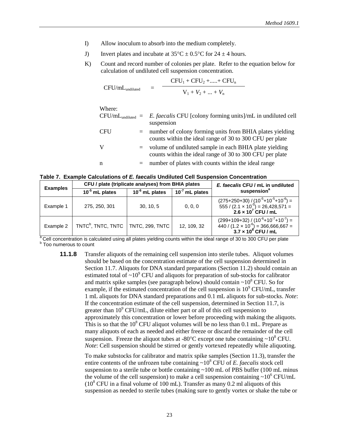- I) Allow inoculum to absorb into the medium completely.
- J) Invert plates and incubate at  $35^{\circ}\text{C} \pm 0.5^{\circ}\text{C}$  for  $24 \pm 4$  hours.
- K) Count and record number of colonies per plate. Refer to the equation below for calculation of undiluted cell suspension concentration.

CFU/mL<sub>undiluted</sub> = 
$$
\frac{CFU_1 + CFU_2 + \dots + CFU_n}{V_1 + V_2 + \dots + V_n}
$$

| Where:     |     |                                                                                                                      |
|------------|-----|----------------------------------------------------------------------------------------------------------------------|
|            |     | $CFU/mL_{undiluted} = E. faecalis CFU [colony forming units]/mL in undiluted cell$<br>suspension                     |
| <b>CFU</b> | $=$ | number of colony forming units from BHIA plates yielding<br>counts within the ideal range of 30 to 300 CFU per plate |
| V          | $=$ | volume of undiluted sample in each BHIA plate yielding<br>counts within the ideal range of 30 to 300 CFU per plate   |
| n          | $=$ | number of plates with counts within the ideal range                                                                  |

**Table 7. Example Calculations of** *E. faecalis* **Undiluted Cell Suspension Concentration**

| <b>Examples</b> |                                | CFU / plate (triplicate analyses) from BHIA plates<br>E. faecalis CFU / mL in undiluted |                     |                                                                                                                                |
|-----------------|--------------------------------|-----------------------------------------------------------------------------------------|---------------------|--------------------------------------------------------------------------------------------------------------------------------|
|                 | $10^{-5}$ mL plates            | $10^{-6}$ mL plates                                                                     | $10^{-7}$ mL plates | suspension <sup>a</sup>                                                                                                        |
| Example 1       | 275, 250, 301                  | 30.10.5                                                                                 | 0, 0, 0             | $(275+250+30) / (10^5+10^5+10^6) =$<br>555 / $(2.1 \times 10^5) = 26,428,571 =$<br>2.6 × 10 <sup>7</sup> CFU / mL              |
| Example 2       | TNTC <sup>b</sup> , TNTC, TNTC | <b>TNTC, 299, TNTC</b>                                                                  | 12, 109, 32         | $(299+109+32) / (10-6+10-7+10-7) =$<br>440 / (1.2 × 10 <sup>-6</sup> ) = 366,666,667 =<br><b>3.7 × 10<sup>8</sup> CFU / mL</b> |

<sup>a</sup> Cell concentration is calculated using all plates yielding counts within the ideal range of 30 to 300 CFU per plate b Too numerous to count

**11.1.8** Transfer aliquots of the remaining cell suspension into sterile tubes. Aliquot volumes should be based on the concentration estimate of the cell suspension determined in Section 11.7. Aliquots for DNA standard preparations (Section 11.2) should contain an estimated total of  $\sim 10^9$  CFU and aliquots for preparation of sub-stocks for calibrator and matrix spike samples (see paragraph below) should contain  $\sim 10^8$  CFU. So for example, if the estimated concentration of the cell suspension is  $10^9$  CFU/mL, transfer 1 mL aliquots for DNA standard preparations and 0.1 mL aliquots for sub-stocks. *Note*: If the concentration estimate of the cell suspension, determined in Section 11.7, is greater than  $10^9$  CFU/mL, dilute either part or all of this cell suspension to approximately this concentration or lower before proceeding with making the aliquots. This is so that the  $10^8$  CFU aliquot volumes will be no less than 0.1 mL. Prepare as many aliquots of each as needed and either freeze or discard the remainder of the cell suspension. Freeze the aliquot tubes at -80 $^{\circ}$ C except one tube containing ~10 $^{\circ}$  CFU. *Note*: Cell suspension should be stirred or gently vortexed repeatedly while aliquoting.

> To make substocks for calibrator and matrix spike samples (Section 11.3), transfer the entire contents of the unfrozen tube containing  $\sim 10^8$  CFU of *E. faecalis* stock cell suspension to a sterile tube or bottle containing  $\sim 100$  mL of PBS buffer (100 mL minus the volume of the cell suspension) to make a cell suspension containing  $\sim 10^6$  CFU/mL  $(10^8$  CFU in a final volume of 100 mL). Transfer as many 0.2 ml aliquots of this suspension as needed to sterile tubes (making sure to gently vortex or shake the tube or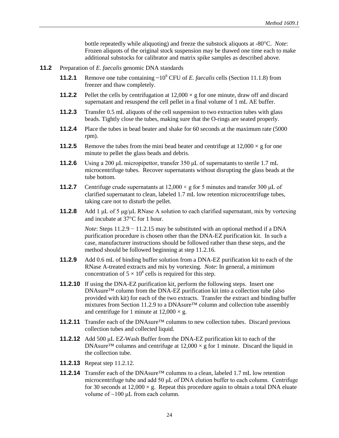bottle repeatedly while aliquoting) and freeze the substock aliquots at -80°C. *Note*: Frozen aliquots of the original stock suspension may be thawed one time each to make additional substocks for calibrator and matrix spike samples as described above.

- **11.2** Preparation of *E. faecalis* genomic DNA standards
	- **11.2.1** Remove one tube containing  $\sim 10^9$  CFU of *E. faecalis* cells (Section 11.1.8) from freezer and thaw completely.
	- **11.2.2** Pellet the cells by centrifugation at  $12,000 \times g$  for one minute, draw off and discard supernatant and resuspend the cell pellet in a final volume of 1 mL AE buffer.
	- **11.2.3** Transfer 0.5 mL aliquots of the cell suspension to two extraction tubes with glass beads. Tightly close the tubes, making sure that the O-rings are seated properly.
	- **11.2.4** Place the tubes in bead beater and shake for 60 seconds at the maximum rate (5000 rpm).
	- **11.2.5** Remove the tubes from the mini bead beater and centrifuge at  $12,000 \times g$  for one minute to pellet the glass beads and debris.
	- **11.2.6** Using a 200 μL micropipettor, transfer 350 μL of supernatants to sterile 1.7 mL microcentrifuge tubes. Recover supernatants without disrupting the glass beads at the tube bottom.
	- **11.2.7** Centrifuge crude supernatants at  $12,000 \times g$  for 5 minutes and transfer 300 µL of clarified supernatant to clean, labeled 1.7 mL low retention microcentrifuge tubes, taking care not to disturb the pellet.
	- **11.2.8** Add 1  $\mu$ L of 5  $\mu$ g/ $\mu$ L RNase A solution to each clarified supernatant, mix by vortexing and incubate at 37°C for 1 hour.

*Note*: Steps 11.2.9 − 11.2.15 may be substituted with an optional method if a DNA purification procedure is chosen other than the DNA-EZ purification kit. In such a case, manufacturer instructions should be followed rather than these steps, and the method should be followed beginning at step 11.2.16.

- **11.2.9** Add 0.6 mL of binding buffer solution from a DNA-EZ purification kit to each of the RNase A-treated extracts and mix by vortexing. *Note*: In general, a minimum concentration of  $5 \times 10^8$  cells is required for this step.
- **11.2.10** If using the DNA-EZ purification kit, perform the following steps. Insert one DNAsure™ column from the DNA-EZ purification kit into a collection tube (also provided with kit) for each of the two extracts. Transfer the extract and binding buffer mixtures from Section 11.2.9 to a DNAsure™ column and collection tube assembly and centrifuge for 1 minute at  $12,000 \times g$ .
- **11.2.11** Transfer each of the DNAsure™ columns to new collection tubes. Discard previous collection tubes and collected liquid.
- **11.2.12** Add 500 μL EZ-Wash Buffer from the DNA-EZ purification kit to each of the DNAsure<sup>TM</sup> columns and centrifuge at  $12,000 \times g$  for 1 minute. Discard the liquid in the collection tube.
- **11.2.13** Repeat step 11.2.12.
- **11.2.14** Transfer each of the DNAsure™ columns to a clean, labeled 1.7 mL low retention microcentrifuge tube and add 50 μL of DNA elution buffer to each column. Centrifuge for 30 seconds at  $12,000 \times g$ . Repeat this procedure again to obtain a total DNA eluate volume of  $\sim$ 100 μL from each column.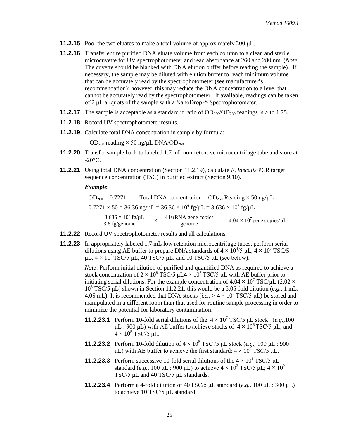- **11.2.15** Pool the two eluates to make a total volume of approximately 200 μL.
- **11.2.16** Transfer entire purified DNA eluate volume from each column to a clean and sterile microcuvette for UV spectrophotometer and read absorbance at 260 and 280 nm. (*Note*: The cuvette should be blanked with DNA elution buffer before reading the sample). If necessary, the sample may be diluted with elution buffer to reach minimum volume that can be accurately read by the spectrophotometer (see manufacturer's recommendation); however, this may reduce the DNA concentration to a level that cannot be accurately read by the spectrophotometer. If available, readings can be taken of 2 μL aliquots of the sample with a NanoDrop™ Spectrophotometer.
- **11.2.17** The sample is acceptable as a standard if ratio of  $OD_{260}/OD_{280}$  readings is  $\geq$  to 1.75.
- **11.2.18** Record UV spectrophotometer results.
- **11.2.19** Calculate total DNA concentration in sample by formula:

 $OD_{260}$  reading  $\times$  50 ng/μL DNA/OD<sub>260</sub>

- **11.2.20** Transfer sample back to labeled 1.7 mL non-retentive microcentrifuge tube and store at  $-20$ °C.
- **11.2.21** Using total DNA concentration (Section 11.2.19), calculate *E. faecalis* PCR target sequence concentration (TSC) in purified extract (Section 9.10).

*Example*:

 $OD_{260} = 0.7271$  Total DNA concentration =  $OD_{260}$  Reading  $\times$  50 ng/ $\mu$ L  $0.7271 \times 50 = 36.36$  ng/ $\mu$ L =  $36.36 \times 10^6$  fg/ $\mu$ L =  $3.636 \times 10^7$  fg/ $\mu$ L  $\frac{3.636 \times 10^7 \text{ fg/µL}}{3.6 \text{ fg/genome}}$   $\times$   $\frac{4 \text{ IsrRNA gene copies}}{\text{genome}}$  =  $4.04 \times 10^7 \text{ gene copies/µL}$ 

- **11.2.22** Record UV spectrophotometer results and all calculations.
- **11.2.23** In appropriately labeled 1.7 mL low retention microcentrifuge tubes, perform serial dilutions using AE buffer to prepare DNA standards of  $4 \times 10^4 / 5$   $\mu$ L,  $4 \times 10^3$  TSC/5 μL,  $4 \times 10^2$  TSC/5 μL, 40 TSC/5 μL, and 10 TSC/5 μL (see below).

*Note*: Perform initial dilution of purified and quantified DNA as required to achieve a stock concentration of  $2 \times 10^8$  TSC/5  $\mu$ L $4 \times 10^7$  TSC/5  $\mu$ L with AE buffer prior to initiating serial dilutions. For the example concentration of  $4.04 \times 10^7$  TSC/ $\mu$ L (2.02  $\times$  $10^8$  TSC/5  $\mu$ L) shown in Section 11.2.21, this would be a 5.05-fold dilution (*e.g.*, 1 mL: 4.05 mL). It is recommended that DNA stocks (*i.e.*,  $> 4 \times 10^4$  TSC/5 µL) be stored and manipulated in a different room than that used for routine sample processing in order to minimize the potential for laboratory contamination.

- **11.2.23.1** Perform 10-fold serial dilutions of the  $4 \times 10^7$  TSC/5 μL stock (*e.g.*, 100) μL : 900 μL) with AE buffer to achieve stocks of  $4 \times 10^6$  TSC/5 μL; and  $4 \times 10^5$  TSC/5 μL.
- **11.2.23.2** Perform 10-fold dilution of  $4 \times 10^5$  TSC /5 μL stock (*e.g.*, 100 μL : 900 μL) with AE buffer to achieve the first standard:  $4 \times 10^4$  TSC/5 μL.
- **11.2.23.3** Perform successive 10-fold serial dilutions of the  $4 \times 10^4$  TSC/5  $\mu$ L standard (*e.g.*, 100  $\mu$ L : 900  $\mu$ L) to achieve  $4 \times 10^3$  TSC/5  $\mu$ L;  $4 \times 10^2$ TSC/5 μL and 40 TSC/5 μL standards.
- **11.2.23.4** Perform a 4-fold dilution of 40TSC/5 μL standard (*e.g.,* 100 μL : 300 μL) to achieve 10 TSC/5 μL standard.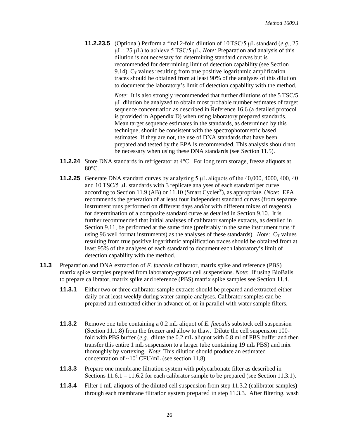**11.2.23.5** (Optional) Perform a final 2-fold dilution of 10TSC/5 μL standard (*e.g.,* 25 μL : 25 μL) to achieve 5 TSC/5 μL. *Note:* Preparation and analysis of this dilution is not necessary for determining standard curves but is recommended for determining limit of detection capability (see Section 9.14).  $C_T$  values resulting from true positive logarithmic amplification traces should be obtained from at least 90% of the analyses of this dilution to document the laboratory's limit of detection capability with the method.

> *Note*: It is also strongly recommended that further dilutions of the 5 TSC/5 μL dilution be analyzed to obtain most probable number estimates of target sequence concentration as described in Reference 16.6 (a detailed protocol is provided in Appendix D) when using laboratory prepared standards. Mean target sequence estimates in the standards, as determined by this technique, should be consistent with the spectrophotometric based estimates. If they are not, the use of DNA standards that have been prepared and tested by the EPA is recommended. This analysis should not be necessary when using these DNA standards (see Section 11.5).

- **11.2.24** Store DNA standards in refrigerator at 4°C. For long term storage, freeze aliquots at 80°C.
- **11.2.25** Generate DNA standard curves by analyzing 5 μL aliquots of the 40,000, 4000, 400, 40 and 10 TSC/5 μL standards with 3 replicate analyses of each standard per curve according to Section 11.9 (AB) or 11.10 (Smart Cycler®), as appropriate. (*Note*: EPA recommends the generation of at least four independent standard curves (from separate instrument runs performed on different days and/or with different mixes of reagents) for determination of a composite standard curve as detailed in Section 9.10. It is further recommended that initial analyses of calibrator sample extracts, as detailed in Section 9.11, be performed at the same time (preferably in the same instrument runs if using 96 well format instruments) as the analyses of these standards). *Note*:  $C_T$  values resulting from true positive logarithmic amplification traces should be obtained from at least 95% of the analyses of each standard to document each laboratory's limit of detection capability with the method.
- **11.3** Preparation and DNA extraction of *E. faecalis* calibrator, matrix spike and reference (PBS) matrix spike samples prepared from laboratory-grown cell suspensions. *Note*: If using BioBalls to prepare calibrator, matrix spike and reference (PBS) matrix spike samples see Section 11.4.
	- **11.3.1** Either two or three calibrator sample extracts should be prepared and extracted either daily or at least weekly during water sample analyses. Calibrator samples can be prepared and extracted either in advance of, or in parallel with water sample filters.
	- **11.3.2** Remove one tube containing a 0.2 mL aliquot of *E. faecalis* substock cell suspension (Section 11.1.8) from the freezer and allow to thaw. Dilute the cell suspension 100 fold with PBS buffer (*e.g.,* dilute the 0.2 mL aliquot with 0.8 ml of PBS buffer and then transfer this entire 1 mL suspension to a larger tube containing 19 mL PBS) and mix thoroughly by vortexing. *Note*: This dilution should produce an estimated concentration of  $\sim 10^4$  CFU/mL (see section 11.8).
	- **11.3.3** Prepare one membrane filtration system with polycarbonate filter as described in Sections  $11.6.1 - 11.6.2$  for each calibrator sample to be prepared (see Section 11.3.1).
	- **11.3.4** Filter 1 mL aliquots of the diluted cell suspension from step 11.3.2 (calibrator samples) through each membrane filtration system prepared in step 11.3.3. After filtering, wash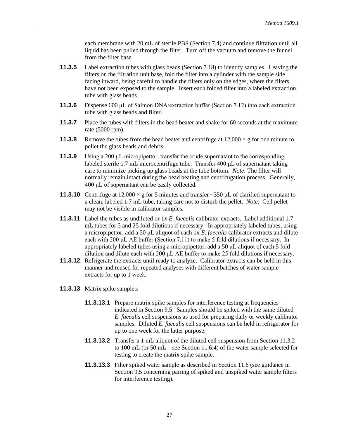each membrane with 20 mL of sterile PBS (Section 7.4) and continue filtration until all liquid has been pulled through the filter. Turn off the vacuum and remove the funnel from the filter base.

- **11.3.5** Label extraction tubes with glass beads (Section 7.18) to identify samples. Leaving the filters on the filtration unit base, fold the filter into a cylinder with the sample side facing inward, being careful to handle the filters only on the edges, where the filters have not been exposed to the sample. Insert each folded filter into a labeled extraction tube with glass beads.
- **11.3.6** Dispense 600 μL of Salmon DNA/extraction buffer (Section 7.12) into each extraction tube with glass beads and filter.
- **11.3.7** Place the tubes with filters in the bead beater and shake for 60 seconds at the maximum rate (5000 rpm).
- **11.3.8** Remove the tubes from the bead beater and centrifuge at  $12,000 \times g$  for one minute to pellet the glass beads and debris.
- **11.3.9** Using a 200 μL micropipettor, transfer the crude supernatant to the corresponding labeled sterile 1.7 mL microcentrifuge tube. Transfer 400 μL of supernatant taking care to minimize picking up glass beads at the tube bottom. *Note*: The filter will normally remain intact during the bead beating and centrifugation process. Generally, 400 μL of supernatant can be easily collected.
- **11.3.10** Centrifuge at  $12,000 \times g$  for 5 minutes and transfer ~350  $\mu$ L of clarified supernatant to a clean, labeled 1.7 mL tube, taking care not to disturb the pellet. *Note*: Cell pellet may not be visible in calibrator samples.
- **11.3.11** Label the tubes as undiluted or 1x *E. faecalis* calibrator extracts. Label additional 1.7 mL tubes for 5 and 25 fold dilutions if necessary. In appropriately labeled tubes, using a micropipettor, add a 50 μL aliquot of each 1x *E. faecalis* calibrator extracts and dilute each with 200 μL AE buffer (Section 7.11) to make 5 fold dilutions if necessary. In appropriately labeled tubes using a micropipettor, add a 50 μL aliquot of each 5 fold dilution and dilute each with 200 μL AE buffer to make 25 fold dilutions if necessary.
- **11.3.12** Refrigerate the extracts until ready to analyze. Calibrator extracts can be held in this manner and reused for repeated analyses with different batches of water sample extracts for up to 1 week.
- **11.3.13** Matrix spike samples:
	- **11.3.13.1** Prepare matrix spike samples for interference testing at frequencies indicated in Section 9.5. Samples should be spiked with the same diluted *E. faecalis* cell suspensions as used for preparing daily or weekly calibrator samples. Diluted *E. faecalis* cell suspensions can be held in refrigerator for up to one week for the latter purpose.
	- **11.3.13.2** Transfer a 1 mL aliquot of the diluted cell suspension from Section 11.3.2 to 100 mL (or 50 mL – see Section 11.6.4) of the water sample selected for testing to create the matrix spike sample.
	- **11.3.13.3** Filter spiked water sample as described in Section 11.6 (see guidance in Section 9.5 concerning pairing of spiked and unspiked water sample filters for interference testing).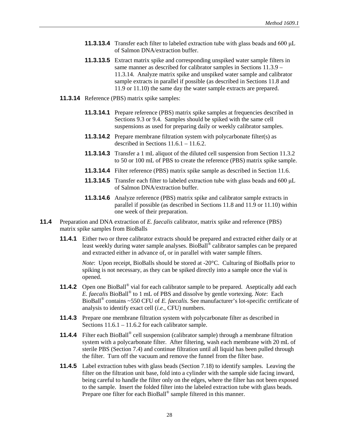- **11.3.13.4** Transfer each filter to labeled extraction tube with glass beads and 600 μL of Salmon DNA/extraction buffer.
- **11.3.13.5** Extract matrix spike and corresponding unspiked water sample filters in same manner as described for calibrator samples in Sections 11.3.9 – 11.3.14. Analyze matrix spike and unspiked water sample and calibrator sample extracts in parallel if possible (as described in Sections 11.8 and 11.9 or 11.10) the same day the water sample extracts are prepared.
- **11.3.14** Reference (PBS) matrix spike samples:
	- **11.3.14.1** Prepare reference (PBS) matrix spike samples at frequencies described in Sections 9.3 or 9.4. Samples should be spiked with the same cell suspensions as used for preparing daily or weekly calibrator samples.
	- **11.3.14.2** Prepare membrane filtration system with polycarbonate filter(s) as described in Sections 11.6.1 – 11.6.2.
	- **11.3.14.3** Transfer a 1 mL aliquot of the diluted cell suspension from Section 11.3.2 to 50 or 100 mL of PBS to create the reference (PBS) matrix spike sample.
	- **11.3.14.4** Filter reference (PBS) matrix spike sample as described in Section 11.6.
	- **11.3.14.5** Transfer each filter to labeled extraction tube with glass beads and 600 μL of Salmon DNA/extraction buffer.
	- **11.3.14.6** Analyze reference (PBS) matrix spike and calibrator sample extracts in parallel if possible (as described in Sections 11.8 and 11.9 or 11.10) within one week of their preparation.
- **11.4** Preparation and DNA extraction of *E. faecalis* calibrator, matrix spike and reference (PBS) matrix spike samples from BioBalls
	- **11.4.1** Either two or three calibrator extracts should be prepared and extracted either daily or at least weekly during water sample analyses. BioBall® calibrator samples can be prepared and extracted either in advance of, or in parallel with water sample filters.

*Note*: Upon receipt, BioBalls should be stored at -20°C. Culturing of BioBalls prior to spiking is not necessary, as they can be spiked directly into a sample once the vial is opened.

- **11.4.2** Open one BioBall<sup>®</sup> vial for each calibrator sample to be prepared. Aseptically add each *E. faecalis* BioBall® to 1 mL of PBS and dissolve by gentle vortexing. *Note*: Each BioBall® contains ~550 CFU of *E. faecalis*. See manufacturer's lot-specific certificate of analysis to identify exact cell (*i.e.*, CFU) numbers.
- **11.4.3** Prepare one membrane filtration system with polycarbonate filter as described in Sections 11.6.1 – 11.6.2 for each calibrator sample.
- **11.4.4** Filter each BioBall<sup>®</sup> cell suspension (calibrator sample) through a membrane filtration system with a polycarbonate filter. After filtering, wash each membrane with 20 mL of sterile PBS (Section 7.4) and continue filtration until all liquid has been pulled through the filter. Turn off the vacuum and remove the funnel from the filter base.
- **11.4.5** Label extraction tubes with glass beads (Section 7.18) to identify samples. Leaving the filter on the filtration unit base, fold into a cylinder with the sample side facing inward, being careful to handle the filter only on the edges, where the filter has not been exposed to the sample. Insert the folded filter into the labeled extraction tube with glass beads. Prepare one filter for each BioBall<sup>®</sup> sample filtered in this manner.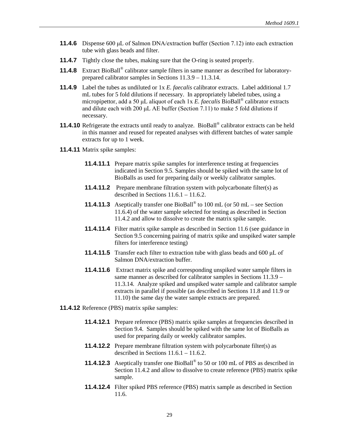- **11.4.6** Dispense 600 μL of Salmon DNA/extraction buffer (Section 7.12) into each extraction tube with glass beads and filter.
- **11.4.7** Tightly close the tubes, making sure that the O-ring is seated properly.
- **11.4.8** Extract BioBall® calibrator sample filters in same manner as described for laboratoryprepared calibrator samples in Sections 11.3.9 – 11.3.14.
- **11.4.9** Label the tubes as undiluted or 1x *E. faecalis* calibrator extracts. Label additional 1.7 mL tubes for 5 fold dilutions if necessary. In appropriately labeled tubes, using a micropipettor, add a 50 μL aliquot of each 1x *E. faecalis* BioBall® calibrator extracts and dilute each with 200 μL AE buffer (Section 7.11) to make 5 fold dilutions if necessary.
- **11.4.10** Refrigerate the extracts until ready to analyze. BioBall<sup>®</sup> calibrator extracts can be held in this manner and reused for repeated analyses with different batches of water sample extracts for up to 1 week.
- **11.4.11** Matrix spike samples:
	- **11.4.11.1** Prepare matrix spike samples for interference testing at frequencies indicated in Section 9.5. Samples should be spiked with the same lot of BioBalls as used for preparing daily or weekly calibrator samples.
	- **11.4.11.2** Prepare membrane filtration system with polycarbonate filter(s) as described in Sections 11.6.1 – 11.6.2.
	- **11.4.11.3** Aseptically transfer one BioBall® to 100 mL (or 50 mL see Section 11.6.4) of the water sample selected for testing as described in Section 11.4.2 and allow to dissolve to create the matrix spike sample.
	- **11.4.11.4** Filter matrix spike sample as described in Section 11.6 (see guidance in Section 9.5 concerning pairing of matrix spike and unspiked water sample filters for interference testing)
	- **11.4.11.5** Transfer each filter to extraction tube with glass beads and 600 μL of Salmon DNA/extraction buffer.
	- **11.4.11.6** Extract matrix spike and corresponding unspiked water sample filters in same manner as described for calibrator samples in Sections 11.3.9 – 11.3.14. Analyze spiked and unspiked water sample and calibrator sample extracts in parallel if possible (as described in Sections 11.8 and 11.9 or 11.10) the same day the water sample extracts are prepared.
- **11.4.12** Reference (PBS) matrix spike samples:
	- **11.4.12.1** Prepare reference (PBS) matrix spike samples at frequencies described in Section 9.4. Samples should be spiked with the same lot of BioBalls as used for preparing daily or weekly calibrator samples.
	- **11.4.12.2** Prepare membrane filtration system with polycarbonate filter(s) as described in Sections  $11.6.1 - 11.6.2$ .
	- **11.4.12.3** Aseptically transfer one BioBall® to 50 or 100 mL of PBS as described in Section 11.4.2 and allow to dissolve to create reference (PBS) matrix spike sample.
	- **11.4.12.4** Filter spiked PBS reference (PBS) matrix sample as described in Section 11.6.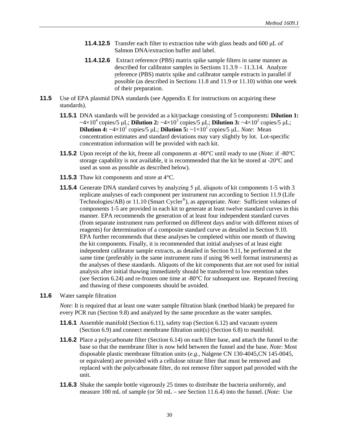- **11.4.12.5** Transfer each filter to extraction tube with glass beads and 600 μL of Salmon DNA/extraction buffer and label.
- **11.4.12.6** Extract reference (PBS) matrix spike sample filters in same manner as described for calibrator samples in Sections 11.3.9 – 11.3.14. Analyze reference (PBS) matrix spike and calibrator sample extracts in parallel if possible (as described in Sections 11.8 and 11.9 or 11.10) within one week of their preparation.
- **11.5** Use of EPA plasmid DNA standards (see Appendix E for instructions on acquiring these standards).
	- **11.5.1** DNA standards will be provided as a kit/package consisting of 5 components: **Dilution 1:**  $\sim$ 4×10<sup>4</sup> copies/5 μL; **Dilution 2:**  $\sim$ 4×10<sup>3</sup> copies/5 μL; **Dilution 3:**  $\sim$ 4×10<sup>2</sup> copies/5 μL; **Dilution 4:**  $\sim$ 4×10<sup>1</sup> copies/5 μL; **Dilution 5:**  $\sim$ 1×10<sup>1</sup> copies/5 μL. *Note*: Mean concentration estimates and standard deviations may vary slightly by lot. Lot-specific concentration information will be provided with each kit.
	- **11.5.2** Upon receipt of the kit, freeze all components at -80°C until ready to use (*Note*: if -80°C storage capability is not available, it is recommended that the kit be stored at  $-20^{\circ}$ C and used as soon as possible as described below).
	- **11.5.3** Thaw kit components and store at 4°C.
	- **11.5.4** Generate DNA standard curves by analyzing 5 μL aliquots of kit components 1-5 with 3 replicate analyses of each component per instrument run according to Section 11.9 (Life Technologies/AB) or 11.10 (Smart Cycler®), as appropriate. *Note*:Sufficient volumes of components 1-5 are provided in each kit to generate at least twelve standard curves in this manner. EPA recommends the generation of at least four independent standard curves (from separate instrument runs performed on different days and/or with different mixes of reagents) for determination of a composite standard curve as detailed in Section 9.10. EPA further recommends that these analyses be completed within one month of thawing the kit components. Finally, it is recommended that initial analyses of at least eight independent calibrator sample extracts, as detailed in Section 9.11, be performed at the same time (preferably in the same instrument runs if using 96 well format instruments) as the analyses of these standards. Aliquots of the kit components that are not used for initial analysis after initial thawing immediately should be transferred to low retention tubes (see Section 6.24) and re-frozen one time at -80°C for subsequent use. Repeated freezing and thawing of these components should be avoided.

#### **11.6** Water sample filtration

*Note*: It is required that at least one water sample filtration blank (method blank) be prepared for every PCR run (Section 9.8) and analyzed by the same procedure as the water samples.

- **11.6.1** Assemble manifold (Section 6.11), safety trap (Section 6.12) and vacuum system (Section 6.9) and connect membrane filtration unit(s) (Section 6.8) to manifold.
- **11.6.2** Place a polycarbonate filter (Section 6.14) on each filter base, and attach the funnel to the base so that the membrane filter is now held between the funnel and the base. *Note*: Most disposable plastic membrane filtration units (*e.g.,* Nalgene CN 130-4045,CN 145-0045, or equivalent) are provided with a cellulose nitrate filter that must be removed and replaced with the polycarbonate filter, do not remove filter support pad provided with the unit.
- **11.6.3** Shake the sample bottle vigorously 25 times to distribute the bacteria uniformly, and measure 100 mL of sample (or 50 mL – see Section 11.6.4) into the funnel. (*Note*: Use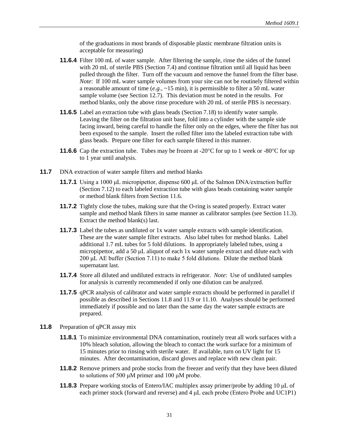of the graduations in most brands of disposable plastic membrane filtration units is acceptable for measuring)

- **11.6.4** Filter 100 mL of water sample. After filtering the sample, rinse the sides of the funnel with 20 mL of sterile PBS (Section 7.4) and continue filtration until all liquid has been pulled through the filter. Turn off the vacuum and remove the funnel from the filter base. *Note*: If 100 mL water sample volumes from your site can not be routinely filtered within a reasonable amount of time (*e.g.,* ~15 min), it is permissible to filter a 50 mL water sample volume (see Section 12.7). This deviation must be noted in the results. For method blanks, only the above rinse procedure with 20 mL of sterile PBS is necessary.
- **11.6.5** Label an extraction tube with glass beads (Section 7.18) to identify water sample. Leaving the filter on the filtration unit base, fold into a cylinder with the sample side facing inward, being careful to handle the filter only on the edges, where the filter has not been exposed to the sample. Insert the rolled filter into the labeled extraction tube with glass beads. Prepare one filter for each sample filtered in this manner.
- **11.6.6** Cap the extraction tube. Tubes may be frozen at -20 $\degree$ C for up to 1 week or -80 $\degree$ C for up to 1 year until analysis.
- **11.7** DNA extraction of water sample filters and method blanks
	- **11.7.1** Using a 1000 μL micropipettor, dispense 600 μL of the Salmon DNA/extraction buffer (Section 7.12) to each labeled extraction tube with glass beads containing water sample or method blank filters from Section 11.6.
	- **11.7.2** Tightly close the tubes, making sure that the O-ring is seated properly. Extract water sample and method blank filters in same manner as calibrator samples (see Section 11.3). Extract the method blank(s) last.
	- **11.7.3** Label the tubes as undiluted or 1x water sample extracts with sample identification. These are the water sample filter extracts. Also label tubes for method blanks. Label additional 1.7 mL tubes for 5 fold dilutions. In appropriately labeled tubes, using a micropipettor, add a 50 μL aliquot of each 1x water sample extract and dilute each with 200 μL AE buffer (Section 7.11) to make 5 fold dilutions. Dilute the method blank supernatant last.
	- **11.7.4** Store all diluted and undiluted extracts in refrigerator. *Note*: Use of undiluted samples for analysis is currently recommended if only one dilution can be analyzed.
	- **11.7.5** qPCR analysis of calibrator and water sample extracts should be performed in parallel if possible as described in Sections 11.8 and 11.9 or 11.10. Analyses should be performed immediately if possible and no later than the same day the water sample extracts are prepared.
- **11.8** Preparation of qPCR assay mix
	- **11.8.1** To minimize environmental DNA contamination, routinely treat all work surfaces with a 10% bleach solution, allowing the bleach to contact the work surface for a minimum of 15 minutes prior to rinsing with sterile water. If available, turn on UV light for 15 minutes. After decontamination, discard gloves and replace with new clean pair.
	- **11.8.2** Remove primers and probe stocks from the freezer and verify that they have been diluted to solutions of 500 μM primer and 100 μM probe.
	- **11.8.3** Prepare working stocks of Entero/IAC multiplex assay primer/probe by adding 10 μL of each primer stock (forward and reverse) and 4 μL each probe (Entero Probe and UC1P1)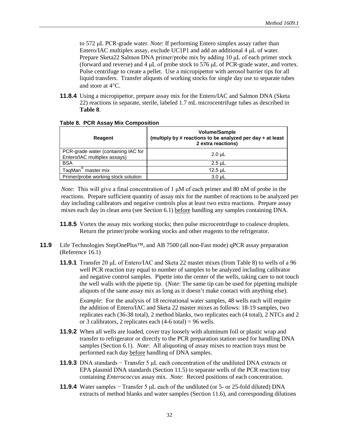to 572 μL PCR-grade water. *Note*: If performing Entero simplex assay rather than Entero/IAC multiplex assay, exclude UC1P1 and add an additional 4 μL of water. Prepare Sketa22 Salmon DNA primer/probe mix by adding 10 μL of each primer stock (forward and reverse) and 4 μL of probe stock to 576 μL of PCR-grade water, and vortex. Pulse centrifuge to create a pellet. Use a micropipettor with aerosol barrier tips for all liquid transfers. Transfer aliquots of working stocks for single day use to separate tubes and store at 4°C.

**11.8.4** Using a micropipettor, prepare assay mix for the Entero/IAC and Salmon DNA (Sketa 22) reactions in separate, sterile, labeled 1.7 mL microcentrifuge tubes as described in **Table 8**.

| Reagent                                                             | <b>Volume/Sample</b><br>(multiply by # reactions to be analyzed per day + at least<br>2 extra reactions) |
|---------------------------------------------------------------------|----------------------------------------------------------------------------------------------------------|
| PCR-grade water (containing IAC for<br>Entero/IAC multiplex assays) | $2.0 \mu L$                                                                                              |
| <b>BSA</b>                                                          | $2.5$ µL                                                                                                 |
| TaqMan <sup>®</sup> master mix                                      | $12.5$ µL                                                                                                |
| Primer/probe working stock solution                                 | $3.0 \mu L$                                                                                              |

#### **Table 8. PCR Assay Mix Composition**

*Note*:This will give a final concentration of 1 μM of each primer and 80 nM of probe in the reactions. Prepare sufficient quantity of assay mix for the number of reactions to be analyzed per day including calibrators and negative controls plus at least two extra reactions. Prepare assay mixes each day in clean area (see Section 6.1) before handling any samples containing DNA.

- **11.8.5** Vortex the assay mix working stocks; then pulse microcentrifuge to coalesce droplets. Return the primer/probe working stocks and other reagents to the refrigerator.
- **11.9** Life Technologies StepOnePlus™, and AB 7500 (all non-Fast mode) qPCR assay preparation (Reference 16.1)
	- **11.9.1** Transfer 20 μL of Entero/IAC and Sketa 22 master mixes (from Table 8) to wells of a 96 well PCR reaction tray equal to number of samples to be analyzed including calibrator and negative control samples. Pipette into the center of the wells, taking care to not touch the well walls with the pipette tip. (*Note*: The same tip can be used for pipetting multiple aliquots of the same assay mix as long as it doesn't make contact with anything else).

*Example*: For the analysis of 18 recreational water samples, 48 wells each will require the addition of Entero/IAC and Sketa 22 master mixes as follows: 18-19 samples, two replicates each (36-38 total), 2 method blanks, two replicates each (4 total), 2 NTCs and 2 or 3 calibrators, 2 replicates each  $(4-6 \text{ total}) = 96 \text{ wells}$ .

- **11.9.2** When all wells are loaded, cover tray loosely with aluminum foil or plastic wrap and transfer to refrigerator or directly to the PCR preparation station used for handling DNA samples (Section 6.1). *Note*: All aliquoting of assay mixes to reaction trays must be performed each day before handling of DNA samples.
- **11.9.3** DNA standards − Transfer 5 µL each concentration of the undiluted DNA extracts or EPA plasmid DNA standards (Section 11.5) to separate wells of the PCR reaction tray containing *Enterococcus* assay mix. *Note*: Record positions of each concentration.
- **11.9.4** Water samples − Transfer 5 µL each of the undiluted (or 5- or 25-fold diluted) DNA extracts of method blanks and water samples (Section 11.6), and corresponding dilutions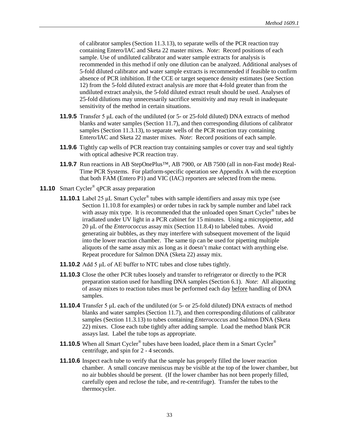of calibrator samples (Section 11.3.13), to separate wells of the PCR reaction tray containing Entero/IAC and Sketa 22 master mixes. *Note*: Record positions of each sample. Use of undiluted calibrator and water sample extracts for analysis is recommended in this method if only one dilution can be analyzed. Additional analyses of 5-fold diluted calibrator and water sample extracts is recommended if feasible to confirm absence of PCR inhibition. If the CCE or target sequence density estimates (see Section 12) from the 5-fold diluted extract analysis are more that 4-fold greater than from the undiluted extract analysis, the 5-fold diluted extract result should be used. Analyses of 25-fold dilutions may unnecessarily sacrifice sensitivity and may result in inadequate sensitivity of the method in certain situations.

- **11.9.5** Transfer 5 μL each of the undiluted (or 5- or 25-fold diluted) DNA extracts of method blanks and water samples (Section 11.7), and then corresponding dilutions of calibrator samples (Section 11.3.13), to separate wells of the PCR reaction tray containing Entero/IAC and Sketa 22 master mixes. *Note*: Record positions of each sample.
- **11.9.6** Tightly cap wells of PCR reaction tray containing samples or cover tray and seal tightly with optical adhesive PCR reaction tray.
- **11.9.7** Run reactions in AB StepOnePlus™, AB 7900, or AB 7500 (all in non-Fast mode) Real-Time PCR Systems. For platform-specific operation see Appendix A with the exception that both FAM (Entero P1) and VIC (IAC) reporters are selected from the menu.
- **11.10** Smart Cycler<sup>®</sup> qPCR assay preparation
	- **11.10.1** Label 25 μL Smart Cycler® tubes with sample identifiers and assay mix type (see Section 11.10.8 for examples) or order tubes in rack by sample number and label rack with assay mix type. It is recommended that the unloaded open Smart Cycler<sup>®</sup> tubes be irradiated under UV light in a PCR cabinet for 15 minutes. Using a micropipettor, add 20 μL of the *Enterococcus* assay mix (Section 11.8.4) to labeled tubes. Avoid generating air bubbles, as they may interfere with subsequent movement of the liquid into the lower reaction chamber. The same tip can be used for pipetting multiple aliquots of the same assay mix as long as it doesn't make contact with anything else. Repeat procedure for Salmon DNA (Sketa 22) assay mix.
	- **11.10.2** Add 5 μL of AE buffer to NTC tubes and close tubes tightly.
	- **11.10.3** Close the other PCR tubes loosely and transfer to refrigerator or directly to the PCR preparation station used for handling DNA samples (Section 6.1). *Note*: All aliquoting of assay mixes to reaction tubes must be performed each day before handling of DNA samples.
	- **11.10.4** Transfer 5 μL each of the undiluted (or 5- or 25-fold diluted) DNA extracts of method blanks and water samples (Section 11.7), and then corresponding dilutions of calibrator samples (Section 11.3.13) to tubes containing *Enterococcus* and Salmon DNA (Sketa 22) mixes. Close each tube tightly after adding sample. Load the method blank PCR assays last. Label the tube tops as appropriate.
	- **11.10.5** When all Smart Cycler<sup>®</sup> tubes have been loaded, place them in a Smart Cycler<sup>®</sup> centrifuge, and spin for 2 - 4 seconds.
	- **11.10.6** Inspect each tube to verify that the sample has properly filled the lower reaction chamber. A small concave meniscus may be visible at the top of the lower chamber, but no air bubbles should be present. (If the lower chamber has not been properly filled, carefully open and reclose the tube, and re-centrifuge). Transfer the tubes to the thermocycler.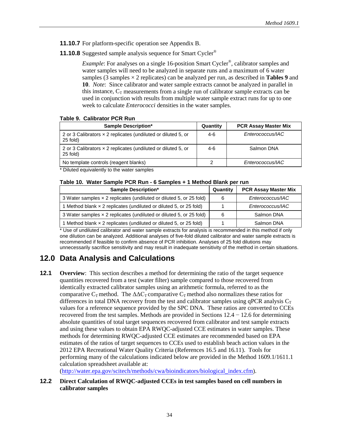- **11.10.7** For platform-specific operation see Appendix B.
- **11.10.8** Suggested sample analysis sequence for Smart Cycler<sup>®</sup>

*Example*: For analyses on a single 16-position Smart Cycler<sup>®</sup>, calibrator samples and water samples will need to be analyzed in separate runs and a maximum of 6 water samples (3 samples  $\times$  2 replicates) can be analyzed per run, as described in **Tables 9** and **10**. *Note*: Since calibrator and water sample extracts cannot be analyzed in parallel in this instance,  $C_T$  measurements from a single run of calibrator sample extracts can be used in conjunction with results from multiple water sample extract runs for up to one week to calculate *Enterococci* densities in the water samples.

#### **Table 9. Calibrator PCR Run**

| <b>Sample Description*</b>                                                       | Quantity | <b>PCR Assay Master Mix</b> |
|----------------------------------------------------------------------------------|----------|-----------------------------|
| 2 or 3 Calibrators $\times$ 2 replicates (undiluted or diluted 5, or<br>25 fold) | $4-6$    | Enterococcus/IAC            |
| 2 or 3 Calibrators $\times$ 2 replicates (undiluted or diluted 5, or<br>25 fold) | $4-6$    | Salmon DNA                  |
| No template controls (reagent blanks)                                            |          | Enterococcus/IAC            |

\* Diluted equivalently to the water samples

#### **Table 10. Water Sample PCR Run - 6 Samples + 1 Method Blank per run**

| <b>Sample Description*</b>                                          | Quantity | <b>PCR Assay Master Mix</b> |
|---------------------------------------------------------------------|----------|-----------------------------|
| 3 Water samples x 2 replicates (undiluted or diluted 5, or 25 fold) | 6        | Enterococcus/IAC            |
| 1 Method blank x 2 replicates (undiluted or diluted 5, or 25 fold)  |          | Enterococcus/IAC            |
| 3 Water samples x 2 replicates (undiluted or diluted 5, or 25 fold) | 6        | Salmon DNA                  |
| 1 Method blank x 2 replicates (undiluted or diluted 5, or 25 fold)  |          | Salmon DNA                  |

\* Use of undiluted calibrator and water sample extracts for analysis is recommended in this method if only one dilution can be analyzed. Additional analyses of five-fold diluted calibrator and water sample extracts is recommended if feasible to confirm absence of PCR inhibition. Analyses of 25 fold dilutions may unnecessarily sacrifice sensitivity and may result in inadequate sensitivity of the method in certain situations.

# <span id="page-40-0"></span>**12.0 Data Analysis and Calculations**

**12.1 Overview**: This section describes a method for determining the ratio of the target sequence quantities recovered from a test (water filter) sample compared to those recovered from identically extracted calibrator samples using an arithmetic formula, referred to as the comparative C<sub>T</sub> method. The  $\Delta \Delta C_T$  comparative C<sub>T</sub> method also normalizes these ratios for differences in total DNA recovery from the test and calibrator samples using qPCR analysis  $C_T$ values for a reference sequence provided by the SPC DNA. These ratios are converted to CCEs recovered from the test samples. Methods are provided in Sections  $12.4 - 12.6$  for determining absolute quantities of total target sequences recovered from calibrator and test sample extracts and using these values to obtain EPA RWQC-adjusted CCE estimates in water samples. These methods for determining RWQC-adjusted CCE estimates are recommended based on EPA estimates of the ratios of target sequences to CCEs used to establish beach action values in the 2012 EPA Recreational Water Quality Criteria (References 16.5 and 16.11). Tools for performing many of the calculations indicated below are provided in the Method 1609.1/1611.1 calculation spreadsheet available at:

[\(http://water.epa.gov/scitech/methods/cwa/bioindicators/biological\\_index.cfm\).](http://water.epa.gov/scitech/methods/cwa/bioindicators/biological_index.cfm)

### **12.2 Direct Calculation of RWQC-adjusted CCEs in test samples based on cell numbers in calibrator samples**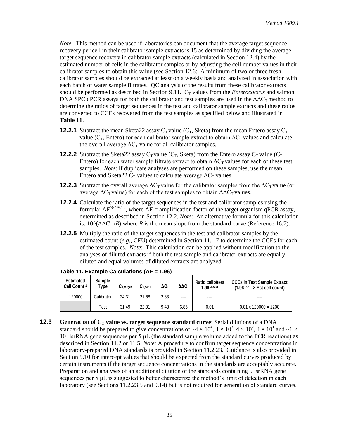*Note*: This method can be used if laboratories can document that the average target sequence recovery per cell in their calibrator sample extracts is 15 as determined by dividing the average target sequence recovery in calibrator sample extracts (calculated in Section 12.4) by the estimated number of cells in the calibrator samples or by adjusting the cell number values in their calibrator samples to obtain this value (see Section 12.6: A minimum of two or three fresh calibrator samples should be extracted at least on a weekly basis and analyzed in association with each batch of water sample filtrates. QC analysis of the results from these calibrator extracts should be performed as described in Section 9.11.  $C_T$  values from the *Enterococcus* and salmon DNA SPC qPCR assays for both the calibrator and test samples are used in the  $\Delta \Delta C_{\text{T}}$  method to determine the ratios of target sequences in the test and calibrator sample extracts and these ratios are converted to CCEs recovered from the test samples as specified below and illustrated in **Table 11**.

- **12.2.1** Subtract the mean Sketa22 assay  $C_T$  value ( $C_T$ , Sketa) from the mean Entero assay  $C_T$ value ( $C_T$ , Entero) for each calibrator sample extract to obtain  $\Delta C_T$  values and calculate the overall average  $\Delta C_T$  value for all calibrator samples.
- **12.2.2** Subtract the Sketa22 assay  $C_T$  value ( $C_T$ , Sketa) from the Entero assay  $C_T$  value ( $C_T$ , Entero) for each water sample filtrate extract to obtain  $\Delta C_T$  values for each of these test samples. *Note*: If duplicate analyses are performed on these samples, use the mean Entero and Sketa22  $C_T$  values to calculate average  $\Delta C_T$  values.
- **12.2.3** Subtract the overall average  $\Delta C_T$  value for the calibrator samples from the  $\Delta C_T$  value (or average  $\Delta C_T$  value) for each of the test samples to obtain  $\Delta \Delta C_T$  values.
- **12.2.4** Calculate the ratio of the target sequences in the test and calibrator samples using the formula:  $AF^{\wedge$ (- $\triangle$ ΔCT), where  $AF =$  amplification factor of the target organism qPCR assay, determined as described in Section 12.2. *Note*: An alternative formula for this calculation is:  $10^{\circ}(\Delta\Delta C_{T}/B)$  where *B* is the mean slope from the standard curve (Reference 16.7).
- **12.2.5** Multiply the ratio of the target sequences in the test and calibrator samples by the estimated count (*e.g.*, CFU) determined in Section 11.1.7 to determine the CCEs for each of the test samples. *Note*: This calculation can be applied without modification to the analyses of diluted extracts if both the test sample and calibrator extracts are equally diluted and equal volumes of diluted extracts are analyzed.

| Estimated<br>Cell Count <sup>1</sup> | Sample<br>Type | $C_{T.tarcat}$ | C <sub>T,SPC</sub> | $\Delta C$ | $\Delta\Delta C_\top$ | Ratio calib/test<br>$1.96 - \Delta \Delta CT$ | <b>CCEs in Test Sample Extract</b><br>$(1.96 - \Delta \Delta \text{CT}_{\times} \text{Est cell count})$ |
|--------------------------------------|----------------|----------------|--------------------|------------|-----------------------|-----------------------------------------------|---------------------------------------------------------------------------------------------------------|
| 120000                               | Calibrator     | 24.31          | 21.68              | 2.63       | ----                  | ----                                          | ----                                                                                                    |
|                                      | Test           | 31.49          | 22.01              | 9.48       | 6.85                  | 0.01                                          | $0.01 \times 120000 = 1200$                                                                             |

**Table 11. Example Calculations (AF = 1.96)**

**12.3 Generation of C<sub>T</sub> value vs. target sequence standard curve**: Serial dilutions of a DNA standard should be prepared to give concentrations of  $\sim$ 4  $\times$  10<sup>4</sup>, 4  $\times$  10<sup>3</sup>, 4  $\times$  10<sup>1</sup>, 4  $\times$  10<sup>1</sup> and  $\sim$ 1  $\times$  $10<sup>1</sup>$  lsrRNA gene sequences per 5  $\mu$ L (the standard sample volume added to the PCR reactions) as described in Section 11.2 or 11.5. *Note*: A procedure to confirm target sequence concentrations in laboratory-prepared DNA standards is provided in Section 11.2.23. Guidance is also provided in Section 9.10 for intercept values that should be expected from the standard curves produced by certain instruments if the target sequence concentrations in the standards are acceptably accurate. Preparation and analyses of an additional dilution of the standards containing 5 lsrRNA gene sequences per 5 μL is suggested to better characterize the method's limit of detection in each laboratory (see Sections 11.2.23.5 and 9.14) but is not required for generation of standard curves.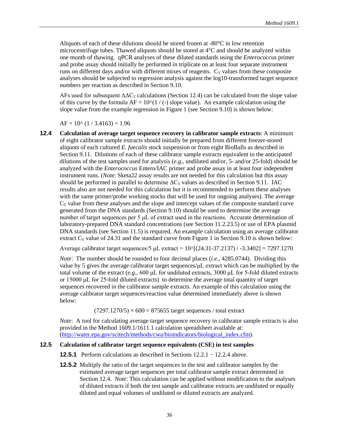Aliquots of each of these dilutions should be stored frozen at -80°C in low retention microcentrifuge tubes. Thawed aliquots should be stored at  $4^{\circ}$ C and should be analyzed within one month of thawing. qPCR analyses of these diluted standards using the *Enterococcus* primer and probe assay should initially be performed in triplicate on at least four separate instrument runs on different days and/or with different mixes of reagents.  $C_T$  values from these composite analyses should be subjected to regression analysis against the log10-transformed target sequence numbers per reaction as described in Section 9.10.

AFs used for subsequent  $\Delta \Delta C_T$  calculations (Section 12.4) can be calculated from the slope value of this curve by the formula  $AF = 10^{\circ}$ (1 / (-) slope value). An example calculation using the slope value from the example regression in Figure 1 (see Section 9.10) is shown below:

 $AF = 10^{\circ}$  (1 / 3.4163) = 1.96

**12.4 Calculation of average target sequence recovery in calibrator sample extracts**: A minimum of eight calibrator sample extracts should initially be prepared from different freezer-stored aliquots of each cultured *E. faecalis* stock suspension or from eight BioBalls as described in Section 9.11. Dilutions of each of these calibrator sample extracts equivalent to the anticipated dilutions of the test samples used for analysis (*e.g.,* undiluted and/or, 5- and/or 25-fold) should be analyzed with the *Enterococcus* Entero/IAC primer and probe assay in at least four independent instrument runs. (*Note*: Sketa22 assay results are not needed for this calculation but this assay should be performed in parallel to determine  $\Delta C_T$  values as described in Section 9.11. IAC results also are not needed for this calculation but it is recommended to perform these analyses with the same primer/probe working stocks that will be used for ongoing analyses). The average  $C_T$  value from these analyses and the slope and intercept values of the composite standard curve generated from the DNA standards (Section 9.10) should be used to determine the average number of target sequences per 5 μL of extract used in the reactions. Accurate determination of laboratory-prepared DNA standard concentrations (see Section 11.2.23.5) or use of EPA plasmid DNA standards (see Section 11.5) is required. An example calculation using an average calibrator extract  $C_T$  value of 24.31 and the standard curve from Figure 1 in Section 9.10 is shown below:

Average calibrator target sequences/5 μL extract =  $10$ <sup>2</sup>((24.31-37.2137) / -3.3402] = 7297.1270

*Note*: The number should be rounded to four decimal places (*i.e*., 4285.0744). Dividing this value by 5 gives the average calibrator target sequences/μL extract which can be multiplied by the total volume of the extract (*e.g.,* 600 μL for undiluted extracts, 3000 μL for 5-fold diluted extracts or 15000 μL for 25-fold diluted extracts) to determine the average total quantity of target sequences recovered in the calibrator sample extracts. An example of this calculation using the average calibrator target sequences/reaction value determined immediately above is shown below:

 $(7297.1270/5) \times 600 = 875655$  target sequences / total extract

*Note*: A tool for calculating average target sequence recovery in calibrator sample extracts is also provided in the Method 1609.1/1611.1 calculation spreadsheet available at: [\(http://water.epa.gov/scitech/methods/cwa/bioindicators/biological\\_index.cfm\)](http://water.epa.gov/scitech/methods/cwa/bioindicators/biological_index.cfm).

#### **12.5 Calculation of calibrator target sequence equivalents (CSE) in test samples**

- **12.5.1** Perform calculations as described in Sections 12.2.1 − 12.2.4 above.
- **12.5.2** Multiply the ratio of the target sequences in the test and calibrator samples by the estimated average target sequences per total calibrator sample extract determined in Section 12.4. *Note*: This calculation can be applied without modification to the analyses of diluted extracts if both the test sample and calibrator extracts are undiluted or equally diluted and equal volumes of undiluted or diluted extracts are analyzed.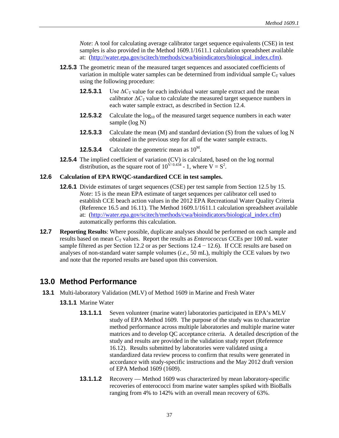*Note*: A tool for calculating average calibrator target sequence equivalents (CSE) in test samples is also provided in the Method 1609.1/1611.1 calculation spreadsheet available at: [\(http://water.epa.gov/scitech/methods/cwa/bioindicators/biological\\_index.cfm\)](http://water.epa.gov/scitech/methods/cwa/bioindicators/biological_index.cfm).

- **12.5.3** The geometric mean of the measured target sequences and associated coefficients of variation in multiple water samples can be determined from individual sample  $C_T$  values using the following procedure:
	- **12.5.3.1** Use  $\Delta C_T$  value for each individual water sample extract and the mean calibrator  $\Delta C_T$  value to calculate the measured target sequence numbers in each water sample extract, as described in Section 12.4.
	- **12.5.3.2** Calculate the log<sub>10</sub> of the measured target sequence numbers in each water sample (log N)
	- **12.5.3.3** Calculate the mean (M) and standard deviation (S) from the values of log N obtained in the previous step for all of the water sample extracts.
	- **12.5.3.4** Calculate the geometric mean as  $10^M$ .
- **12.5.4** The implied coefficient of variation (CV) is calculated, based on the log normal distribution, as the square root of  $10^{V/0.434}$  - 1, where  $V = S^2$ .

#### **12.6 Calculation of EPA RWQC-standardized CCE in test samples.**

- **12.6.1** Divide estimates of target sequences (CSE) per test sample from Section 12.5 by 15. *Note*: 15 is the mean EPA estimate of target sequences per calibrator cell used to establish CCE beach action values in the 2012 EPA Recreational Water Quality Criteria (Reference 16.5 and 16.11). The Method 1609.1/1611.1 calculation spreadsheet available at: [\(http://water.epa.gov/scitech/methods/cwa/bioindicators/biological\\_index.cfm\)](http://water.epa.gov/scitech/methods/cwa/bioindicators/biological_index.cfm) automatically performs this calculation.
- **12.7 Reporting Results**: Where possible, duplicate analyses should be performed on each sample and results based on mean  $C_T$  values. Report the results as *Enterococcus* CCEs per 100 mL water sample filtered as per Section 12.2 or as per Sections  $12.4 - 12.6$ ). If CCE results are based on analyses of non-standard water sample volumes (*i.e.,* 50 mL), multiply the CCE values by two and note that the reported results are based upon this conversion.

### <span id="page-43-0"></span>**13.0 Method Performance**

- **13.1** Multi-laboratory Validation (MLV) of Method 1609 in Marine and Fresh Water
	- **13.1.1** Marine Water
		- **13.1.1.1** Seven volunteer (marine water) laboratories participated in EPA's MLV study of EPA Method 1609. The purpose of the study was to characterize method performance across multiple laboratories and multiple marine water matrices and to develop QC acceptance criteria. A detailed description of the study and results are provided in the validation study report (Reference 16.12). Results submitted by laboratories were validated using a standardized data review process to confirm that results were generated in accordance with study-specific instructions and the May 2012 draft version of EPA Method 1609 (1609).
		- **13.1.1.2** Recovery Method 1609 was characterized by mean laboratory-specific recoveries of enterococci from marine water samples spiked with BioBalls ranging from 4% to 142% with an overall mean recovery of 63%.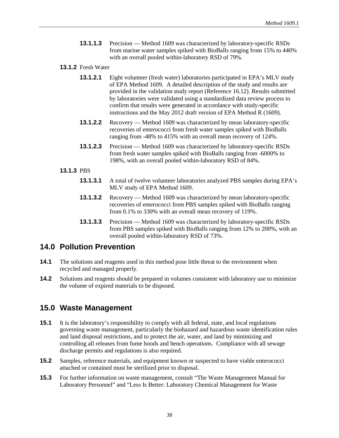- **13.1.1.3** Precision Method 1609 was characterized by laboratory-specific RSDs from marine water samples spiked with BioBalls ranging from 15% to 440% with an overall pooled within-laboratory RSD of 79%.
- **13.1.2** Fresh Water
	- **13.1.2.1** Eight volunteer (fresh water) laboratories participated in EPA's MLV study of EPA Method 1609. A detailed description of the study and results are provided in the validation study report (Reference 16.12). Results submitted by laboratories were validated using a standardized data review process to confirm that results were generated in accordance with study-specific instructions and the May 2012 draft version of EPA Method R (1609).
	- **13.1.2.2** Recovery Method 1609 was characterized by mean laboratory-specific recoveries of enterococci from fresh water samples spiked with BioBalls ranging from -48% to 415% with an overall mean recovery of 124%.
	- **13.1.2.3** Precision Method 1609 was characterized by laboratory-specific RSDs from fresh water samples spiked with BioBalls ranging from -6000% to 198%, with an overall pooled within-laboratory RSD of 84%.

#### **13.1.3** PBS

- **13.1.3.1** A total of twelve volunteer laboratories analyzed PBS samples during EPA's MLV study of EPA Method 1609.
- **13.1.3.2** Recovery Method 1609 was characterized by mean laboratory-specific recoveries of enterococci from PBS samples spiked with BioBalls ranging from 0.1% to 330% with an overall mean recovery of 119%.
- **13.1.3.3** Precision Method 1609 was characterized by laboratory-specific RSDs from PBS samples spiked with BioBalls ranging from 12% to 200%, with an overall pooled within-laboratory RSD of 73%.

### <span id="page-44-0"></span>**14.0 Pollution Prevention**

- **14.1** The solutions and reagents used in this method pose little threat to the environment when recycled and managed properly.
- 14.2 Solutions and reagents should be prepared in volumes consistent with laboratory use to minimize the volume of expired materials to be disposed.

## <span id="page-44-1"></span>**15.0 Waste Management**

- **15.1** It is the laboratory's responsibility to comply with all federal, state, and local regulations governing waste management, particularly the biohazard and hazardous waste identification rules and land disposal restrictions, and to protect the air, water, and land by minimizing and controlling all releases from fume hoods and bench operations. Compliance with all sewage discharge permits and regulations is also required.
- **15.2** Samples, reference materials, and equipment known or suspected to have viable enterococci attached or contained must be sterilized prior to disposal.
- **15.3** For further information on waste management, consult "The Waste Management Manual for Laboratory Personnel" and "Less Is Better: Laboratory Chemical Management for Waste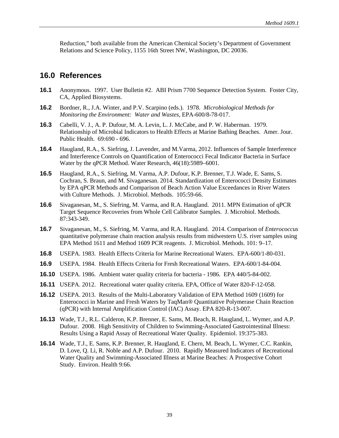Reduction," both available from the American Chemical Society's Department of Government Relations and Science Policy, 1155 16th Street NW, Washington, DC 20036.

## <span id="page-45-0"></span>**16.0 References**

- **16.1** Anonymous. 1997. User Bulletin #2. ABI Prism 7700 Sequence Detection System. Foster City, CA, Applied Biosystems.
- **16.2** Bordner, R., J.A. Winter, and P.V. Scarpino (eds.). 1978. *Microbiological Methods for Monitoring the Environment: Water and Wastes*, EPA-600/8-78-017.
- **16.3** Cabelli, V. J., A. P. Dufour, M. A. Levin, L. J. McCabe, and P. W. Haberman. 1979. Relationship of Microbial Indicators to Health Effects at Marine Bathing Beaches. Amer. Jour. Public Health. 69:690 - 696.
- **16.4** Haugland, R.A., S. Siefring, J. Lavender, and M.Varma, 2012. Influences of Sample Interference and Interference Controls on Quantification of Enterococci Fecal Indicator Bacteria in Surface Water by the qPCR Method. Water Research, 46(18):5989–6001.
- **16.5** Haugland, R.A., S. Siefring, M. Varma, A.P. Dufour, K.P. Brenner, T.J. Wade, E. Sams, S. Cochran, S. Braun, and M. Sivaganesan. 2014. Standardization of Enterococci Density Estimates by EPA qPCR Methods and Comparison of Beach Action Value Exceedances in River Waters with Culture Methods. J. Microbiol. Methods. 105:59-66.
- **16.6** Sivaganesan, M., S. Siefring, M. Varma, and R.A. Haugland. 2011. MPN Estimation of qPCR Target Sequence Recoveries from Whole Cell Calibrator Samples. J. Microbiol. Methods. 87:343-349.
- **16.7** Sivaganesan, M., S. Siefring, M. Varma, and R.A. Haugland. 2014. Comparison of *Enterococcus* quantitative polymerase chain reaction analysis results from midwestern U.S. river samples using EPA Method 1611 and Method 1609 PCR reagents. J. Microbiol. Methods. 101: 9–17.
- **16.8** USEPA. 1983. Health Effects Criteria for Marine Recreational Waters. EPA-600/1-80-031.
- **16.9** USEPA. 1984. Health Effects Criteria for Fresh Recreational Waters. EPA-600/1-84-004.
- **16.10** USEPA. 1986. Ambient water quality criteria for bacteria 1986. EPA 440/5-84-002.
- **16.11** USEPA. 2012. Recreational water quality criteria. EPA, Office of Water 820-F-12-058.
- **16.12** USEPA. 2013. Results of the Multi-Laboratory Validation of EPA Method 1609 (1609) for Enterococci in Marine and Fresh Waters by TaqMan® Quantitative Polymerase Chain Reaction (qPCR) with Internal Amplification Control (IAC) Assay. EPA 820-R-13-007.
- **16.13** Wade, T.J., R.L. Calderon, K.P. Brenner, E. Sams, M. Beach, R. Haugland, L. Wymer, and A.P. Dufour. 2008. High Sensitivity of Children to Swimming-Associated Gastrointestinal Illness: Results Using a Rapid Assay of Recreational Water Quality. Epidemiol. 19:375-383.
- **16.14** Wade, T.J., E. Sams, K.P. Brenner, R. Haugland, E. Chern, M. Beach, L. Wymer, C.C. Rankin, D. Love, Q. Li, R. Noble and A.P. Dufour. 2010. Rapidly Measured Indicators of Recreational Water Quality and Swimming-Associated Illness at Marine Beaches: A Prospective Cohort Study. Environ. Health 9:66.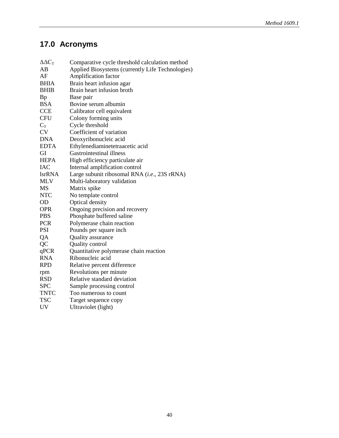# <span id="page-46-0"></span>**17.0 Acronyms**

| $\Delta \Delta C_T$ | Comparative cycle threshold calculation method   |
|---------------------|--------------------------------------------------|
| AВ                  | Applied Biosystems (currently Life Technologies) |
| AF                  | Amplification factor                             |
| <b>BHIA</b>         | Brain heart infusion agar                        |
| <b>BHIB</b>         | Brain heart infusion broth                       |
| <b>Bp</b>           | Base pair                                        |
| <b>BSA</b>          | Bovine serum albumin                             |
| <b>CCE</b>          | Calibrator cell equivalent                       |
| <b>CFU</b>          | Colony forming units                             |
| $C_T$               | Cycle threshold                                  |
| <b>CV</b>           | Coefficient of variation                         |
| <b>DNA</b>          | Deoxyribonucleic acid                            |
| <b>EDTA</b>         | Ethylenediaminetetraacetic acid                  |
| GI                  | Gastrointestinal illness                         |
| <b>HEPA</b>         | High efficiency particulate air                  |
| <b>IAC</b>          | Internal amplification control                   |
| <b>lsrRNA</b>       | Large subunit ribosomal RNA (i.e., 23S rRNA)     |
| <b>MLV</b>          | Multi-laboratory validation                      |
| MS                  | Matrix spike                                     |
| <b>NTC</b>          | No template control                              |
| <b>OD</b>           | Optical density                                  |
| <b>OPR</b>          | Ongoing precision and recovery                   |
| <b>PBS</b>          | Phosphate buffered saline                        |
| <b>PCR</b>          | Polymerase chain reaction                        |
| <b>PSI</b>          | Pounds per square inch                           |
| QA                  | Quality assurance                                |
| QC                  | Quality control                                  |
| qPCR                | Quantitative polymerase chain reaction           |
| <b>RNA</b>          | Ribonucleic acid                                 |
| <b>RPD</b>          | Relative percent difference                      |
| rpm                 | Revolutions per minute                           |
| <b>RSD</b>          | Relative standard deviation                      |
| <b>SPC</b>          | Sample processing control                        |
| <b>TNTC</b>         | Too numerous to count                            |
| <b>TSC</b>          | Target sequence copy                             |
| <b>UV</b>           | Ultraviolet (light)                              |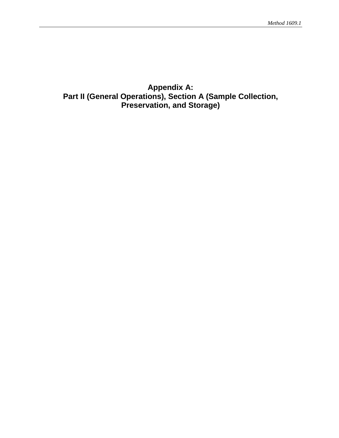# <span id="page-47-0"></span>**Appendix A: Part II (General Operations), Section A (Sample Collection, Preservation, and Storage)**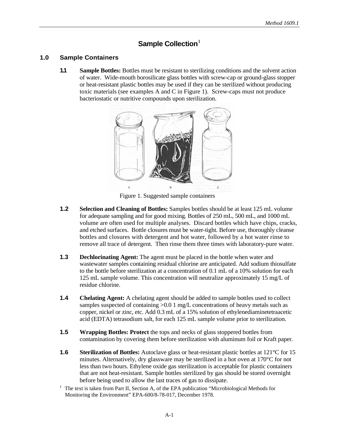### **Sample Collection**<sup>1</sup>

### **1.0 Sample Containers**

**1.1 Sample Bottles:** Bottles must be resistant to sterilizing conditions and the solvent action of water. Wide-mouth borosilicate glass bottles with screw-cap or ground-glass stopper or heat-resistant plastic bottles may be used if they can be sterilized without producing toxic materials (see examples A and C in Figure 1). Screw-caps must not produce bacteriostatic or nutritive compounds upon sterilization.



Figure 1. Suggested sample containers

- **1.2 Selection and Cleaning of Bottles:** Samples bottles should be at least 125 mL volume for adequate sampling and for good mixing. Bottles of 250 mL, 500 mL, and 1000 mL volume are often used for multiple analyses. Discard bottles which have chips, cracks, and etched surfaces. Bottle closures must be water-tight. Before use, thoroughly cleanse bottles and closures with detergent and hot water, followed by a hot water rinse to remove all trace of detergent. Then rinse them three times with laboratory-pure water.
- **1.3 Dechlorinating Agent:** The agent must be placed in the bottle when water and wastewater samples containing residual chlorine are anticipated. Add sodium thiosulfate to the bottle before sterilization at a concentration of 0.1 mL of a 10% solution for each 125 mL sample volume. This concentration will neutralize approximately 15 mg/L of residue chlorine.
- **1.4 Chelating Agent:** A chelating agent should be added to sample bottles used to collect samples suspected of containing >0.0 1 mg/L concentrations of heavy metals such as copper, nickel or zinc, etc. Add 0.3 mL of a 15% solution of ethylenediaminetetraacetic acid (EDTA) tetrasodium salt, for each 125 mL sample volume prior to sterilization.
- **1.5 Wrapping Bottles: Protect** the tops and necks of glass stoppered bottles from contamination by covering them before sterilization with aluminum foil or Kraft paper.
- **1.6 Sterilization of Bottles:** Autoclave glass or heat-resistant plastic bottles at 121<sup>°</sup>C for 15 minutes. Alternatively, dry glassware may be sterilized in a hot oven at 170°C for not less than two hours. Ethylene oxide gas sterilization is acceptable for plastic containers that are not heat-resistant. Sample bottles sterilized by gas should be stored overnight before being used to allow the last traces of gas to dissipate.
- <sup>1</sup> The text is taken from Part II, Section A, of the EPA publication "Microbiological Methods for Monitoring the Environment" EPA-600/8-78-017, December 1978.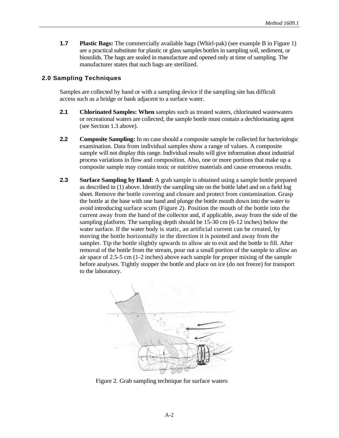**1.7 Plastic Bags:** The commercially available bags (Whirl-pak) (see example B in Figure 1) are a practical substitute for plastic or glass samples bottles in sampling soil, sediment, or biosolids. The bags are sealed in manufacture and opened only at time of sampling. The manufacturer states that such bags are sterilized.

### **2.0 Sampling Techniques**

Samples are collected by hand or with a sampling device if the sampling site has difficult access such as a bridge or bank adjacent to a surface water.

- **2.1 Chlorinated Samples: When** samples such as treated waters, chlorinated wastewaters or recreational waters are collected, the sample bottle must contain a dechlorinating agent (see Section 1.3 above).
- **2.2 Composite Sampling:** In no case should a composite sample be collected for bacteriologic examination. Data from individual samples show a range of values. A composite sample will not display this range. Individual results will give information about industrial process variations in flow and composition. Also, one or more portions that make up a composite sample may contain toxic or nutritive materials and cause erroneous results.
- **2.3 Surface Sampling by Hand:** A grab sample is obtained using a sample bottle prepared as described in (1) above. Identify the sampling site on the bottle label and on a field log sheet. Remove the bottle covering and closure and protect from contamination. Grasp the bottle at the base with one hand and plunge the bottle mouth down into the water to avoid introducing surface scum (Figure 2). Position the mouth of the bottle into the current away from the hand of the collector and, if applicable, away from the side of the sampling platform. The sampling depth should be 15-30 cm (6-12 inches) below the water surface. If the water body is static, an artificial current can be created, by moving the bottle horizontally in the direction it is pointed and away from the sampler. Tip the bottle slightly upwards to allow air to exit and the bottle to fill. After removal of the bottle from the stream, pour out a small portion of the sample to allow an air space of 2.5-5 cm (1-2 inches) above each sample for proper mixing of the sample before analyses. Tightly stopper the bottle and place on ice (do not freeze) for transport to the laboratory.



Figure 2. Grab sampling technique for surface waters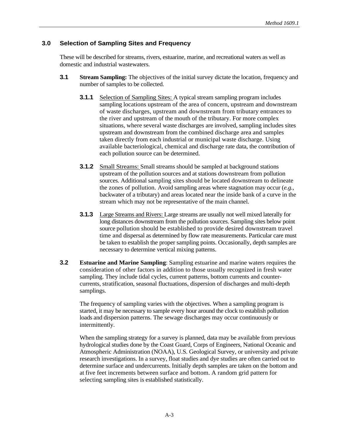### **3.0 Selection of Sampling Sites and Frequency**

These will be described for streams, rivers, estuarine, marine, and recreational waters as well as domestic and industrial wastewaters.

- **3.1 Stream Sampling:** The objectives of the initial survey dictate the location, frequency and number of samples to be collected.
	- **3.1.1** Selection of Sampling Sites: A typical stream sampling program includes sampling locations upstream of the area of concern, upstream and downstream of waste discharges, upstream and downstream from tributary entrances to the river and upstream of the mouth of the tributary. For more complex situations, where several waste discharges are involved, sampling includes sites upstream and downstream from the combined discharge area and samples taken directly from each industrial or municipal waste discharge. Using available bacteriological, chemical and discharge rate data, the contribution of each pollution source can be determined.
	- **3.1.2** Small Streams: Small streams should be sampled at background stations upstream of the pollution sources and at stations downstream from pollution sources. Additional sampling sites should be located downstream to delineate the zones of pollution. Avoid sampling areas where stagnation may occur (*e.g.*, backwater of a tributary) and areas located near the inside bank of a curve in the stream which may not be representative of the main channel.
	- **3.1.3** Large Streams and Rivers: Large streams are usually not well mixed laterally for long distances downstream from the pollution sources. Sampling sites below point source pollution should be established to provide desired downstream travel time and dispersal as determined by flow rate measurements. Particular care must be taken to establish the proper sampling points. Occasionally, depth samples are necessary to determine vertical mixing patterns.
- **3.2 Estuarine and Marine Sampling**: Sampling estuarine and marine waters requires the consideration of other factors in addition to those usually recognized in fresh water sampling. They include tidal cycles, current patterns, bottom currents and countercurrents, stratification, seasonal fluctuations, dispersion of discharges and multi-depth samplings.

The frequency of sampling varies with the objectives. When a sampling program is started, it may be necessary to sample every hour around the clock to establish pollution loads and dispersion patterns. The sewage discharges may occur continuously or intermittently.

When the sampling strategy for a survey is planned, data may be available from previous hydrological studies done by the Coast Guard, Corps of Engineers, National Oceanic and Atmospheric Administration (NOAA), U.S. Geological Survey, or university and private research investigations. In a survey, float studies and dye studies are often carried out to determine surface and undercurrents. Initially depth samples are taken on the bottom and at five feet increments between surface and bottom. A random grid pattern for selecting sampling sites is established statistically.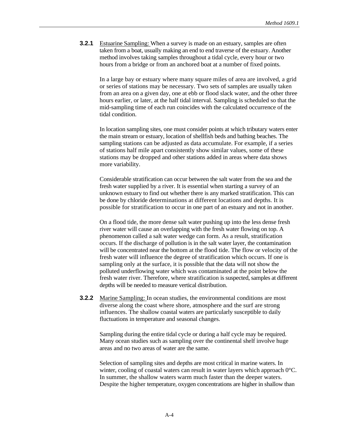**3.2.1** Estuarine Sampling: When a survey is made on an estuary, samples are often taken from a boat, usually making an end to end traverse of the estuary. Another method involves taking samples throughout a tidal cycle, every hour or two hours from a bridge or from an anchored boat at a number of fixed points.

In a large bay or estuary where many square miles of area are involved, a grid or series of stations may be necessary. Two sets of samples are usually taken from an area on a given day, one at ebb or flood slack water, and the other three hours earlier, or later, at the half tidal interval. Sampling is scheduled so that the mid-sampling time of each run coincides with the calculated occurrence of the tidal condition.

In location sampling sites, one must consider points at which tributary waters enter the main stream or estuary, location of shellfish beds and bathing beaches. The sampling stations can be adjusted as data accumulate. For example, if a series of stations half mile apart consistently show similar values, some of these stations may be dropped and other stations added in areas where data shows more variability.

Considerable stratification can occur between the salt water from the sea and the fresh water supplied by a river. It is essential when starting a survey of an unknown estuary to find out whether there is any marked stratification. This can be done by chloride determinations at different locations and depths. It is possible for stratification to occur in one part of an estuary and not in another.

On a flood tide, the more dense salt water pushing up into the less dense fresh river water will cause an overlapping with the fresh water flowing on top. A phenomenon called a salt water wedge can form. As a result, stratification occurs. If the discharge of pollution is in the salt water layer, the contamination will be concentrated near the bottom at the flood tide. The flow or velocity of the fresh water will influence the degree of stratification which occurs. If one is sampling only at the surface, it is possible that the data will not show the polluted underflowing water which was contaminated at the point below the fresh water river. Therefore, where stratification is suspected, samples at different depths will be needed to measure vertical distribution.

**3.2.2** Marine Sampling: In ocean studies, the environmental conditions are most diverse along the coast where shore, atmosphere and the surf are strong influences. The shallow coastal waters are particularly susceptible to daily fluctuations in temperature and seasonal changes.

Sampling during the entire tidal cycle or during a half cycle may be required. Many ocean studies such as sampling over the continental shelf involve huge areas and no two areas of water are the same.

Selection of sampling sites and depths are most critical in marine waters. In winter, cooling of coastal waters can result in water layers which approach  $0^{\circ}$ C. In summer, the shallow waters warm much faster than the deeper waters. Despite the higher temperature, oxygen concentrations are higher in shallow than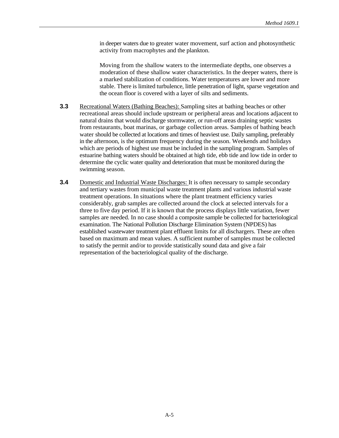in deeper waters due to greater water movement, surf action and photosynthetic activity from macrophytes and the plankton.

Moving from the shallow waters to the intermediate depths, one observes a moderation of these shallow water characteristics. In the deeper waters, there is a marked stabilization of conditions. Water temperatures are lower and more stable. There is limited turbulence, little penetration of light, sparse vegetation and the ocean floor is covered with a layer of silts and sediments.

- **3.3** Recreational Waters (Bathing Beaches): Sampling sites at bathing beaches or other recreational areas should include upstream or peripheral areas and locations adjacent to natural drains that would discharge stormwater, or run-off areas draining septic wastes from restaurants, boat marinas, or garbage collection areas. Samples of bathing beach water should be collected at locations and times of heaviest use. Daily sampling, preferably in the afternoon, is the optimum frequency during the season. Weekends and holidays which are periods of highest use must be included in the sampling program. Samples of estuarine bathing waters should be obtained at high tide, ebb tide and low tide in order to determine the cyclic water quality and deterioration that must be monitored during the swimming season.
- **3.4** Domestic and Industrial Waste Discharges: It is often necessary to sample secondary and tertiary wastes from municipal waste treatment plants and various industrial waste treatment operations. In situations where the plant treatment efficiency varies considerably, grab samples are collected around the clock at selected intervals for a three to five day period. If it is known that the process displays little variation, fewer samples are needed. In no case should a composite sample be collected for bacteriological examination. The National Pollution Discharge Elimination System (NPDES) has established wastewater treatment plant effluent limits for all dischargers. These are often based on maximum and mean values. A sufficient number of samples must be collected to satisfy the permit and/or to provide statistically sound data and give a fair representation of the bacteriological quality of the discharge.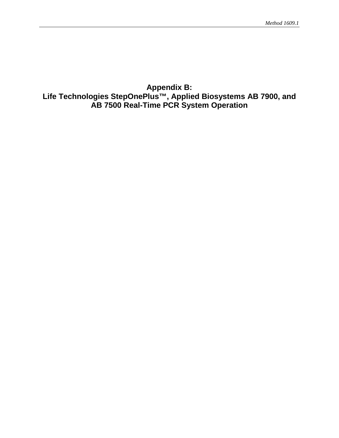# <span id="page-53-0"></span>**Appendix B: Life Technologies StepOnePlus™, Applied Biosystems AB 7900, and AB 7500 Real-Time PCR System Operation**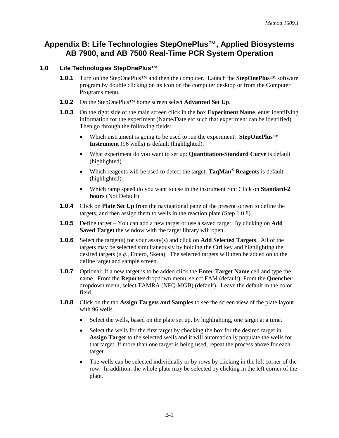## **Appendix B: Life Technologies StepOnePlus™, Applied Biosystems AB 7900, and AB 7500 Real-Time PCR System Operation**

### **1.0 Life Technologies StepOnePlus™**

- **1.0.1** Turn on the StepOnePlus™ and then the computer. Launch the **StepOnePlus™** software program by double clicking on its icon on the computer desktop or from the Computer Programs menu.
- **1.0.2** On the StepOnePlus™ home screen select **Advanced Set Up**.
- **1.0.3** On the right side of the main screen click in the box **Experiment Name**, enter identifying information for the experiment (Name/Date etc such that experiment can be identified). Then go through the following fields:
	- Which instrument is going to be used to run the experiment: **StepOnePlus™ Instrument** (96 wells) is default (highlighted).
	- What experiment do you want to set up: **Quantitation-Standard Curve** is default (highlighted).
	- Which reagents will be used to detect the target: **TaqMan® Reagents** is default (highlighted).
	- Which ramp speed do you want to use in the instrument run: Click on **Standard-2 hours** (Not Default)
- **1.0.4** Click on **Plate Set Up** from the navigational pane of the present screen to define the targets, and then assign them to wells in the reaction plate (Step 1.0.8).
- **1.0.5** Define target You can add a new target or use a saved target. By clicking on **Add Saved Target** the window with the target library will open.
- **1.0.6** Select the target(s) for your assay(s) and click on **Add Selected Targets**. All of the targets may be selected simultaneously by holding the Ctrl key and highlighting the desired targets (*e.g*., Entero, Sketa). The selected targets will then be added on to the define target and sample screen.
- **1.0.7** Optional: If a new target is to be added click the **Enter Target Name** cell and type the name. From the **Reporter** dropdown menu, select FAM (default). From the **Quencher** dropdown menu, select TAMRA (NFQ-MGB) (default). Leave the default in the color field.
- **1.0.8** Click on the tab **Assign Targets and Samples** to see the screen view of the plate layout with 96 wells.
	- Select the wells, based on the plate set up, by highlighting, one target at a time.
	- Select the wells for the first target by checking the box for the desired target in **Assign Target** to the selected wells and it will automatically populate the wells for that target. If more than one target is being used, repeat the process above for each target.
	- The wells can be selected individually or by rows by clicking in the left corner of the row. In addition, the whole plate may be selected by clicking in the left corner of the plate.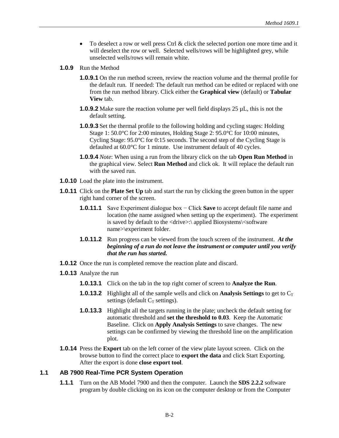- To deselect a row or well press Ctrl & click the selected portion one more time and it will deselect the row or well. Selected wells/rows will be highlighted grey, while unselected wells/rows will remain white.
- **1.0.9** Run the Method
	- **1.0.9.1** On the run method screen, review the reaction volume and the thermal profile for the default run. If needed: The default run method can be edited or replaced with one from the run method library. Click either the **Graphical view** (default) or **Tabular View** tab.
	- **1.0.9.2** Make sure the reaction volume per well field displays 25  $\mu$ L, this is not the default setting.
	- **1.0.9.3** Set the thermal profile to the following holding and cycling stages: Holding Stage 1: 50.0°C for 2:00 minutes, Holding Stage 2: 95.0°C for 10:00 minutes, Cycling Stage: 95.0°C for 0:15 seconds. The second step of the Cycling Stage is defaulted at 60.0°C for 1 minute. Use instrument default of 40 cycles.
	- **1.0.9.4** *Note*: When using a run from the library click on the tab **Open Run Method** in the graphical view. Select **Run Method** and click ok. It will replace the default run with the saved run.
- **1.0.10** Load the plate into the instrument.
- **1.0.11** Click on the **Plate Set Up** tab and start the run by clicking the green button in the upper right hand corner of the screen.
	- **1.0.11.1** Save Experiment dialogue box − Click **Save** to accept default file name and location (the name assigned when setting up the experiment). The experiment is saved by default to the <drive>:\ applied Biosystems\<software name>\experiment folder.
	- **1.0.11.2** Run progress can be viewed from the touch screen of the instrument. *At the beginning of a run do not leave the instrument or computer until you verify that the run has started.*
- **1.0.12** Once the run is completed remove the reaction plate and discard.
- **1.0.13** Analyze the run
	- **1.0.13.1** Click on the tab in the top right corner of screen to **Analyze the Run**.
	- **1.0.13.2** Highlight all of the sample wells and click on **Analysis Settings** to get to  $C_T$ settings (default  $C_T$  settings).
	- **1.0.13.3** Highlight all the targets running in the plate; uncheck the default setting for automatic threshold and **set the threshold to 0.03**. Keep the Automatic Baseline. Click on **Apply Analysis Settings** to save changes. The new settings can be confirmed by viewing the threshold line on the amplification plot.
- **1.0.14** Press the **Export** tab on the left corner of the view plate layout screen. Click on the browse button to find the correct place to **export the data** and click Start Exporting. After the export is done **close export tool**.

### **1.1 AB 7900 Real-Time PCR System Operation**

**1.1.1** Turn on the AB Model 7900 and then the computer. Launch the **SDS 2.2.2** software program by double clicking on its icon on the computer desktop or from the Computer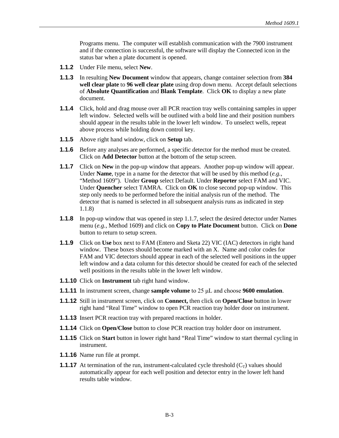Programs menu. The computer will establish communication with the 7900 instrument and if the connection is successful, the software will display the Connected icon in the status bar when a plate document is opened.

- **1.1.2** Under File menu, select **New**.
- **1.1.3** In resulting **New Document** window that appears, change container selection from **384 well clear plate** to **96 well clear plate** using drop down menu. Accept default selections of **Absolute Quantification** and **Blank Template**. Click **OK** to display a new plate document.
- **1.1.4** Click, hold and drag mouse over all PCR reaction tray wells containing samples in upper left window. Selected wells will be outlined with a bold line and their position numbers should appear in the results table in the lower left window. To unselect wells, repeat above process while holding down control key.
- **1.1.5** Above right hand window, click on **Setup** tab.
- **1.1.6** Before any analyses are performed, a specific detector for the method must be created. Click on **Add Detector** button at the bottom of the setup screen.
- **1.1.7** Click on **New** in the pop-up window that appears. Another pop-up window will appear. Under **Name**, type in a name for the detector that will be used by this method (*e.g.*, "Method 1609"). Under **Group** select Default. Under **Reporter** select FAM and VIC. Under **Quencher** select TAMRA. Click on **OK** to close second pop-up window. This step only needs to be performed before the initial analysis run of the method. The detector that is named is selected in all subsequent analysis runs as indicated in step 1.1.8)
- **1.1.8** In pop-up window that was opened in step 1.1.7, select the desired detector under Names menu (*e.g.,* Method 1609) and click on **Copy to Plate Document** button. Click on **Done** button to return to setup screen.
- **1.1.9** Click on **Use** box next to FAM (Entero and Sketa 22) VIC (IAC) detectors in right hand window. These boxes should become marked with an X. Name and color codes for FAM and VIC detectors should appear in each of the selected well positions in the upper left window and a data column for this detector should be created for each of the selected well positions in the results table in the lower left window.
- **1.1.10** Click on **Instrument** tab right hand window.
- **1.1.11** In instrument screen, change **sample volume** to 25 μL and choose **9600 emulation**.
- **1.1.12** Still in instrument screen, click on **Connect,** then click on **Open/Close** button in lower right hand "Real Time" window to open PCR reaction tray holder door on instrument.
- **1.1.13** Insert PCR reaction tray with prepared reactions in holder.
- **1.1.14** Click on **Open/Close** button to close PCR reaction tray holder door on instrument.
- **1.1.15** Click on **Start** button in lower right hand "Real Time" window to start thermal cycling in instrument.
- **1.1.16** Name run file at prompt.
- **1.1.17** At termination of the run, instrument-calculated cycle threshold  $(C_T)$  values should automatically appear for each well position and detector entry in the lower left hand results table window.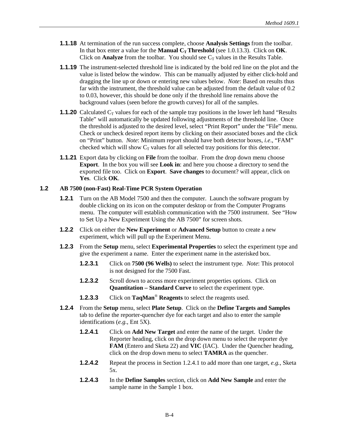- **1.1.18** At termination of the run success complete, choose **Analysis Settings** from the toolbar. In that box enter a value for the **Manual C<sub>T</sub>** Threshold (see 1.0.13.3). Click on **OK**. Click on **Analyze** from the toolbar. You should see  $C_T$  values in the Results Table.
- **1.1.19** The instrument-selected threshold line is indicated by the bold red line on the plot and the value is listed below the window. This can be manually adjusted by either click-hold and dragging the line up or down or entering new values below. *Note*: Based on results thus far with the instrument, the threshold value can be adjusted from the default value of 0.2 to 0.03, however, this should be done only if the threshold line remains above the background values (seen before the growth curves) for all of the samples.
- **1.1.20** Calculated  $C_T$  values for each of the sample tray positions in the lower left hand "Results" Table" will automatically be updated following adjustments of the threshold line. Once the threshold is adjusted to the desired level, select "Print Report" under the "File" menu. Check or uncheck desired report items by clicking on their associated boxes and the click on "Print" button. *Note*: Minimum report should have both detector boxes, *i.e*., "FAM" checked which will show  $C_T$  values for all selected tray positions for this detector.
- **1.1.21** Export data by clicking on **File** from the toolbar. From the drop down menu choose **Export**. In the box you will see **Look in**: and here you choose a directory to send the exported file too. Click on **Export**. **Save changes** to document? will appear, click on **Yes**. Click **OK**.

### **1.2 AB 7500 (non-Fast) Real-Time PCR System Operation**

- **1.2.1** Turn on the AB Model 7500 and then the computer. Launch the software program by double clicking on its icon on the computer desktop or from the Computer Programs menu. The computer will establish communication with the 7500 instrument. See "How to Set Up a New Experiment Using the AB 7500" for screen shots.
- **1.2.2** Click on either the **New Experiment** or **Advanced Setup** button to create a new experiment, which will pull up the Experiment Menu.
- **1.2.3** From the **Setup** menu, select **Experimental Properties** to select the experiment type and give the experiment a name. Enter the experiment name in the asterisked box.
	- **1.2.3.1** Click on **7500 (96 Wells)** to select the instrument type. *Note*: This protocol is not designed for the 7500 Fast.
	- **1.2.3.2** Scroll down to access more experiment properties options. Click on **Quantitation – Standard Curve** to select the experiment type.
	- **1.2.3.3** Click on **TaqMan**® **Reagents** to select the reagents used.
- **1.2.4** From the **Setup** menu, select **Plate Setup**. Click on the **Define Targets and Samples** tab to define the reporter-quencher dye for each target and also to enter the sample identifications (*e.g.*, Ent 5X).
	- **1.2.4.1** Click on **Add New Target** and enter the name of the target. Under the Reporter heading, click on the drop down menu to select the reporter dye **FAM** (Entero and Sketa 22) and **VIC** (IAC). Under the Quencher heading, click on the drop down menu to select **TAMRA** as the quencher.
	- **1.2.4.2** Repeat the process in Section 1.2.4.1 to add more than one target, *e.g.*, Sketa 5x.
	- **1.2.4.3** In the **Define Samples** section, click on **Add New Sample** and enter the sample name in the Sample 1 box.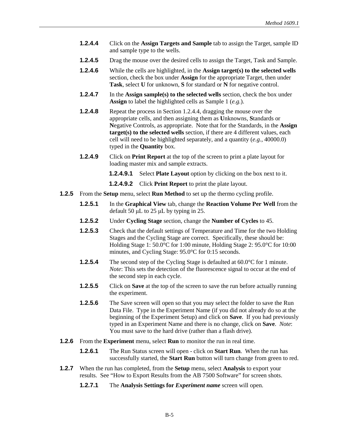- **1.2.4.4** Click on the **Assign Targets and Sample** tab to assign the Target, sample ID and sample type to the wells.
- **1.2.4.5** Drag the mouse over the desired cells to assign the Target, Task and Sample.
- **1.2.4.6** While the cells are highlighted, in the **Assign target(s) to the selected wells** section, check the box under **Assign** for the appropriate Target, then under **Task**, select **U** for unknown, **S** for standard or **N** for negative control.
- **1.2.4.7** In the **Assign sample(s) to the selected wells** section, check the box under **Assign** to label the highlighted cells as Sample 1 (*e.g.*).
- **1.2.4.8** Repeat the process in Section 1.2.4.4, dragging the mouse over the appropriate cells, and then assigning them as **U**nknowns, **S**tandards or **N**egative Controls, as appropriate. Note that for the Standards, in the **Assign target(s) to the selected wells** section, if there are 4 different values, each cell will need to be highlighted separately, and a quantity (*e.g.*, 40000.0) typed in the **Quantity** box.
- **1.2.4.9** Click on **Print Report** at the top of the screen to print a plate layout for loading master mix and sample extracts.
	- **1.2.4.9.1** Select **Plate Layout** option by clicking on the box next to it.

**1.2.4.9.2** Click **Print Report** to print the plate layout.

- **1.2.5** From the **Setup** menu, select **Run Method** to set up the thermo cycling profile.
	- **1.2.5.1** In the **Graphical View** tab, change the **Reaction Volume Per Well** from the default 50 μL to 25 μL by typing in 25.
	- **1.2.5.2** Under **Cycling Stage** section, change the **Number of Cycles** to 45.
	- **1.2.5.3** Check that the default settings of Temperature and Time for the two Holding Stages and the Cycling Stage are correct. Specifically, these should be: Holding Stage 1: 50.0°C for 1:00 minute, Holding Stage 2: 95.0°C for 10:00 minutes, and Cycling Stage: 95.0°C for 0:15 seconds.
	- **1.2.5.4** The second step of the Cycling Stage is defaulted at 60.0°C for 1 minute. *Note*: This sets the detection of the fluorescence signal to occur at the end of the second step in each cycle.
	- **1.2.5.5** Click on **Save** at the top of the screen to save the run before actually running the experiment.
	- **1.2.5.6** The Save screen will open so that you may select the folder to save the Run Data File. Type in the Experiment Name (if you did not already do so at the beginning of the Experiment Setup) and click on **Save**. If you had previously typed in an Experiment Name and there is no change, click on **Save**. *Note*: You must save to the hard drive (rather than a flash drive).
- **1.2.6** From the **Experiment** menu, select **Run** to monitor the run in real time.
	- **1.2.6.1** The Run Status screen will open click on **Start Run**. When the run has successfully started, the **Start Run** button will turn change from green to red.
- **1.2.7** When the run has completed, from the **Setup** menu, select **Analysis** to export your results. See "How to Export Results from the AB 7500 Software" for screen shots.
	- **1.2.7.1** The **Analysis Settings for** *Experiment name* screen will open.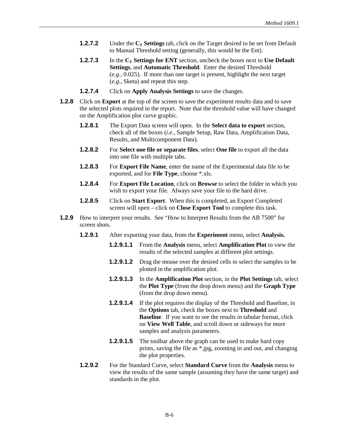- **1.2.7.2** Under the **C<sub>T</sub> Settings** tab, click on the Target desired to be set from Default to Manual Threshold setting (generally, this would be the Ent).
- **1.2.7.3** In the C<sub>T</sub> Settings for ENT section, uncheck the boxes next to Use Default **Settings**, and **Automatic Threshold**. Enter the desired Threshold (*e.g.,* 0.025). If more than one target is present, highlight the next target (*e.g.,* Sketa) and repeat this step.
- **1.2.7.4** Click on **Apply Analysis Settings** to save the changes.
- **1.2.8** Click on **Export** at the top of the screen to save the experiment results data and to save the selected plots required in the report. Note that the threshold value will have changed on the Amplification plot curve graphic.
	- **1.2.8.1** The Export Data screen will open. In the **Select data to export** section, check all of the boxes (*i.e.*, Sample Setup, Raw Data, Amplification Data, Results, and Multicomponent Data).
	- **1.2.8.2** For **Select one file or separate files**, select **One file** to export all the data into one file with multiple tabs.
	- **1.2.8.3** For **Export File Name**, enter the name of the Experimental data file to be exported, and for **File Type**, choose \*.xls.
	- **1.2.8.4** For **Export File Location**, click on **Browse** to select the folder in which you wish to export your file. Always save your file to the hard drive.
	- **1.2.8.5** Click on **Start Export**. When this is completed, an Export Completed screen will open – click on **Close Export Tool** to complete this task.
- **1.2.9** How to interpret your results. See "How to Interpret Results from the AB 7500" for screen shots.
	- **1.2.9.1** After exporting your data, from the **Experiment** menu, select **Analysis.**
		- **1.2.9.1.1** From the **Analysis** menu, select **Amplification Plot** to view the results of the selected samples at different plot settings.
		- **1.2.9.1.2** Drag the mouse over the desired cells to select the samples to be plotted in the amplification plot.
		- **1.2.9.1.3** In the **Amplification Plot** section, in the **Plot Settings** tab, select the **Plot Type** (from the drop down menu) and the **Graph Type** (from the drop down menu).
		- **1.2.9.1.4** If the plot requires the display of the Threshold and Baseline, in the **Options** tab, check the boxes next to **Threshold** and **Baseline**. If you want to see the results in tabular format, click on **View Well Table**, and scroll down or sideways for more samples and analysis parameters.
		- **1.2.9.1.5** The toolbar above the graph can be used to make hard copy prints, saving the file as \*.jpg, zooming in and out, and changing the plot properties.
	- **1.2.9.2** For the Standard Curve, select **Standard Curve** from the **Analysis** menu to view the results of the same sample (assuming they have the same target) and standards in the plot.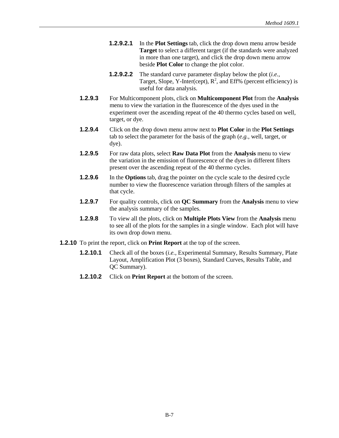- **1.2.9.2.1** In the **Plot Settings** tab, click the drop down menu arrow beside **Target** to select a different target (if the standards were analyzed in more than one target), and click the drop down menu arrow beside **Plot Color** to change the plot color.
- **1.2.9.2.2** The standard curve parameter display below the plot (*i.e.*, Target, Slope, Y-Inter(cept),  $R^2$ , and Eff% (percent efficiency) is useful for data analysis.
- **1.2.9.3** For Multicomponent plots, click on **Multicomponent Plot** from the **Analysis**  menu to view the variation in the fluorescence of the dyes used in the experiment over the ascending repeat of the 40 thermo cycles based on well, target, or dye.
- **1.2.9.4** Click on the drop down menu arrow next to **Plot Color** in the **Plot Settings** tab to select the parameter for the basis of the graph (*e.g.*, well, target, or dye).
- **1.2.9.5** For raw data plots, select **Raw Data Plot** from the **Analysis** menu to view the variation in the emission of fluorescence of the dyes in different filters present over the ascending repeat of the 40 thermo cycles.
- **1.2.9.6** In the **Options** tab, drag the pointer on the cycle scale to the desired cycle number to view the fluorescence variation through filters of the samples at that cycle.
- **1.2.9.7** For quality controls, click on **QC Summary** from the **Analysis** menu to view the analysis summary of the samples.
- **1.2.9.8** To view all the plots, click on **Multiple Plots View** from the **Analysis** menu to see all of the plots for the samples in a single window. Each plot will have its own drop down menu.
- **1.2.10** To print the report, click on **Print Report** at the top of the screen.
	- **1.2.10.1** Check all of the boxes *(i.e., Experimental Summary, Results Summary, Plate* Layout, Amplification Plot (3 boxes), Standard Curves, Results Table, and QC Summary).
	- **1.2.10.2** Click on **Print Report** at the bottom of the screen.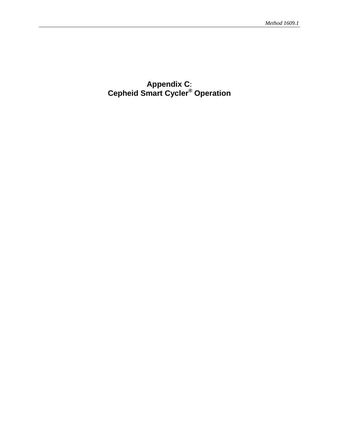## <span id="page-61-0"></span>**Appendix C**: **Cepheid Smart Cycler® Operation**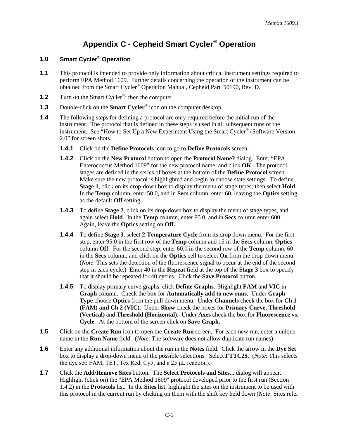# **Appendix C - Cepheid Smart Cycler® Operation**

### **1.0 Smart Cycler® Operation**

- **1.1** This protocol is intended to provide only information about critical instrument settings required to perform EPA Method 1609. Further details concerning the operation of the instrument can be obtained from the Smart Cycler® Operation Manual, Cepheid Part D0190, Rev. D.
- **1.2** Turn on the Smart Cycler<sup>®</sup>; then the computer.
- **1.3** Double-click on the **Smart Cycler**<sup>®</sup> icon on the computer desktop.
- **1.4** The following steps for defining a protocol are only required before the initial run of the instrument. The protocol that is defined in these steps is used in all subsequent runs of the instrument. See "How to Set Up a New Experiment Using the Smart Cycler® (Software Version 2.0" for screen shots.
	- **1.4.1** Click on the **Define Protocols** icon to go to **Define Protocols** screen.
	- **1.4.2** Click on the **New Protocol** button to open the **Protocol Name?** dialog. Enter "EPA Enterococcus Method 1609" for the new protocol name, and click **OK**. The protocol stages are defined in the series of boxes at the bottom of the **Define Protocol** screen. Make sure the new protocol is highlighted and begin to choose state settings. To define **Stage 1**, click on its drop-down box to display the menu of stage types; then select **Hold**. In the **Temp** column, enter 50.0, and in **Secs** column, enter 60, leaving the **Optics** setting as the default **Off** setting.
	- **1.4.3** To define **Stage 2**, click on its drop-down box to display the menu of stage types, and again select **Hold**. In the **Temp** column, enter 95.0, and in **Secs** column enter 600. Again, leave the **Optics** setting on **Off.**
	- **1.4.4** To define **Stage 3**, select **2-Temperature Cycle** from its drop down menu. For the first step, enter 95.0 in the first row of the **Temp** column and 15 in the **Secs** column, **Optics** column **Off**. For the second step, enter 60.0 in the second row of the **Temp** column, 60 in the **Secs** column, and click on the **Optics** cell to select **On** from the drop-down menu. (*Note*: This sets the detection of the fluorescence signal to occur at the end of the second step in each cycle.) Enter 40 in the **Repeat** field at the top of the **Stage 3** box to specify that it should be repeated for 40 cycles. Click the **Save Protocol** button.
	- **1.4.5** To display primary curve graphs, click **Define Graphs**. Highlight **FAM** and **VIC** in **Graph** column. Check the box for **Automatically add to new runs**. Under **Graph Type** choose **Optics** from the pull down menu. Under **Channels** check the box for **Ch 1 (FAM) and Ch 2 (VIC)**. Under **Show** check the boxes for **Primary Curve, Threshold (Vertical)** and **Threshold (Horizontal)**. Under **Axes** check the box for **Fluorescence vs. Cycle**. At the bottom of the screen click on **Save Graph**.
- **1.5** Click on the **Create Run** icon to open the **Create Run** screen. For each new run, enter a unique name in the **Run Name** field. (*Note*: The software does not allow duplicate run names).
- **1.6** Enter any additional information about the run in the **Notes** field. Click the arrow in the **Dye Set** box to display a drop-down menu of the possible selections. Select **FTTC25**. (*Note*: This selects the dye set: FAM, TET, Tex Red, Cy5, and a 25 μL reaction).
- **1.7** Click the **Add/Remove Sites** button. The **Select Protocols and Sites...** dialog will appear. Highlight (click on) the "EPA Method 1609" protocol developed prior to the first run (Section 1.4.2) in the **Protocols** list. In the **Sites** list, highlight the sites on the instrument to be used with this protocol in the current run by clicking on them with the shift key held down (*Note*: Sites refer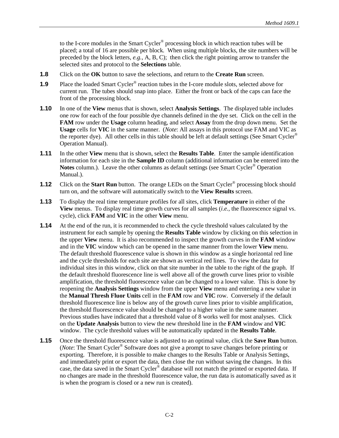to the I-core modules in the Smart Cycler<sup>®</sup> processing block in which reaction tubes will be placed; a total of 16 are possible per block. When using multiple blocks, the site numbers will be preceded by the block letters, *e.g.,* A, B, C); then click the right pointing arrow to transfer the selected sites and protocol to the **Selections** table.

- **1.8** Click on the **OK** button to save the selections, and return to the **Create Run** screen.
- **1.9** Place the loaded Smart Cycler<sup>®</sup> reaction tubes in the I-core module slots, selected above for current run. The tubes should snap into place. Either the front or back of the caps can face the front of the processing block.
- **1.10** In one of the **View** menus that is shown, select **Analysis Settings**. The displayed table includes one row for each of the four possible dye channels defined in the dye set. Click on the cell in the **FAM** row under the **Usage** column heading, and select **Assay** from the drop down menu. Set the **Usage** cells for **VIC** in the same manner. (*Note*: All assays in this protocol use FAM and VIC as the reporter dye). All other cells in this table should be left at default settings (See Smart Cycler® Operation Manual).
- **1.11** In the other **View** menu that is shown, select the **Results Table**. Enter the sample identification information for each site in the **Sample ID** column (additional information can be entered into the Notes column.). Leave the other columns as default settings (see Smart Cycler<sup>®</sup> Operation Manual.).
- **1.12** Click on the **Start Run** button. The orange LEDs on the Smart Cycler<sup>®</sup> processing block should turn on, and the software will automatically switch to the **View Results** screen.
- **1.13** To display the real time temperature profiles for all sites, click **Temperature** in either of the **View** menus. To display real time growth curves for all samples (*i.e.,* the fluorescence signal vs. cycle), click **FAM** and **VIC** in the other **View** menu.
- **1.14** At the end of the run, it is recommended to check the cycle threshold values calculated by the instrument for each sample by opening the **Results Table** window by clicking on this selection in the upper **View** menu. It is also recommended to inspect the growth curves in the **FAM** window and in the **VIC** window which can be opened in the same manner from the lower **View** menu. The default threshold fluorescence value is shown in this window as a single horizontal red line and the cycle thresholds for each site are shown as vertical red lines. To view the data for individual sites in this window, click on that site number in the table to the right of the graph. If the default threshold fluorescence line is well above all of the growth curve lines prior to visible amplification, the threshold fluorescence value can be changed to a lower value. This is done by reopening the **Analysis Settings** window from the upper **View** menu and entering a new value in the **Manual Thresh Fluor Units** cell in the **FAM** row and **VIC** row. Conversely if the default threshold fluorescence line is below any of the growth curve lines prior to visible amplification, the threshold fluorescence value should be changed to a higher value in the same manner. Previous studies have indicated that a threshold value of 8 works well for most analyses. Click on the **Update Analysis** button to view the new threshold line in the **FAM** window and **VIC** window. The cycle threshold values will be automatically updated in the **Results Table**.
- **1.15** Once the threshold fluorescence value is adjusted to an optimal value, click the **Save Run** button. (*Note*: The Smart Cycler® Software does not give a prompt to save changes before printing or exporting. Therefore, it is possible to make changes to the Results Table or Analysis Settings, and immediately print or export the data, then close the run without saving the changes. In this case, the data saved in the Smart Cycler® database will not match the printed or exported data. If no changes are made in the threshold fluorescence value, the run data is automatically saved as it is when the program is closed or a new run is created).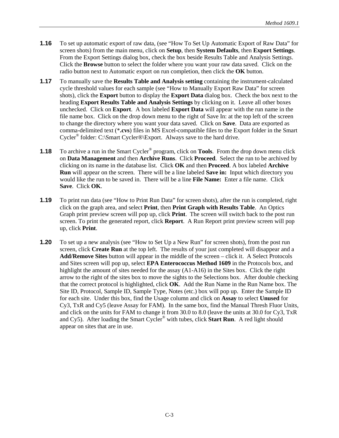- **1.16** To set up automatic export of raw data, (see "How To Set Up Automatic Export of Raw Data" for screen shots) from the main menu, click on **Setup**, then **System Defaults**, then **Export Settings**. From the Export Settings dialog box, check the box beside Results Table and Analysis Settings. Click the **Browse** button to select the folder where you want your raw data saved. Click on the radio button next to Automatic export on run completion, then click the **OK** button.
- **1.17** To manually save the **Results Table and Analysis setting** containing the instrument-calculated cycle threshold values for each sample (see "How to Manually Export Raw Data" for screen shots), click the **Export** button to display the **Export Data** dialog box. Check the box next to the heading **Export Results Table and Analysis Settings** by clicking on it. Leave all other boxes unchecked. Click on **Export**. A box labeled **Export Data** will appear with the run name in the file name box. Click on the drop down menu to the right of Save In: at the top left of the screen to change the directory where you want your data saved. Click on **Save**. Data are exported as comma-delimited text (\***.cvs**) files in MS Excel-compatible files to the Export folder in the Smart Cycler® folder: C:\Smart Cycler®\Export. Always save to the hard drive.
- **1.18** To archive a run in the Smart Cycler<sup>®</sup> program, click on **Tools**. From the drop down menu click on **Data Management** and then **Archive Runs**. Click **Proceed**. Select the run to be archived by clicking on its name in the database list. Click **OK** and then **Proceed**. A box labeled **Archive Run** will appear on the screen. There will be a line labeled **Save in:** Input which directory you would like the run to be saved in. There will be a line **File Name:** Enter a file name. Click **Save**. Click **OK**.
- **1.19** To print run data (see "How to Print Run Data" for screen shots), after the run is completed, right click on the graph area, and select **Print**, then **Print Graph with Results Table**. An Optics Graph print preview screen will pop up, click **Print**. The screen will switch back to the post run screen. To print the generated report, click **Report**. A Run Report print preview screen will pop up, click **Print**.
- **1.20** To set up a new analysis (see "How to Set Up a New Run" for screen shots), from the post run screen, click **Create Run** at the top left. The results of your just completed will disappear and a **Add/Remove Sites** button will appear in the middle of the screen – click it. A Select Protocols and Sites screen will pop up, select **EPA Enterococcus Method 1609** in the Protocols box, and highlight the amount of sites needed for the assay (A1-A16) in the Sites box. Click the right arrow to the right of the sites box to move the sights to the Selections box. After double checking that the correct protocol is highlighted, click **OK**. Add the Run Name in the Run Name box. The Site ID, Protocol, Sample ID, Sample Type, Notes (etc.) box will pop up. Enter the Sample ID for each site. Under this box, find the Usage column and click on **Assay** to select **Unused** for Cy3, TxR and Cy5 (leave Assay for FAM). In the same box, find the Manual Thresh Fluor Units, and click on the units for FAM to change it from 30.0 to 8.0 (leave the units at 30.0 for Cy3, TxR and Cy5). After loading the Smart Cycler® with tubes, click **Start Run**. A red light should appear on sites that are in use.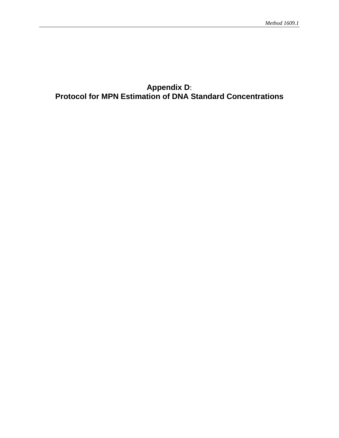## <span id="page-65-0"></span>**Appendix D**: **Protocol for MPN Estimation of DNA Standard Concentrations**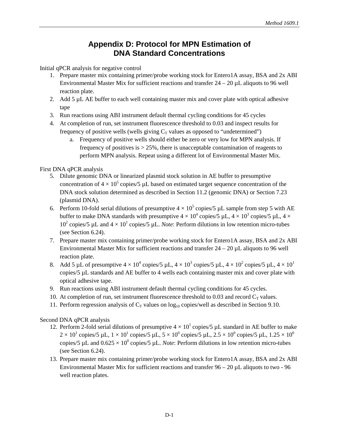# **Appendix D: Protocol for MPN Estimation of DNA Standard Concentrations**

Initial qPCR analysis for negative control

- 1. Prepare master mix containing primer/probe working stock for Entero1A assay, BSA and 2x ABI Environmental Master Mix for sufficient reactions and transfer  $24 - 20 \mu L$  aliquots to 96 well reaction plate.
- 2. Add 5 µL AE buffer to each well containing master mix and cover plate with optical adhesive tape
- 3. Run reactions using ABI instrument default thermal cycling conditions for 45 cycles
- 4. At completion of run, set instrument fluorescence threshold to 0.03 and inspect results for frequency of positive wells (wells giving  $C_T$  values as opposed to "undetermined")
	- a. Frequency of positive wells should either be zero or very low for MPN analysis. If frequency of positives is  $> 25\%$ , there is unacceptable contamination of reagents to perform MPN analysis. Repeat using a different lot of Environmental Master Mix.

### First DNA qPCR analysis

- 5. Dilute genomic DNA or linearized plasmid stock solution in AE buffer to presumptive concentration of  $4 \times 10^5$  copies/5 µL based on estimated target sequence concentration of the DNA stock solution determined as described in Section 11.2 (genomic DNA) or Section 7.23 (plasmid DNA).
- 6. Perform 10-fold serial dilutions of presumptive  $4 \times 10^5$  copies/5 µL sample from step 5 with AE buffer to make DNA standards with presumptive  $4 \times 10^4$  copies/5 µL,  $4 \times 10^3$  copies/5 µL,  $4 \times$ 10<sup>2</sup> copies/5 µL and  $4 \times 10^{1}$  copies/5 µL. *Note*: Perform dilutions in low retention micro-tubes (see Section 6.24).
- 7. Prepare master mix containing primer/probe working stock for Entero1A assay, BSA and 2x ABI Environmental Master Mix for sufficient reactions and transfer  $24 - 20 \mu L$  aliquots to 96 well reaction plate.
- 8. Add 5 µL of presumptive  $4 \times 10^4$  copies/5 µL,  $4 \times 10^3$  copies/5 µL,  $4 \times 10^2$  copies/5 µL,  $4 \times 10^1$ copies/5 µL standards and AE buffer to 4 wells each containing master mix and cover plate with optical adhesive tape.
- 9. Run reactions using ABI instrument default thermal cycling conditions for 45 cycles.
- 10. At completion of run, set instrument fluorescence threshold to 0.03 and record  $C_T$  values.
- 11. Perform regression analysis of  $C<sub>T</sub>$  values on log<sub>10</sub> copies/well as described in Section 9.10.

### Second DNA qPCR analysis

- 12. Perform 2-fold serial dilutions of presumptive  $4 \times 10^{1}$  copies/5 µL standard in AE buffer to make  $2\times10^1$  copies/5 µL,  $1\times10^1$  copies/5 µL,  $5\times10^0$  copies/5 µL,  $2.5\times10^0$  copies/5 µL,  $1.25\times10^0$ copies/5  $\mu$ L and  $0.625 \times 10^0$  copies/5  $\mu$ L. *Note*: Perform dilutions in low retention micro-tubes (see Section 6.24).
- 13. Prepare master mix containing primer/probe working stock for Entero1A assay, BSA and 2x ABI Environmental Master Mix for sufficient reactions and transfer  $96 - 20 \mu L$  aliquots to two - 96 well reaction plates.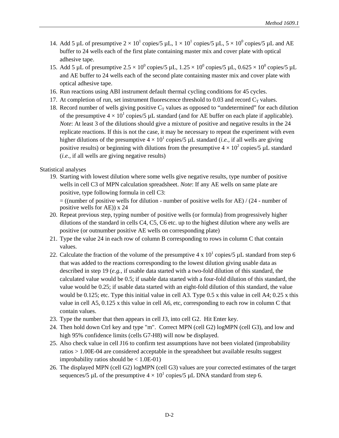- 14. Add 5 µL of presumptive  $2 \times 10^1$  copies/5 µL,  $1 \times 10^1$  copies/5 µL,  $5 \times 10^0$  copies/5 µL and AE buffer to 24 wells each of the first plate containing master mix and cover plate with optical adhesive tape.
- 15. Add 5 µL of presumptive  $2.5 \times 10^0$  copies/5 µL,  $1.25 \times 10^0$  copies/5 µL,  $0.625 \times 10^0$  copies/5 µL and AE buffer to 24 wells each of the second plate containing master mix and cover plate with optical adhesive tape.
- 16. Run reactions using ABI instrument default thermal cycling conditions for 45 cycles.
- 17. At completion of run, set instrument fluorescence threshold to 0.03 and record  $C_T$  values.
- 18. Record number of wells giving positive  $C_T$  values as opposed to "undetermined" for each dilution of the presumptive  $4 \times 10^{1}$  copies/5 µL standard (and for AE buffer on each plate if applicable). *Note*: At least 3 of the dilutions should give a mixture of positive and negative results in the 24 replicate reactions. If this is not the case, it may be necessary to repeat the experiment with even higher dilutions of the presumptive  $4 \times 10^{1}$  copies/5 µL standard (*i.e.*, if all wells are giving positive results) or beginning with dilutions from the presumptive  $4 \times 10^2$  copies/5 µL standard (*i.e.,* if all wells are giving negative results)

Statistical analyses

19. Starting with lowest dilution where some wells give negative results, type number of positive wells in cell C3 of MPN calculation spreadsheet. *Note*: If any AE wells on same plate are positive, type following formula in cell C3:

= ((number of positive wells for dilution - number of positive wells for AE) / (24 - number of positive wells for AE)) x 24

- 20. Repeat previous step, typing number of positive wells (or formula) from progressively higher dilutions of the standard in cells C4, C5, C6 etc. up to the highest dilution where any wells are positive (or outnumber positive AE wells on corresponding plate)
- 21. Type the value 24 in each row of column B corresponding to rows in column C that contain values.
- 22. Calculate the fraction of the volume of the presumptive 4 x  $10<sup>1</sup>$  copies/5 µL standard from step 6 that was added to the reactions corresponding to the lowest dilution giving usable data as described in step 19 (*e.g.,* if usable data started with a two-fold dilution of this standard, the calculated value would be 0.5; if usable data started with a four-fold dilution of this standard, the value would be 0.25; if usable data started with an eight-fold dilution of this standard, the value would be 0.125; etc. Type this initial value in cell A3. Type 0.5 x this value in cell A4; 0.25 x this value in cell A5, 0.125 x this value in cell A6, etc, corresponding to each row in column C that contain values.
- 23. Type the number that then appears in cell J3, into cell G2. Hit Enter key.
- 24. Then hold down Ctrl key and type "m". Correct MPN (cell G2) logMPN (cell G3), and low and high 95% confidence limits (cells G7-H8) will now be displayed.
- 25. Also check value in cell J16 to confirm test assumptions have not been violated (improbability ratios > 1.00E-04 are considered acceptable in the spreadsheet but available results suggest improbability ratios should be  $< 1.0E-01$ )
- 26. The displayed MPN (cell G2) logMPN (cell G3) values are your corrected estimates of the target sequences/5 µL of the presumptive  $4 \times 10^1$  copies/5 µL DNA standard from step 6.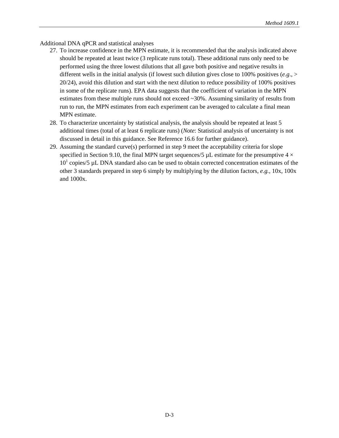Additional DNA qPCR and statistical analyses

- 27. To increase confidence in the MPN estimate, it is recommended that the analysis indicated above should be repeated at least twice (3 replicate runs total). These additional runs only need to be performed using the three lowest dilutions that all gave both positive and negative results in different wells in the initial analysis (if lowest such dilution gives close to 100% positives (*e.g*., > 20/24), avoid this dilution and start with the next dilution to reduce possibility of 100% positives in some of the replicate runs). EPA data suggests that the coefficient of variation in the MPN estimates from these multiple runs should not exceed ~30%. Assuming similarity of results from run to run, the MPN estimates from each experiment can be averaged to calculate a final mean MPN estimate.
- 28. To characterize uncertainty by statistical analysis, the analysis should be repeated at least 5 additional times (total of at least 6 replicate runs) (*Note*: Statistical analysis of uncertainty is not discussed in detail in this guidance. See Reference 16.6 for further guidance).
- 29. Assuming the standard curve(s) performed in step 9 meet the acceptability criteria for slope specified in Section 9.10, the final MPN target sequences/5  $\mu$ L estimate for the presumptive 4  $\times$  $10<sup>1</sup>$  copies/5 µL DNA standard also can be used to obtain corrected concentration estimates of the other 3 standards prepared in step 6 simply by multiplying by the dilution factors, *e.g.,* 10x, 100x and 1000x.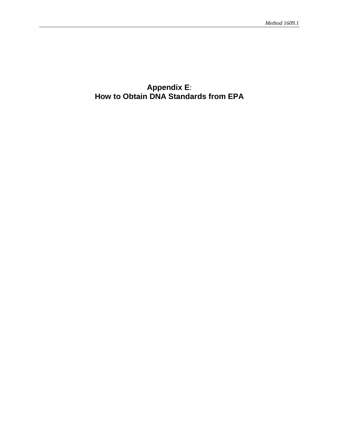## <span id="page-69-0"></span>**Appendix E**: **How to Obtain DNA Standards from EPA**